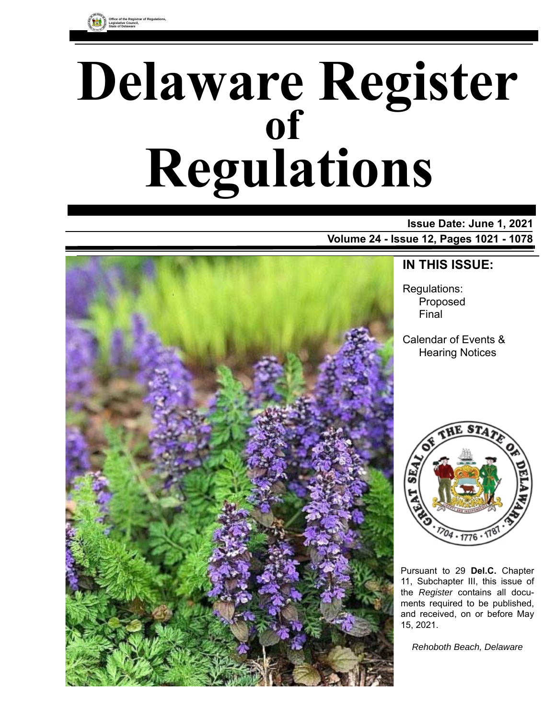

# **Delaware Register Regulations of**

# **Issue Date: June 1, 2021 Volume 24 - Issue 12, Pages 1021 - 1078**



# **IN THIS ISSUE:**

Regulations: Proposed Final

Calendar of Events & Hearing Notices



Pursuant to 29 **Del.C.** Chapter 11, Subchapter III, this issue of the *Register* contains all documents required to be published, and received, on or before May 15, 2021.

*Rehoboth Beach, Delaware*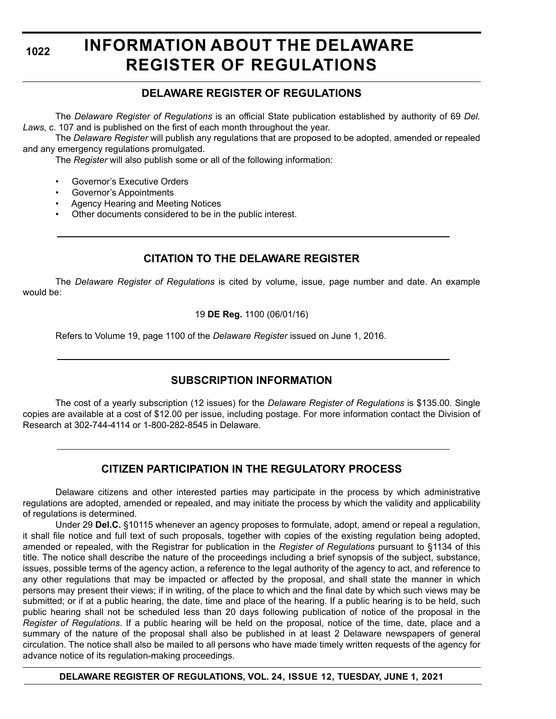# **INFORMATION ABOUT THE DELAWARE REGISTER OF REGULATIONS**

# **DELAWARE REGISTER OF REGULATIONS**

The *Delaware Register of Regulations* is an official State publication established by authority of 69 *Del. Laws*, c. 107 and is published on the first of each month throughout the year.

The *Delaware Register* will publish any regulations that are proposed to be adopted, amended or repealed and any emergency regulations promulgated.

The *Register* will also publish some or all of the following information:

- Governor's Executive Orders
- Governor's Appointments
- Agency Hearing and Meeting Notices
- Other documents considered to be in the public interest.

# **CITATION TO THE DELAWARE REGISTER**

The *Delaware Register of Regulations* is cited by volume, issue, page number and date. An example would be:

19 **DE Reg.** 1100 (06/01/16)

Refers to Volume 19, page 1100 of the *Delaware Register* issued on June 1, 2016.

# **SUBSCRIPTION INFORMATION**

The cost of a yearly subscription (12 issues) for the *Delaware Register of Regulations* is \$135.00. Single copies are available at a cost of \$12.00 per issue, including postage. For more information contact the Division of Research at 302-744-4114 or 1-800-282-8545 in Delaware.

# **CITIZEN PARTICIPATION IN THE REGULATORY PROCESS**

Delaware citizens and other interested parties may participate in the process by which administrative regulations are adopted, amended or repealed, and may initiate the process by which the validity and applicability of regulations is determined.

Under 29 **Del.C.** §10115 whenever an agency proposes to formulate, adopt, amend or repeal a regulation, it shall file notice and full text of such proposals, together with copies of the existing regulation being adopted, amended or repealed, with the Registrar for publication in the *Register of Regulations* pursuant to §1134 of this title. The notice shall describe the nature of the proceedings including a brief synopsis of the subject, substance, issues, possible terms of the agency action, a reference to the legal authority of the agency to act, and reference to any other regulations that may be impacted or affected by the proposal, and shall state the manner in which persons may present their views; if in writing, of the place to which and the final date by which such views may be submitted; or if at a public hearing, the date, time and place of the hearing. If a public hearing is to be held, such public hearing shall not be scheduled less than 20 days following publication of notice of the proposal in the *Register of Regulations*. If a public hearing will be held on the proposal, notice of the time, date, place and a summary of the nature of the proposal shall also be published in at least 2 Delaware newspapers of general circulation. The notice shall also be mailed to all persons who have made timely written requests of the agency for advance notice of its regulation-making proceedings.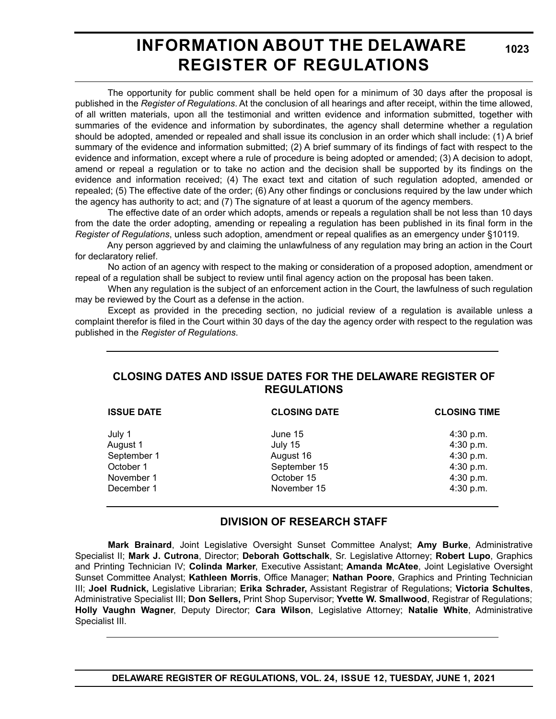# **INFORMATION ABOUT THE DELAWARE REGISTER OF REGULATIONS**

**1023**

The opportunity for public comment shall be held open for a minimum of 30 days after the proposal is published in the *Register of Regulations*. At the conclusion of all hearings and after receipt, within the time allowed, of all written materials, upon all the testimonial and written evidence and information submitted, together with summaries of the evidence and information by subordinates, the agency shall determine whether a regulation should be adopted, amended or repealed and shall issue its conclusion in an order which shall include: (1) A brief summary of the evidence and information submitted; (2) A brief summary of its findings of fact with respect to the evidence and information, except where a rule of procedure is being adopted or amended; (3) A decision to adopt, amend or repeal a regulation or to take no action and the decision shall be supported by its findings on the evidence and information received; (4) The exact text and citation of such regulation adopted, amended or repealed; (5) The effective date of the order; (6) Any other findings or conclusions required by the law under which the agency has authority to act; and (7) The signature of at least a quorum of the agency members.

The effective date of an order which adopts, amends or repeals a regulation shall be not less than 10 days from the date the order adopting, amending or repealing a regulation has been published in its final form in the *Register of Regulations*, unless such adoption, amendment or repeal qualifies as an emergency under §10119.

Any person aggrieved by and claiming the unlawfulness of any regulation may bring an action in the Court for declaratory relief.

No action of an agency with respect to the making or consideration of a proposed adoption, amendment or repeal of a regulation shall be subject to review until final agency action on the proposal has been taken.

When any regulation is the subject of an enforcement action in the Court, the lawfulness of such regulation may be reviewed by the Court as a defense in the action.

Except as provided in the preceding section, no judicial review of a regulation is available unless a complaint therefor is filed in the Court within 30 days of the day the agency order with respect to the regulation was published in the *Register of Regulations*.

# **CLOSING DATES AND ISSUE DATES FOR THE DELAWARE REGISTER OF REGULATIONS**

| <b>ISSUE DATE</b> | <b>CLOSING DATE</b> | <b>CLOSING TIME</b> |
|-------------------|---------------------|---------------------|
| July 1            | June 15             | 4:30 p.m.           |
| August 1          | July 15             | 4:30 p.m.           |
| September 1       | August 16           | 4:30 p.m.           |
| October 1         | September 15        | 4:30 p.m.           |
| November 1        | October 15          | 4:30 p.m.           |
| December 1        | November 15         | 4:30 p.m.           |

# **DIVISION OF RESEARCH STAFF**

**Mark Brainard**, Joint Legislative Oversight Sunset Committee Analyst; **Amy Burke**, Administrative Specialist II; **Mark J. Cutrona**, Director; **Deborah Gottschalk**, Sr. Legislative Attorney; **Robert Lupo**, Graphics and Printing Technician IV; **Colinda Marker**, Executive Assistant; **Amanda McAtee**, Joint Legislative Oversight Sunset Committee Analyst; **Kathleen Morris**, Office Manager; **Nathan Poore**, Graphics and Printing Technician III; **Joel Rudnick,** Legislative Librarian; **Erika Schrader,** Assistant Registrar of Regulations; **Victoria Schultes**, Administrative Specialist III; **Don Sellers,** Print Shop Supervisor; **Yvette W. Smallwood**, Registrar of Regulations; **Holly Vaughn Wagner**, Deputy Director; **Cara Wilson**, Legislative Attorney; **Natalie White**, Administrative Specialist III.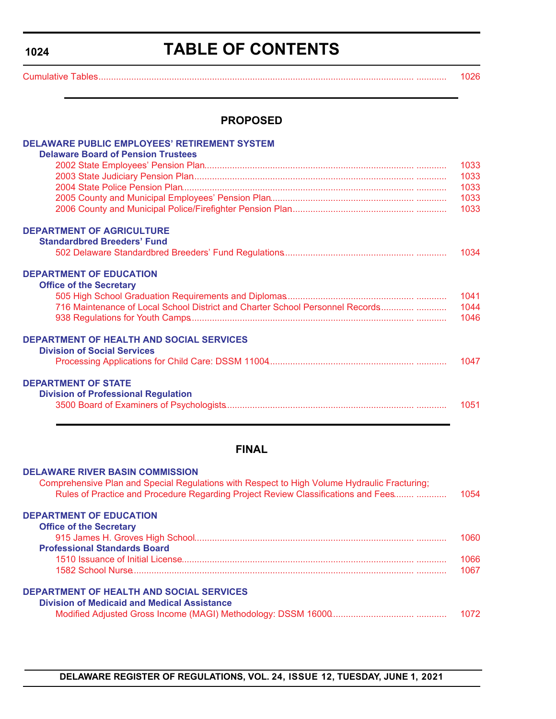# **TABLE OF CONTENTS**

<span id="page-3-0"></span>[Cumulative Tables............................................................................................................................. ............ 1026](#page-5-0)

# **PROPOSED**

| <b>DELAWARE PUBLIC EMPLOYEES' RETIREMENT SYSTEM</b>                                          |      |
|----------------------------------------------------------------------------------------------|------|
| <b>Delaware Board of Pension Trustees</b>                                                    |      |
|                                                                                              | 1033 |
|                                                                                              | 1033 |
|                                                                                              | 1033 |
|                                                                                              | 1033 |
|                                                                                              | 1033 |
| <b>DEPARTMENT OF AGRICULTURE</b>                                                             |      |
| <b>Standardbred Breeders' Fund</b>                                                           |      |
|                                                                                              | 1034 |
| <b>DEPARTMENT OF EDUCATION</b>                                                               |      |
| <b>Office of the Secretary</b>                                                               |      |
|                                                                                              | 1041 |
| 716 Maintenance of Local School District and Charter School Personnel Records                | 1044 |
|                                                                                              | 1046 |
| <b>DEPARTMENT OF HEALTH AND SOCIAL SERVICES</b>                                              |      |
| <b>Division of Social Services</b>                                                           |      |
|                                                                                              | 1047 |
| <b>DEPARTMENT OF STATE</b>                                                                   |      |
| <b>Division of Professional Regulation</b>                                                   |      |
|                                                                                              | 1051 |
|                                                                                              |      |
| <b>FINAL</b>                                                                                 |      |
| <b>DELAWARE RIVER BASIN COMMISSION</b>                                                       |      |
| Comprehensive Plan and Special Regulations with Respect to High Volume Hydraulic Fracturing; |      |
| Rules of Practice and Procedure Regarding Project Review Classifications and Fees            | 1054 |
| <b>DEPARTMENT OF EDUCATION</b>                                                               |      |

| <b>Office of the Secretary</b>                                                                        |      |
|-------------------------------------------------------------------------------------------------------|------|
|                                                                                                       | ഥദെ  |
| <b>Professional Standards Board</b>                                                                   |      |
|                                                                                                       | 066  |
|                                                                                                       | 1067 |
| <b>DEPARTMENT OF HEALTH AND SOCIAL SERVICES</b><br><b>Division of Medicaid and Medical Assistance</b> |      |

|  |  | 1072 |
|--|--|------|
|--|--|------|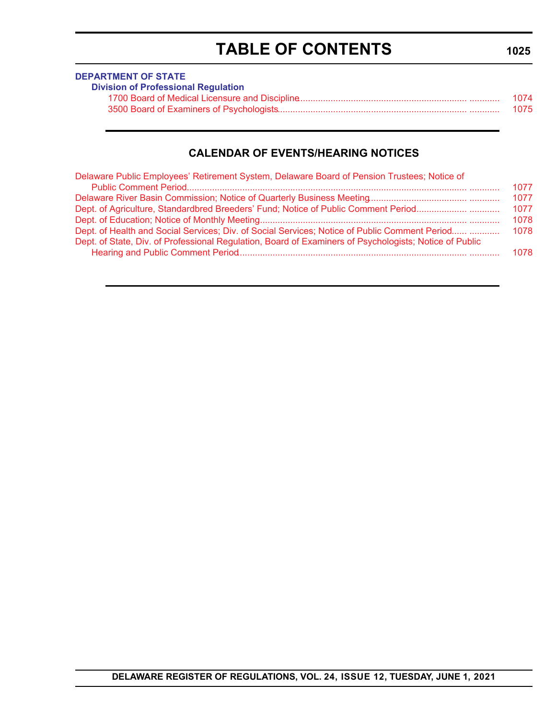# **TABLE OF CONTENTS**

<span id="page-4-0"></span>

| <b>DEPARTMENT OF STATE</b>                 |      |
|--------------------------------------------|------|
| <b>Division of Professional Regulation</b> |      |
|                                            | 1074 |
|                                            | 1075 |

# **CALENDAR OF EVENTS/HEARING NOTICES**

| Delaware Public Employees' Retirement System, Delaware Board of Pension Trustees; Notice of                                                                                                             |      |
|---------------------------------------------------------------------------------------------------------------------------------------------------------------------------------------------------------|------|
|                                                                                                                                                                                                         | 1077 |
|                                                                                                                                                                                                         | 1077 |
| Dept. of Agriculture, Standardbred Breeders' Fund; Notice of Public Comment Period                                                                                                                      | 1077 |
|                                                                                                                                                                                                         | 1078 |
| Dept. of Health and Social Services; Div. of Social Services; Notice of Public Comment Period<br>Dept. of State, Div. of Professional Regulation, Board of Examiners of Psychologists; Notice of Public | 1078 |
|                                                                                                                                                                                                         | 1078 |

# **1025**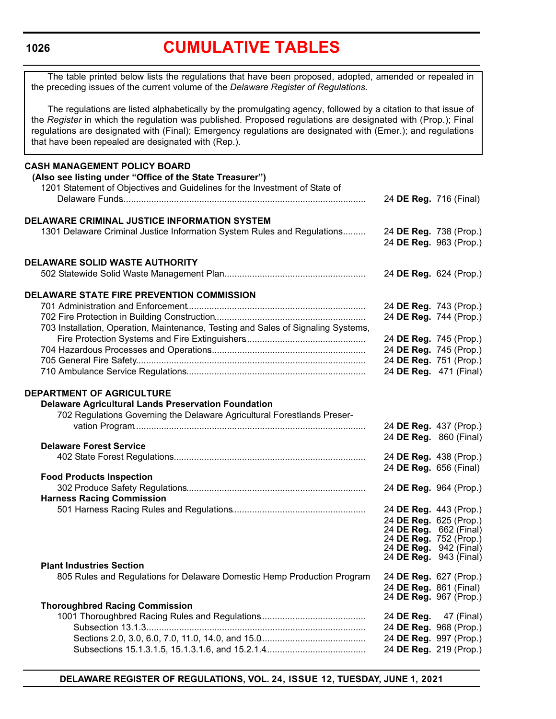# **[CUMULATIVE TABLES](#page-3-0)**

<span id="page-5-0"></span>The table printed below lists the regulations that have been proposed, adopted, amended or repealed in the preceding issues of the current volume of the *Delaware Register of Regulations*.

The regulations are listed alphabetically by the promulgating agency, followed by a citation to that issue of the *Register* in which the regulation was published. Proposed regulations are designated with (Prop.); Final regulations are designated with (Final); Emergency regulations are designated with (Emer.); and regulations that have been repealed are designated with (Rep.).

| <b>CASH MANAGEMENT POLICY BOARD</b><br>(Also see listing under "Office of the State Treasurer")<br>1201 Statement of Objectives and Guidelines for the Investment of State of |                                                  |            |
|-------------------------------------------------------------------------------------------------------------------------------------------------------------------------------|--------------------------------------------------|------------|
|                                                                                                                                                                               | 24 DE Reg. 716 (Final)                           |            |
| DELAWARE CRIMINAL JUSTICE INFORMATION SYSTEM                                                                                                                                  |                                                  |            |
| 1301 Delaware Criminal Justice Information System Rules and Regulations                                                                                                       | 24 DE Reg. 738 (Prop.)<br>24 DE Reg. 963 (Prop.) |            |
| <b>DELAWARE SOLID WASTE AUTHORITY</b>                                                                                                                                         |                                                  |            |
|                                                                                                                                                                               | 24 DE Reg. 624 (Prop.)                           |            |
| DELAWARE STATE FIRE PREVENTION COMMISSION                                                                                                                                     |                                                  |            |
|                                                                                                                                                                               | 24 DE Reg. 743 (Prop.)                           |            |
|                                                                                                                                                                               | 24 DE Reg. 744 (Prop.)                           |            |
| 703 Installation, Operation, Maintenance, Testing and Sales of Signaling Systems,                                                                                             |                                                  |            |
|                                                                                                                                                                               | 24 DE Reg. 745 (Prop.)                           |            |
|                                                                                                                                                                               | 24 DE Reg. 745 (Prop.)                           |            |
|                                                                                                                                                                               | 24 DE Reg. 751 (Prop.)                           |            |
|                                                                                                                                                                               | 24 DE Reg. 471 (Final)                           |            |
| <b>DEPARTMENT OF AGRICULTURE</b>                                                                                                                                              |                                                  |            |
| <b>Delaware Agricultural Lands Preservation Foundation</b>                                                                                                                    |                                                  |            |
| 702 Regulations Governing the Delaware Agricultural Forestlands Preser-                                                                                                       |                                                  |            |
|                                                                                                                                                                               | 24 DE Reg. 437 (Prop.)                           |            |
| <b>Delaware Forest Service</b>                                                                                                                                                | 24 DE Reg. 860 (Final)                           |            |
|                                                                                                                                                                               |                                                  |            |
|                                                                                                                                                                               | 24 DE Reg. 438 (Prop.)<br>24 DE Reg. 656 (Final) |            |
| <b>Food Products Inspection</b>                                                                                                                                               |                                                  |            |
|                                                                                                                                                                               | 24 DE Reg. 964 (Prop.)                           |            |
| <b>Harness Racing Commission</b>                                                                                                                                              |                                                  |            |
|                                                                                                                                                                               | 24 DE Reg. 443 (Prop.)                           |            |
|                                                                                                                                                                               | 24 DE Reg. 625 (Prop.)                           |            |
|                                                                                                                                                                               | 24 DE Reg. 662 (Final)                           |            |
|                                                                                                                                                                               | 24 DE Reg. 752 (Prop.)                           |            |
|                                                                                                                                                                               | 24 DE Reg. 942 (Final)                           |            |
| <b>Plant Industries Section</b>                                                                                                                                               | 24 DE Reg. 943 (Final)                           |            |
| 805 Rules and Regulations for Delaware Domestic Hemp Production Program                                                                                                       | 24 DE Reg. 627 (Prop.)                           |            |
|                                                                                                                                                                               | 24 DE Reg. 861 (Final)                           |            |
|                                                                                                                                                                               | 24 DE Reg. 967 (Prop.)                           |            |
| <b>Thoroughbred Racing Commission</b>                                                                                                                                         |                                                  |            |
|                                                                                                                                                                               | 24 DE Reg.                                       | 47 (Final) |
|                                                                                                                                                                               | 24 DE Reg. 968 (Prop.)                           |            |
|                                                                                                                                                                               | 24 DE Reg. 997 (Prop.)                           |            |
|                                                                                                                                                                               | 24 DE Reg. 219 (Prop.)                           |            |
|                                                                                                                                                                               |                                                  |            |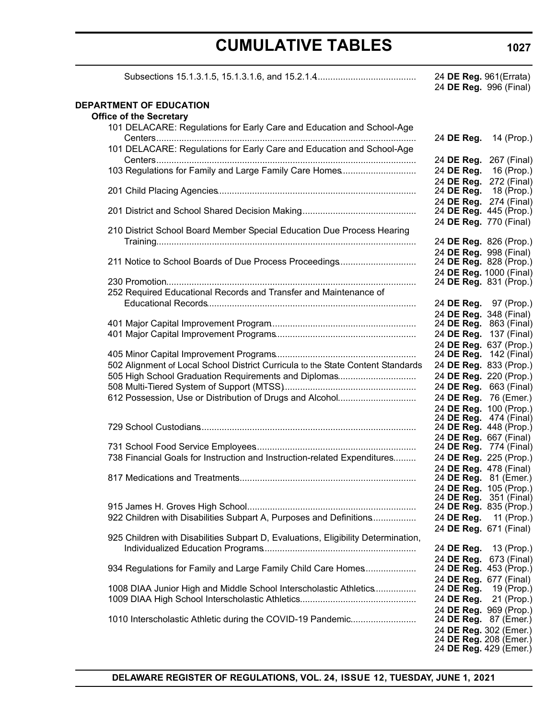# **CUMULATIVE TABLES**

Subsections 15.1.3.1.5, 15.1.3.1.6, and 15.2.1.4........................................ 24 **DE Reg.** 961(Errata)

| v.<br>۰. |  |
|----------|--|
|----------|--|

|                                                                                   | 24 DE Reg. 996 (Final)                           |             |
|-----------------------------------------------------------------------------------|--------------------------------------------------|-------------|
| DEPARTMENT OF EDUCATION                                                           |                                                  |             |
| <b>Office of the Secretary</b>                                                    |                                                  |             |
| 101 DELACARE: Regulations for Early Care and Education and School-Age             |                                                  |             |
|                                                                                   | 24 DE Reg.                                       | 14 (Prop.)  |
| 101 DELACARE: Regulations for Early Care and Education and School-Age             |                                                  |             |
|                                                                                   | 24 DE Reg. 267 (Final)                           |             |
| 103 Regulations for Family and Large Family Care Homes                            | 24 DE Reg.                                       | 16 (Prop.)  |
|                                                                                   | 24 DE Reg.                                       | 272 (Final) |
|                                                                                   | 24 DE Reg.<br>24 DE Reg. 274 (Final)             | 18 (Prop.)  |
|                                                                                   | 24 DE Reg. 445 (Prop.)                           |             |
|                                                                                   | 24 DE Reg. 770 (Final)                           |             |
| 210 District School Board Member Special Education Due Process Hearing            |                                                  |             |
|                                                                                   | 24 DE Reg. 826 (Prop.)                           |             |
|                                                                                   | 24 DE Reg. 998 (Final)                           |             |
| 211 Notice to School Boards of Due Process Proceedings                            | 24 DE Reg. 828 (Prop.)                           |             |
|                                                                                   | 24 DE Reg. 1000 (Final)                          |             |
|                                                                                   | 24 DE Reg. 831 (Prop.)                           |             |
| 252 Required Educational Records and Transfer and Maintenance of                  |                                                  |             |
|                                                                                   | 24 DE Reg. 97 (Prop.)                            |             |
|                                                                                   | 24 DE Reg. 348 (Final)<br>24 DE Reg. 863 (Final) |             |
|                                                                                   | 24 DE Reg. 137 (Final)                           |             |
|                                                                                   | 24 DE Reg. 637 (Prop.)                           |             |
|                                                                                   | 24 DE Reg. 142 (Final)                           |             |
| 502 Alignment of Local School District Curricula to the State Content Standards   | 24 DE Reg. 833 (Prop.)                           |             |
| 505 High School Graduation Requirements and Diplomas                              | 24 DE Reg. 220 (Prop.)                           |             |
|                                                                                   | 24 DE Reg. 663 (Final)                           |             |
| 612 Possession, Use or Distribution of Drugs and Alcohol                          | 24 DE Reg. 76 (Emer.)                            |             |
|                                                                                   | 24 DE Reg. 100 (Prop.)                           |             |
|                                                                                   | 24 DE Reg. 474 (Final)                           |             |
|                                                                                   | 24 DE Reg. 448 (Prop.)                           |             |
|                                                                                   | 24 DE Reg. 667 (Final)<br>24 DE Reg. 774 (Final) |             |
| 738 Financial Goals for Instruction and Instruction-related Expenditures          | 24 DE Reg. 225 (Prop.)                           |             |
|                                                                                   | 24 DE Reg. 478 (Final)                           |             |
|                                                                                   | 24 DE Reg. 81 (Emer.)                            |             |
|                                                                                   | 24 DE Reg. 105 (Prop.)<br>24 DE Reg. 351 (Final) |             |
|                                                                                   |                                                  |             |
|                                                                                   | 24 DE Reg. 835 (Prop.)                           |             |
| 922 Children with Disabilities Subpart A, Purposes and Definitions                | 24 DE Reg. 11 (Prop.)                            |             |
| 925 Children with Disabilities Subpart D, Evaluations, Eligibility Determination, | 24 DE Reg. 671 (Final)                           |             |
|                                                                                   | 24 DE Reg.                                       | 13 (Prop.)  |
|                                                                                   | 24 DE Reg. 673 (Final)                           |             |
| 934 Regulations for Family and Large Family Child Care Homes                      | 24 DE Reg. 453 (Prop.)                           |             |
|                                                                                   | 24 DE Reg. 677 (Final)                           |             |
| 1008 DIAA Junior High and Middle School Interscholastic Athletics                 | 24 DE Reg.                                       | 19 (Prop.)  |
|                                                                                   | 24 DE Reg.                                       | 21 (Prop.)  |
|                                                                                   | 24 DE Reg. 969 (Prop.)                           |             |
| 1010 Interscholastic Athletic during the COVID-19 Pandemic                        | 24 DE Reg. 87 (Emer.)                            |             |
|                                                                                   | 24 DE Reg. 302 (Emer.)<br>24 DE Reg. 208 (Emer.) |             |
|                                                                                   | 24 DE Reg. 429 (Emer.)                           |             |
|                                                                                   |                                                  |             |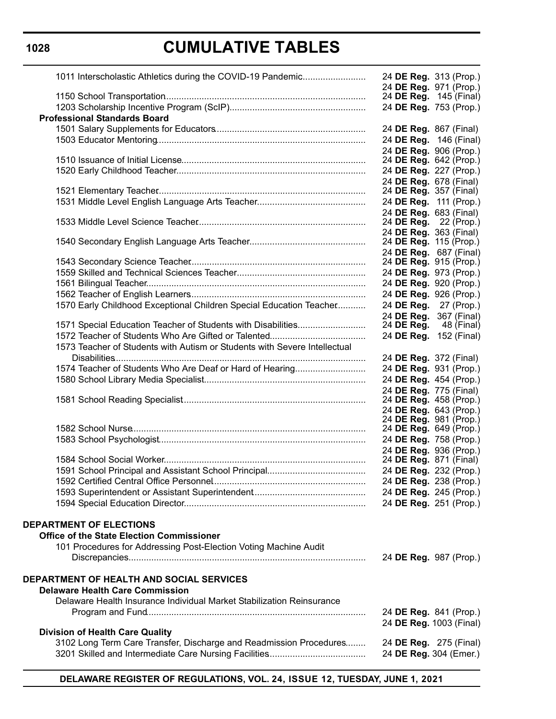# **CUMULATIVE TABLES**

| 1011 Interscholastic Athletics during the COVID-19 Pandemic               | 24 DE Reg. 313 (Prop.)        |                                      |
|---------------------------------------------------------------------------|-------------------------------|--------------------------------------|
|                                                                           | 24 DE Reg. 971 (Prop.)        | 24 DE Reg. 145 (Final)               |
|                                                                           |                               | 24 DE Reg. 753 (Prop.)               |
| <b>Professional Standards Board</b>                                       |                               |                                      |
|                                                                           | 24 DE Reg. 867 (Final)        |                                      |
|                                                                           |                               | 24 DE Reg. 146 (Final)               |
|                                                                           | 24 DE Reg. 906 (Prop.)        |                                      |
|                                                                           | 24 DE Reg. 642 (Prop.)        |                                      |
|                                                                           | 24 DE Reg. 227 (Prop.)        |                                      |
|                                                                           | 24 DE Reg. 678 (Final)        |                                      |
|                                                                           | 24 <b>DE Reg.</b> 357 (Final) |                                      |
|                                                                           | 24 DE Reg. 111 (Prop.)        |                                      |
|                                                                           | 24 DE Reg. 683 (Final)        |                                      |
|                                                                           | 24 <b>DE Reg.</b> 22 (Prop.)  |                                      |
|                                                                           | 24 DE Reg. 363 (Final)        |                                      |
|                                                                           | 24 DE Reg. 115 (Prop.)        |                                      |
|                                                                           | 24 DE Reg. 687 (Final)        |                                      |
|                                                                           |                               | 24 DE Reg. 915 (Prop.)               |
|                                                                           |                               | 24 DE Reg. 973 (Prop.)               |
|                                                                           |                               | 24 DE Reg. 920 (Prop.)               |
|                                                                           |                               | 24 DE Reg. 926 (Prop.)               |
| 1570 Early Childhood Exceptional Children Special Education Teacher       |                               | 24 DE Reg. 27 (Prop.)                |
| 1571 Special Education Teacher of Students with Disabilities              | 24 DE Reg.                    | 24 DE Req. 367 (Final)<br>48 (Final) |
|                                                                           |                               | 24 DE Reg. 152 (Final)               |
| 1573 Teacher of Students with Autism or Students with Severe Intellectual |                               |                                      |
|                                                                           | 24 DE Reg. 372 (Final)        |                                      |
| 1574 Teacher of Students Who Are Deaf or Hard of Hearing                  | 24 DE Reg. 931 (Prop.)        |                                      |
|                                                                           | 24 DE Reg. 454 (Prop.)        |                                      |
|                                                                           | 24 DE Reg. 775 (Final)        |                                      |
|                                                                           | 24 DE Reg. 458 (Prop.)        |                                      |
|                                                                           | 24 DE Reg. 643 (Prop.)        |                                      |
|                                                                           | 24 DE Reg. 981 (Prop.)        |                                      |
|                                                                           | 24 DE Reg. 649 (Prop.)        |                                      |
|                                                                           | 24 DE Reg. 758 (Prop.)        |                                      |
|                                                                           | 24 DE Reg. 936 (Prop.)        |                                      |
|                                                                           | 24 DE Reg. 871 (Final)        |                                      |
|                                                                           |                               | 24 DE Reg. 232 (Prop.)               |
|                                                                           |                               | 24 DE Reg. 238 (Prop.)               |
|                                                                           | 24 DE Reg. 245 (Prop.)        |                                      |
|                                                                           | 24 DE Reg. 251 (Prop.)        |                                      |
| <b>DEPARTMENT OF ELECTIONS</b>                                            |                               |                                      |
| <b>Office of the State Election Commissioner</b>                          |                               |                                      |
| 101 Procedures for Addressing Post-Election Voting Machine Audit          |                               |                                      |
|                                                                           | 24 DE Reg. 987 (Prop.)        |                                      |
| DEPARTMENT OF HEALTH AND SOCIAL SERVICES                                  |                               |                                      |
| <b>Delaware Health Care Commission</b>                                    |                               |                                      |
| Delaware Health Insurance Individual Market Stabilization Reinsurance     |                               |                                      |
|                                                                           | 24 DE Reg. 841 (Prop.)        |                                      |
|                                                                           |                               | 24 DE Reg. 1003 (Final)              |
| <b>Division of Health Care Quality</b>                                    |                               |                                      |
| 3102 Long Term Care Transfer, Discharge and Readmission Procedures        | 24 DE Reg. 275 (Final)        |                                      |
|                                                                           | 24 DE Reg. 304 (Emer.)        |                                      |
|                                                                           |                               |                                      |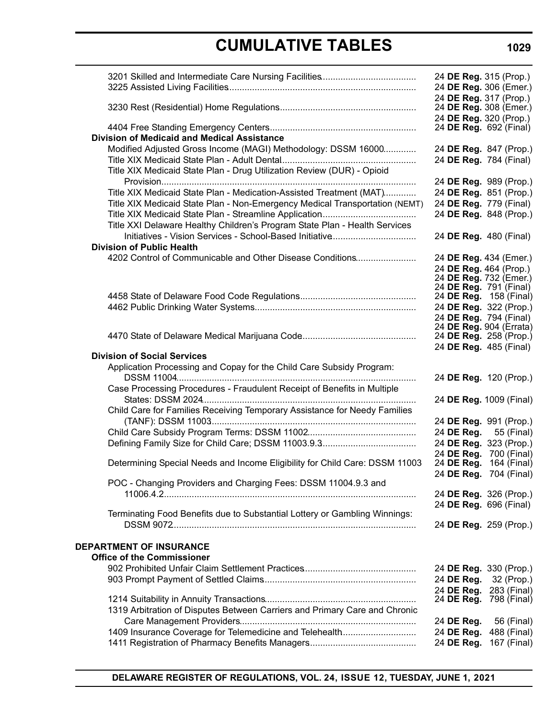# **CUMULATIVE TABLES**

|                                                                                                                                       | 24 DE Reg. 315 (Prop.)<br>24 DE Reg. 306 (Emer.)                           |
|---------------------------------------------------------------------------------------------------------------------------------------|----------------------------------------------------------------------------|
|                                                                                                                                       | 24 DE Reg. 317 (Prop.)<br>24 DE Reg. 308 (Emer.)<br>24 DE Reg. 320 (Prop.) |
|                                                                                                                                       | 24 DE Reg. 692 (Final)                                                     |
| <b>Division of Medicaid and Medical Assistance</b>                                                                                    |                                                                            |
| Modified Adjusted Gross Income (MAGI) Methodology: DSSM 16000                                                                         | 24 DE Reg. 847 (Prop.)                                                     |
|                                                                                                                                       | 24 DE Reg. 784 (Final)                                                     |
| Title XIX Medicaid State Plan - Drug Utilization Review (DUR) - Opioid                                                                |                                                                            |
|                                                                                                                                       | 24 DE Reg. 989 (Prop.)                                                     |
| Title XIX Medicaid State Plan - Medication-Assisted Treatment (MAT)                                                                   | 24 DE Reg. 851 (Prop.)                                                     |
| Title XIX Medicaid State Plan - Non-Emergency Medical Transportation (NEMT)                                                           | 24 DE Reg. 779 (Final)                                                     |
|                                                                                                                                       | 24 DE Reg. 848 (Prop.)                                                     |
| Title XXI Delaware Healthy Children's Program State Plan - Health Services<br>Initiatives - Vision Services - School-Based Initiative | 24 DE Reg. 480 (Final)                                                     |
| <b>Division of Public Health</b>                                                                                                      |                                                                            |
| 4202 Control of Communicable and Other Disease Conditions                                                                             | 24 DE Reg. 434 (Emer.)                                                     |
|                                                                                                                                       | 24 DE Reg. 464 (Prop.)                                                     |
|                                                                                                                                       | 24 DE Reg. 732 (Emer.)                                                     |
|                                                                                                                                       | 24 DE Reg. 791 (Final)                                                     |
|                                                                                                                                       | 24 DE Reg. 158 (Final)<br>24 DE Reg. 322 (Prop.)                           |
|                                                                                                                                       | 24 DE Reg. 794 (Final)                                                     |
|                                                                                                                                       | 24 DE Reg. 904 (Errata)                                                    |
|                                                                                                                                       | 24 DE Reg. 258 (Prop.)                                                     |
|                                                                                                                                       | 24 DE Reg. 485 (Final)                                                     |
| <b>Division of Social Services</b>                                                                                                    |                                                                            |
| Application Processing and Copay for the Child Care Subsidy Program:                                                                  | 24 DE Reg. 120 (Prop.)                                                     |
| Case Processing Procedures - Fraudulent Receipt of Benefits in Multiple                                                               | 24 DE Reg. 1009 (Final)                                                    |
| Child Care for Families Receiving Temporary Assistance for Needy Families                                                             |                                                                            |
|                                                                                                                                       | 24 DE Reg. 991 (Prop.)                                                     |
|                                                                                                                                       | 24 DE Reg.<br>55 (Final)<br>24 DE Reg. 323 (Prop.)                         |
|                                                                                                                                       | 24 DE Reg. 700 (Final)                                                     |
| Determining Special Needs and Income Eligibility for Child Care: DSSM 11003                                                           | 24 DE Reg. 164 (Final)                                                     |
|                                                                                                                                       | 24 DE Reg. 704 (Final)                                                     |
| POC - Changing Providers and Charging Fees: DSSM 11004.9.3 and                                                                        |                                                                            |
|                                                                                                                                       | 24 DE Reg. 326 (Prop.)                                                     |
|                                                                                                                                       | 24 DE Reg. 696 (Final)                                                     |
| Terminating Food Benefits due to Substantial Lottery or Gambling Winnings:                                                            | 24 DE Reg. 259 (Prop.)                                                     |
| <b>DEPARTMENT OF INSURANCE</b>                                                                                                        |                                                                            |
| <b>Office of the Commissioner</b>                                                                                                     |                                                                            |
|                                                                                                                                       | 24 DE Reg. 330 (Prop.)                                                     |
|                                                                                                                                       | 24 DE Reg.<br>32 (Prop.)                                                   |
|                                                                                                                                       | 24 DE Reg. 283 (Final)<br>24 <b>DE Reg.</b> 798 (Final)                    |
| 1319 Arbitration of Disputes Between Carriers and Primary Care and Chronic                                                            |                                                                            |
|                                                                                                                                       | 56 (Final)<br>24 DE Reg.                                                   |
| 1409 Insurance Coverage for Telemedicine and Telehealth                                                                               | 24 DE Reg. 488 (Final)                                                     |
|                                                                                                                                       | 24 DE Reg. 167 (Final)                                                     |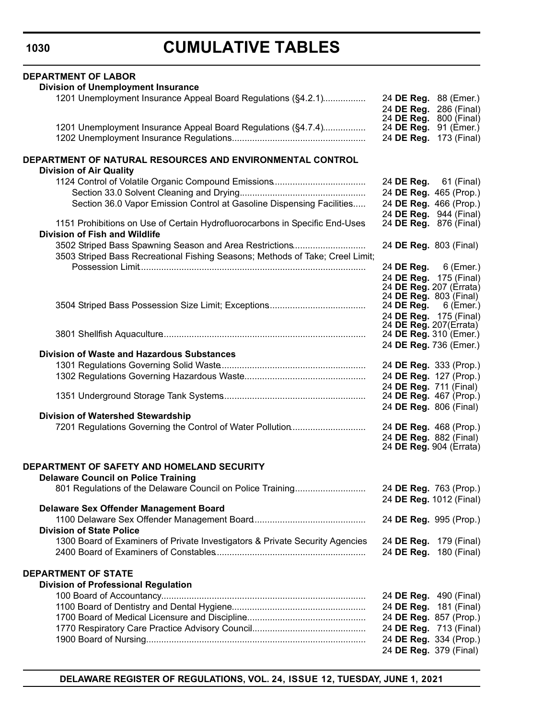# **CUMULATIVE TABLES**

| <b>DEPARTMENT OF LABOR</b>                                                                                   |                        |                               |
|--------------------------------------------------------------------------------------------------------------|------------------------|-------------------------------|
| <b>Division of Unemployment Insurance</b>                                                                    |                        |                               |
| 1201 Unemployment Insurance Appeal Board Regulations (§4.2.1)                                                |                        | 24 DE Reg. 88 (Emer.)         |
|                                                                                                              |                        | 24 DE Reg. 286 (Final)        |
|                                                                                                              |                        | 24 DE Reg. 800 (Final)        |
| 1201 Unemployment Insurance Appeal Board Regulations (§4.7.4)                                                | 24 DE Reg.             | 91 (Emer.)                    |
|                                                                                                              | 24 DE Reg.             | 173 (Final)                   |
| DEPARTMENT OF NATURAL RESOURCES AND ENVIRONMENTAL CONTROL                                                    |                        |                               |
| <b>Division of Air Quality</b>                                                                               |                        |                               |
|                                                                                                              |                        | 24 <b>DE Reg.</b> 61 (Final)  |
|                                                                                                              |                        | 24 DE Reg. 465 (Prop.)        |
| Section 36.0 Vapor Emission Control at Gasoline Dispensing Facilities                                        |                        | 24 DE Reg. 466 (Prop.)        |
|                                                                                                              |                        | 24 DE Reg. 944 (Final)        |
| 1151 Prohibitions on Use of Certain Hydrofluorocarbons in Specific End-Uses<br>Division of Fish and Wildlife |                        | 24 <b>DE Reg.</b> 876 (Final) |
| 3502 Striped Bass Spawning Season and Area Restrictions                                                      | 24 DE Reg. 803 (Final) |                               |
| 3503 Striped Bass Recreational Fishing Seasons; Methods of Take; Creel Limit;                                |                        |                               |
|                                                                                                              |                        | 24 DE Reg. 6 (Emer.)          |
|                                                                                                              |                        | 24 DE Reg. 175 (Final)        |
|                                                                                                              |                        | 24 DE Reg. 207 (Errata)       |
|                                                                                                              | 24 DE Reg. 803 (Final) |                               |
|                                                                                                              | 24 DE Reg.             | 6 (Emer.)                     |
|                                                                                                              | 24 DE Reg. 207(Errata) | 24 DE Reg. 175 (Final)        |
|                                                                                                              | 24 DE Reg. 310 (Emer.) |                               |
|                                                                                                              | 24 DE Reg. 736 (Emer.) |                               |
| <b>Division of Waste and Hazardous Substances</b>                                                            |                        |                               |
|                                                                                                              | 24 DE Reg. 333 (Prop.) |                               |
|                                                                                                              |                        | 24 DE Reg. 127 (Prop.)        |
|                                                                                                              | 24 DE Reg. 711 (Final) |                               |
|                                                                                                              |                        | 24 <b>DE Reg.</b> 467 (Prop.) |
|                                                                                                              | 24 DE Reg. 806 (Final) |                               |
| Division of Watershed Stewardship                                                                            |                        |                               |
| 7201 Regulations Governing the Control of Water Pollution                                                    |                        | 24 DE Reg. 468 (Prop.)        |
|                                                                                                              | 24 DE Reg. 882 (Final) |                               |
|                                                                                                              |                        | 24 DE Reg. 904 (Errata)       |
| DEPARTMENT OF SAFETY AND HOMELAND SECURITY                                                                   |                        |                               |
| <b>Delaware Council on Police Training</b>                                                                   |                        |                               |
| 801 Regulations of the Delaware Council on Police Training                                                   |                        | 24 DE Reg. 763 (Prop.)        |
|                                                                                                              |                        | 24 DE Reg. 1012 (Final)       |
| Delaware Sex Offender Management Board                                                                       |                        |                               |
|                                                                                                              |                        | 24 DE Reg. 995 (Prop.)        |
| <b>Division of State Police</b>                                                                              |                        |                               |
| 1300 Board of Examiners of Private Investigators & Private Security Agencies                                 |                        | 24 DE Reg. 179 (Final)        |
|                                                                                                              |                        | 24 DE Reg. 180 (Final)        |
|                                                                                                              |                        |                               |
| <b>DEPARTMENT OF STATE</b>                                                                                   |                        |                               |
| <b>Division of Professional Regulation</b>                                                                   |                        |                               |
|                                                                                                              |                        | 24 DE Reg. 490 (Final)        |
|                                                                                                              |                        | 24 DE Reg. 181 (Final)        |
|                                                                                                              | 24 DE Reg. 857 (Prop.) |                               |
|                                                                                                              |                        | 24 DE Reg. 713 (Final)        |
|                                                                                                              | 24 DE Reg. 334 (Prop.) |                               |
|                                                                                                              | 24 DE Reg. 379 (Final) |                               |
|                                                                                                              |                        |                               |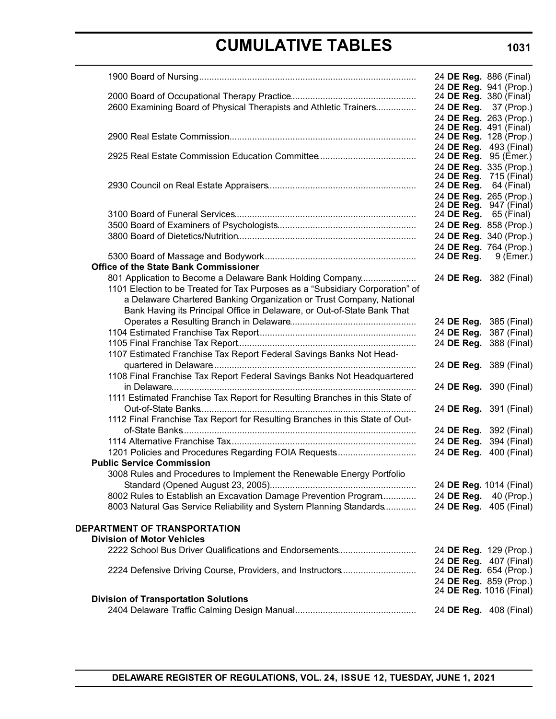# **CUMULATIVE TABLES**

|                                                                               | 24 <b>DE Reg.</b> 886 (Final) |                                       |
|-------------------------------------------------------------------------------|-------------------------------|---------------------------------------|
|                                                                               |                               | 24 DE Reg. 941 (Prop.)                |
|                                                                               |                               | 24 DE Reg. 380 (Final)                |
| 2600 Examining Board of Physical Therapists and Athletic Trainers             |                               | 24 DE Reg. 37 (Prop.)                 |
|                                                                               |                               | 24 DE Reg. 263 (Prop.)                |
|                                                                               | 24 DE Reg. 128 (Prop.)        | 24 DE Reg. 491 (Final)                |
|                                                                               |                               | 24 DE Reg. 493 (Final)                |
|                                                                               |                               | 24 DE Reg. 95 (Emer.)                 |
|                                                                               |                               | 24 DE Reg. 335 (Prop.)                |
|                                                                               |                               | 24 DE Reg. 715 (Final)                |
|                                                                               | 24 DE Reg.                    | 64 (Final)                            |
|                                                                               | 24 DE Reg.                    | 24 DE Reg. 265 (Prop.)<br>947 (Final) |
|                                                                               | 24 DE Reg.                    | 65 (Final)                            |
|                                                                               | 24 DE Reg. 858 (Prop.)        |                                       |
|                                                                               |                               | 24 DE Reg. 340 (Prop.)                |
|                                                                               |                               | 24 DE Reg. 764 (Prop.)                |
|                                                                               | 24 DE Reg.                    | 9 (Emer.)                             |
| <b>Office of the State Bank Commissioner</b>                                  |                               |                                       |
| 801 Application to Become a Delaware Bank Holding Company                     | 24 DE Reg. 382 (Final)        |                                       |
| 1101 Election to be Treated for Tax Purposes as a "Subsidiary Corporation" of |                               |                                       |
| a Delaware Chartered Banking Organization or Trust Company, National          |                               |                                       |
| Bank Having its Principal Office in Delaware, or Out-of-State Bank That       |                               |                                       |
|                                                                               | 24 DE Reg.                    | 385 (Final)                           |
|                                                                               | 24 DE Reg.                    | 387 (Final)                           |
|                                                                               | 24 DE Reg.                    | 388 (Final)                           |
| 1107 Estimated Franchise Tax Report Federal Savings Banks Not Head-           |                               |                                       |
|                                                                               | 24 DE Reg. 389 (Final)        |                                       |
| 1108 Final Franchise Tax Report Federal Savings Banks Not Headquartered       |                               |                                       |
|                                                                               | 24 DE Reg. 390 (Final)        |                                       |
| 1111 Estimated Franchise Tax Report for Resulting Branches in this State of   |                               |                                       |
|                                                                               | 24 DE Reg. 391 (Final)        |                                       |
| 1112 Final Franchise Tax Report for Resulting Branches in this State of Out-  |                               |                                       |
|                                                                               | 24 DE Reg.                    | 392 (Final)                           |
|                                                                               | 24 DE Reg.                    | 394 (Final)                           |
| 1201 Policies and Procedures Regarding FOIA Requests                          | 24 DE Reg.                    | 400 (Final)                           |
| <b>Public Service Commission</b>                                              |                               |                                       |
| 3008 Rules and Procedures to Implement the Renewable Energy Portfolio         |                               |                                       |
|                                                                               | 24 DE Reg. 1014 (Final)       |                                       |
| 8002 Rules to Establish an Excavation Damage Prevention Program               | 24 DE Reg.                    | 40 (Prop.)                            |
| 8003 Natural Gas Service Reliability and System Planning Standards            | 24 DE Reg. 405 (Final)        |                                       |
| DEPARTMENT OF TRANSPORTATION                                                  |                               |                                       |
| <b>Division of Motor Vehicles</b>                                             |                               |                                       |
| 2222 School Bus Driver Qualifications and Endorsements                        | 24 DE Reg. 129 (Prop.)        |                                       |
|                                                                               |                               | 24 DE Reg. 407 (Final)                |
| 2224 Defensive Driving Course, Providers, and Instructors                     |                               | 24 DE Reg. 654 (Prop.)                |
|                                                                               |                               | 24 DE Reg. 859 (Prop.)                |
|                                                                               |                               | 24 DE Reg. 1016 (Final)               |
| <b>Division of Transportation Solutions</b>                                   |                               |                                       |
|                                                                               | 24 DE Reg. 408 (Final)        |                                       |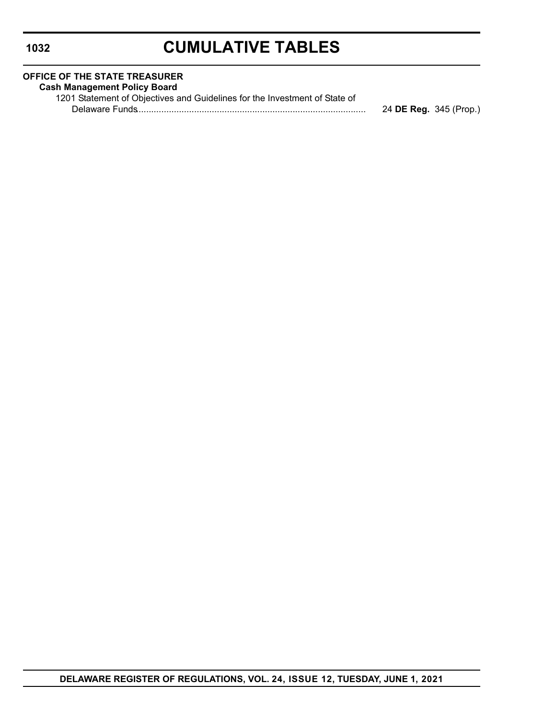# **CUMULATIVE TABLES**

| <b>OFFICE OF THE STATE TREASURER</b>                                       |                        |
|----------------------------------------------------------------------------|------------------------|
| <b>Cash Management Policy Board</b>                                        |                        |
| 1201 Statement of Objectives and Guidelines for the Investment of State of |                        |
|                                                                            | 24 DE Reg. 345 (Prop.) |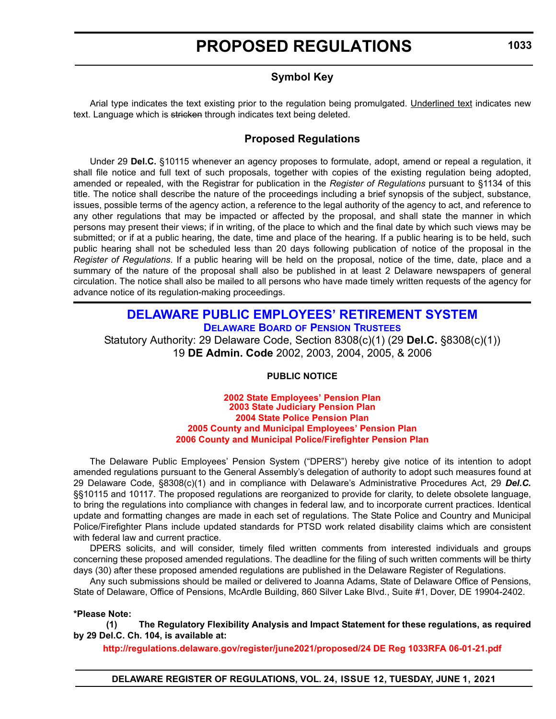# **Symbol Key**

<span id="page-12-0"></span>Arial type indicates the text existing prior to the regulation being promulgated. Underlined text indicates new text. Language which is stricken through indicates text being deleted.

# **Proposed Regulations**

Under 29 **Del.C.** §10115 whenever an agency proposes to formulate, adopt, amend or repeal a regulation, it shall file notice and full text of such proposals, together with copies of the existing regulation being adopted, amended or repealed, with the Registrar for publication in the *Register of Regulations* pursuant to §1134 of this title. The notice shall describe the nature of the proceedings including a brief synopsis of the subject, substance, issues, possible terms of the agency action, a reference to the legal authority of the agency to act, and reference to any other regulations that may be impacted or affected by the proposal, and shall state the manner in which persons may present their views; if in writing, of the place to which and the final date by which such views may be submitted; or if at a public hearing, the date, time and place of the hearing. If a public hearing is to be held, such public hearing shall not be scheduled less than 20 days following publication of notice of the proposal in the *Register of Regulations*. If a public hearing will be held on the proposal, notice of the time, date, place and a summary of the nature of the proposal shall also be published in at least 2 Delaware newspapers of general circulation. The notice shall also be mailed to all persons who have made timely written requests of the agency for advance notice of its regulation-making proceedings.

# **[DELAWARE PUBLIC EMPLOYEES' RETIREMENT SYSTEM](https://open.omb.delaware.gov/) DELAWARE BOARD [OF PENSION TRUSTEES](https://open.omb.delaware.gov/information/boardTrusties/BoardTrusteesMinutes.shtml)**

Statutory Authority: 29 Delaware Code, Section 8308(c)(1) (29 **Del.C.** §8308(c)(1)) 19 **DE Admin. Code** 2002, 2003, 2004, 2005, & 2006

# **PUBLIC NOTICE**

#### **2002 State Employees' Pension Plan 2003 State Judiciary Pension Plan 2004 State Police Pension Plan 2005 County and Municipal Employees' Pension Plan [2006 County and Municipal Police/Firefighter Pension Plan](#page-3-0)**

The Delaware Public Employees' Pension System ("DPERS") hereby give notice of its intention to adopt amended regulations pursuant to the General Assembly's delegation of authority to adopt such measures found at 29 Delaware Code, §8308(c)(1) and in compliance with Delaware's Administrative Procedures Act, 29 *Del.C.* §§10115 and 10117. The proposed regulations are reorganized to provide for clarity, to delete obsolete language, to bring the regulations into compliance with changes in federal law, and to incorporate current practices. Identical update and formatting changes are made in each set of regulations. The State Police and Country and Municipal Police/Firefighter Plans include updated standards for PTSD work related disability claims which are consistent with federal law and current practice.

DPERS solicits, and will consider, timely filed written comments from interested individuals and groups concerning these proposed amended regulations. The deadline for the filing of such written comments will be thirty days (30) after these proposed amended regulations are published in the Delaware Register of Regulations.

Any such submissions should be mailed or delivered to Joanna Adams, State of Delaware Office of Pensions, State of Delaware, Office of Pensions, McArdle Building, 860 Silver Lake Blvd., Suite #1, Dover, DE 19904-2402.

### **\*Please Note:**

**(1) The Regulatory Flexibility Analysis and Impact Statement for these regulations, as required by 29 Del.C. Ch. 104, is available at:**

**<http://regulations.delaware.gov/register/june2021/proposed/24 DE Reg 1033RFA 06-01-21.pdf>**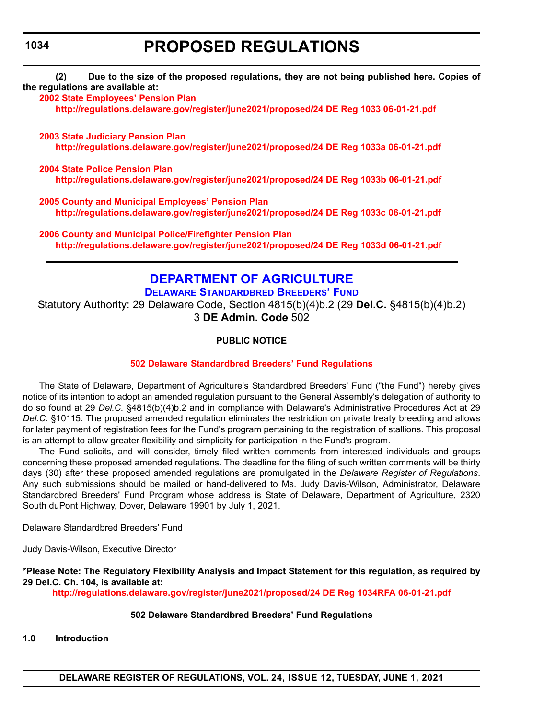**(2) Due to the size of the proposed regulations, they are not being published here. Copies of the regulations are available at:**

**[2002 State Employees' Pension Plan](http://regulations.delaware.gov/register/june2021/proposed/24 DE Reg 1033 06-01-21.pdf) <http://regulations.delaware.gov/register/june2021/proposed/24 DE Reg 1033 06-01-21.pdf>**

**[2003 State Judiciary Pension Plan](http://regulations.delaware.gov/register/june2021/proposed/24 DE Reg 1033a 06-01-21.pdf) <http://regulations.delaware.gov/register/june2021/proposed/24 DE Reg 1033a 06-01-21.pdf>**

**[2004 State Police Pension Plan](http://regulations.delaware.gov/register/june2021/proposed/24 DE Reg 1033b 06-01-21.pdf) <http://regulations.delaware.gov/register/june2021/proposed/24 DE Reg 1033b 06-01-21.pdf>**

**[2005 County and Municipal Employees' Pension Plan](http://regulations.delaware.gov/register/june2021/proposed/24 DE Reg 1033c 06-01-21.pdf) <http://regulations.delaware.gov/register/june2021/proposed/24 DE Reg 1033c 06-01-21.pdf>**

**[2006 County and Municipal Police/Firefighter Pension Plan](http://regulations.delaware.gov/register/june2021/proposed/24 DE Reg 1033d 06-01-21.pdf) <http://regulations.delaware.gov/register/june2021/proposed/24 DE Reg 1033d 06-01-21.pdf>**

# **[DEPARTMENT OF AGRICULTURE](https://agriculture.delaware.gov/)**

**[DELAWARE STANDARDBRED BREEDERS' FUND](https://agriculture.delaware.gov/)** Statutory Authority: 29 Delaware Code, Section 4815(b)(4)b.2 (29 **Del.C.** §4815(b)(4)b.2) 3 **DE Admin. Code** 502

# **PUBLIC NOTICE**

# **502 Delaware [Standardbred Breeders' Fund Regulations](#page-3-0)**

The State of Delaware, Department of Agriculture's Standardbred Breeders' Fund ("the Fund") hereby gives notice of its intention to adopt an amended regulation pursuant to the General Assembly's delegation of authority to do so found at 29 *Del.C.* §4815(b)(4)b.2 and in compliance with Delaware's Administrative Procedures Act at 29 *Del.C.* §10115. The proposed amended regulation eliminates the restriction on private treaty breeding and allows for later payment of registration fees for the Fund's program pertaining to the registration of stallions. This proposal is an attempt to allow greater flexibility and simplicity for participation in the Fund's program.

The Fund solicits, and will consider, timely filed written comments from interested individuals and groups concerning these proposed amended regulations. The deadline for the filing of such written comments will be thirty days (30) after these proposed amended regulations are promulgated in the *Delaware Register of Regulations*. Any such submissions should be mailed or hand-delivered to Ms. Judy Davis-Wilson, Administrator, Delaware Standardbred Breeders' Fund Program whose address is State of Delaware, Department of Agriculture, 2320 South duPont Highway, Dover, Delaware 19901 by July 1, 2021.

Delaware Standardbred Breeders' Fund

Judy Davis-Wilson, Executive Director

**\*Please Note: The Regulatory Flexibility Analysis and Impact Statement for this regulation, as required by 29 Del.C. Ch. 104, is available at:**

**<http://regulations.delaware.gov/register/june2021/proposed/24 DE Reg 1034RFA 06-01-21.pdf>**

# **502 Delaware Standardbred Breeders' Fund Regulations**

**1.0 Introduction**

<span id="page-13-0"></span>**1034**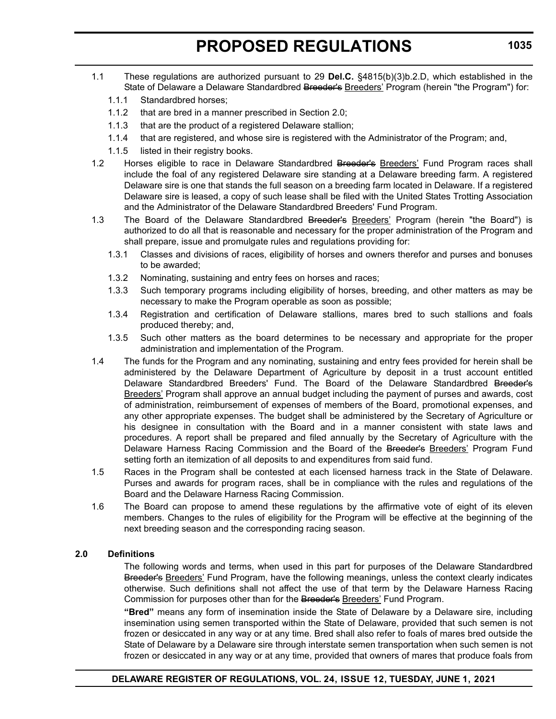- 1.1 These regulations are authorized pursuant to 29 **Del.C.** §4815(b)(3)b.2.D, which established in the State of Delaware a Delaware Standardbred Breeder's Breeders' Program (herein "the Program") for:
	- 1.1.1 Standardbred horses;
	- 1.1.2 that are bred in a manner prescribed in Section 2.0;
	- 1.1.3 that are the product of a registered Delaware stallion;
	- 1.1.4 that are registered, and whose sire is registered with the Administrator of the Program; and,
	- 1.1.5 listed in their registry books.
- 1.2 Horses eligible to race in Delaware Standardbred Breeder's **Breeders'** Fund Program races shall include the foal of any registered Delaware sire standing at a Delaware breeding farm. A registered Delaware sire is one that stands the full season on a breeding farm located in Delaware. If a registered Delaware sire is leased, a copy of such lease shall be filed with the United States Trotting Association and the Administrator of the Delaware Standardbred Breeders' Fund Program.
- 1.3 The Board of the Delaware Standardbred Breeder's Breeders' Program (herein "the Board") is authorized to do all that is reasonable and necessary for the proper administration of the Program and shall prepare, issue and promulgate rules and regulations providing for:
	- 1.3.1 Classes and divisions of races, eligibility of horses and owners therefor and purses and bonuses to be awarded;
	- 1.3.2 Nominating, sustaining and entry fees on horses and races;
	- 1.3.3 Such temporary programs including eligibility of horses, breeding, and other matters as may be necessary to make the Program operable as soon as possible;
	- 1.3.4 Registration and certification of Delaware stallions, mares bred to such stallions and foals produced thereby; and,
	- 1.3.5 Such other matters as the board determines to be necessary and appropriate for the proper administration and implementation of the Program.
- 1.4 The funds for the Program and any nominating, sustaining and entry fees provided for herein shall be administered by the Delaware Department of Agriculture by deposit in a trust account entitled Delaware Standardbred Breeders' Fund. The Board of the Delaware Standardbred Breeder's Breeders' Program shall approve an annual budget including the payment of purses and awards, cost of administration, reimbursement of expenses of members of the Board, promotional expenses, and any other appropriate expenses. The budget shall be administered by the Secretary of Agriculture or his designee in consultation with the Board and in a manner consistent with state laws and procedures. A report shall be prepared and filed annually by the Secretary of Agriculture with the Delaware Harness Racing Commission and the Board of the Breeder's Breeders' Program Fund setting forth an itemization of all deposits to and expenditures from said fund.
- 1.5 Races in the Program shall be contested at each licensed harness track in the State of Delaware. Purses and awards for program races, shall be in compliance with the rules and regulations of the Board and the Delaware Harness Racing Commission.
- 1.6 The Board can propose to amend these regulations by the affirmative vote of eight of its eleven members. Changes to the rules of eligibility for the Program will be effective at the beginning of the next breeding season and the corresponding racing season.

# **2.0 Definitions**

The following words and terms, when used in this part for purposes of the Delaware Standardbred Breeder's Breeders' Fund Program, have the following meanings, unless the context clearly indicates otherwise. Such definitions shall not affect the use of that term by the Delaware Harness Racing Commission for purposes other than for the Breeder's Breeders' Fund Program.

**"Bred"** means any form of insemination inside the State of Delaware by a Delaware sire, including insemination using semen transported within the State of Delaware, provided that such semen is not frozen or desiccated in any way or at any time. Bred shall also refer to foals of mares bred outside the State of Delaware by a Delaware sire through interstate semen transportation when such semen is not frozen or desiccated in any way or at any time, provided that owners of mares that produce foals from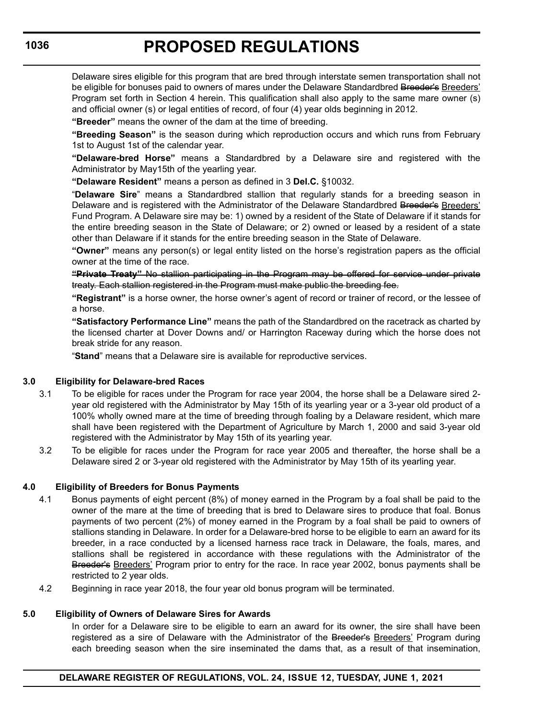Delaware sires eligible for this program that are bred through interstate semen transportation shall not be eligible for bonuses paid to owners of mares under the Delaware Standardbred Breeder's Breeders' Program set forth in Section 4 herein. This qualification shall also apply to the same mare owner (s) and official owner (s) or legal entities of record, of four (4) year olds beginning in 2012.

**"Breeder"** means the owner of the dam at the time of breeding.

**"Breeding Season"** is the season during which reproduction occurs and which runs from February 1st to August 1st of the calendar year.

**"Delaware-bred Horse"** means a Standardbred by a Delaware sire and registered with the Administrator by May15th of the yearling year.

**"Delaware Resident"** means a person as defined in 3 **Del.C.** §10032.

"**Delaware Sire**" means a Standardbred stallion that regularly stands for a breeding season in Delaware and is registered with the Administrator of the Delaware Standardbred Breeder's Breeders' Fund Program. A Delaware sire may be: 1) owned by a resident of the State of Delaware if it stands for the entire breeding season in the State of Delaware; or 2) owned or leased by a resident of a state other than Delaware if it stands for the entire breeding season in the State of Delaware.

**"Owner"** means any person(s) or legal entity listed on the horse's registration papers as the official owner at the time of the race.

**"Private Treaty"** No stallion participating in the Program may be offered for service under private treaty. Each stallion registered in the Program must make public the breeding fee.

**"Registrant"** is a horse owner, the horse owner's agent of record or trainer of record, or the lessee of a horse.

**"Satisfactory Performance Line"** means the path of the Standardbred on the racetrack as charted by the licensed charter at Dover Downs and/ or Harrington Raceway during which the horse does not break stride for any reason.

"**Stand**" means that a Delaware sire is available for reproductive services.

# **3.0 Eligibility for Delaware-bred Races**

- 3.1 To be eligible for races under the Program for race year 2004, the horse shall be a Delaware sired 2 year old registered with the Administrator by May 15th of its yearling year or a 3-year old product of a 100% wholly owned mare at the time of breeding through foaling by a Delaware resident, which mare shall have been registered with the Department of Agriculture by March 1, 2000 and said 3-year old registered with the Administrator by May 15th of its yearling year.
- 3.2 To be eligible for races under the Program for race year 2005 and thereafter, the horse shall be a Delaware sired 2 or 3-year old registered with the Administrator by May 15th of its yearling year.

### **4.0 Eligibility of Breeders for Bonus Payments**

- 4.1 Bonus payments of eight percent (8%) of money earned in the Program by a foal shall be paid to the owner of the mare at the time of breeding that is bred to Delaware sires to produce that foal. Bonus payments of two percent (2%) of money earned in the Program by a foal shall be paid to owners of stallions standing in Delaware. In order for a Delaware-bred horse to be eligible to earn an award for its breeder, in a race conducted by a licensed harness race track in Delaware, the foals, mares, and stallions shall be registered in accordance with these regulations with the Administrator of the Breeder's Breeders' Program prior to entry for the race. In race year 2002, bonus payments shall be restricted to 2 year olds.
- 4.2 Beginning in race year 2018, the four year old bonus program will be terminated.

### **5.0 Eligibility of Owners of Delaware Sires for Awards**

In order for a Delaware sire to be eligible to earn an award for its owner, the sire shall have been registered as a sire of Delaware with the Administrator of the Breeder's Breeders' Program during each breeding season when the sire inseminated the dams that, as a result of that insemination,

**1036**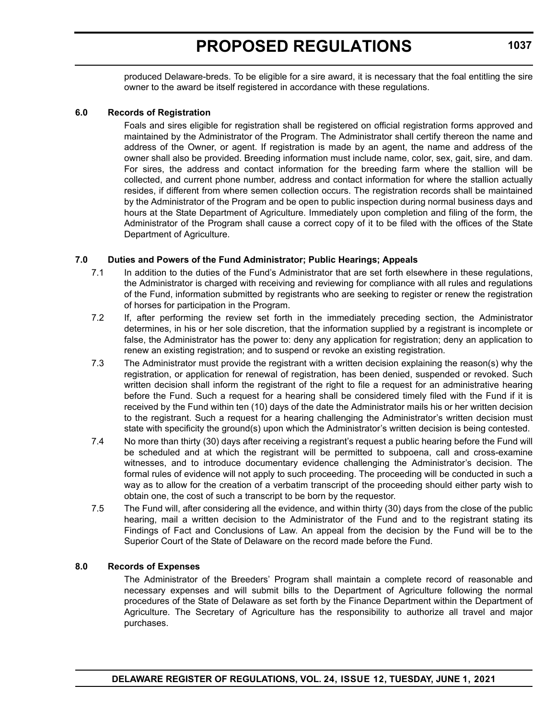produced Delaware-breds. To be eligible for a sire award, it is necessary that the foal entitling the sire owner to the award be itself registered in accordance with these regulations.

### **6.0 Records of Registration**

Foals and sires eligible for registration shall be registered on official registration forms approved and maintained by the Administrator of the Program. The Administrator shall certify thereon the name and address of the Owner, or agent. If registration is made by an agent, the name and address of the owner shall also be provided. Breeding information must include name, color, sex, gait, sire, and dam. For sires, the address and contact information for the breeding farm where the stallion will be collected, and current phone number, address and contact information for where the stallion actually resides, if different from where semen collection occurs. The registration records shall be maintained by the Administrator of the Program and be open to public inspection during normal business days and hours at the State Department of Agriculture. Immediately upon completion and filing of the form, the Administrator of the Program shall cause a correct copy of it to be filed with the offices of the State Department of Agriculture.

# **7.0 Duties and Powers of the Fund Administrator; Public Hearings; Appeals**

- 7.1 In addition to the duties of the Fund's Administrator that are set forth elsewhere in these regulations, the Administrator is charged with receiving and reviewing for compliance with all rules and regulations of the Fund, information submitted by registrants who are seeking to register or renew the registration of horses for participation in the Program.
- 7.2 If, after performing the review set forth in the immediately preceding section, the Administrator determines, in his or her sole discretion, that the information supplied by a registrant is incomplete or false, the Administrator has the power to: deny any application for registration; deny an application to renew an existing registration; and to suspend or revoke an existing registration.
- 7.3 The Administrator must provide the registrant with a written decision explaining the reason(s) why the registration, or application for renewal of registration, has been denied, suspended or revoked. Such written decision shall inform the registrant of the right to file a request for an administrative hearing before the Fund. Such a request for a hearing shall be considered timely filed with the Fund if it is received by the Fund within ten (10) days of the date the Administrator mails his or her written decision to the registrant. Such a request for a hearing challenging the Administrator's written decision must state with specificity the ground(s) upon which the Administrator's written decision is being contested.
- 7.4 No more than thirty (30) days after receiving a registrant's request a public hearing before the Fund will be scheduled and at which the registrant will be permitted to subpoena, call and cross-examine witnesses, and to introduce documentary evidence challenging the Administrator's decision. The formal rules of evidence will not apply to such proceeding. The proceeding will be conducted in such a way as to allow for the creation of a verbatim transcript of the proceeding should either party wish to obtain one, the cost of such a transcript to be born by the requestor.
- 7.5 The Fund will, after considering all the evidence, and within thirty (30) days from the close of the public hearing, mail a written decision to the Administrator of the Fund and to the registrant stating its Findings of Fact and Conclusions of Law. An appeal from the decision by the Fund will be to the Superior Court of the State of Delaware on the record made before the Fund.

### **8.0 Records of Expenses**

The Administrator of the Breeders' Program shall maintain a complete record of reasonable and necessary expenses and will submit bills to the Department of Agriculture following the normal procedures of the State of Delaware as set forth by the Finance Department within the Department of Agriculture. The Secretary of Agriculture has the responsibility to authorize all travel and major purchases.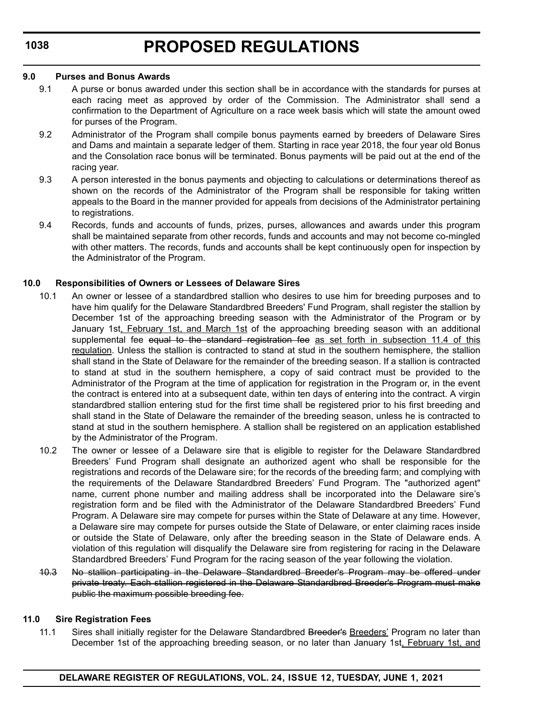### **9.0 Purses and Bonus Awards**

- 9.1 A purse or bonus awarded under this section shall be in accordance with the standards for purses at each racing meet as approved by order of the Commission. The Administrator shall send a confirmation to the Department of Agriculture on a race week basis which will state the amount owed for purses of the Program.
- 9.2 Administrator of the Program shall compile bonus payments earned by breeders of Delaware Sires and Dams and maintain a separate ledger of them. Starting in race year 2018, the four year old Bonus and the Consolation race bonus will be terminated. Bonus payments will be paid out at the end of the racing year.
- 9.3 A person interested in the bonus payments and objecting to calculations or determinations thereof as shown on the records of the Administrator of the Program shall be responsible for taking written appeals to the Board in the manner provided for appeals from decisions of the Administrator pertaining to registrations.
- 9.4 Records, funds and accounts of funds, prizes, purses, allowances and awards under this program shall be maintained separate from other records, funds and accounts and may not become co-mingled with other matters. The records, funds and accounts shall be kept continuously open for inspection by the Administrator of the Program.

# **10.0 Responsibilities of Owners or Lessees of Delaware Sires**

- 10.1 An owner or lessee of a standardbred stallion who desires to use him for breeding purposes and to have him qualify for the Delaware Standardbred Breeders' Fund Program, shall register the stallion by December 1st of the approaching breeding season with the Administrator of the Program or by January 1st, February 1st, and March 1st of the approaching breeding season with an additional supplemental fee equal to the standard registration fee as set forth in subsection 11.4 of this regulation. Unless the stallion is contracted to stand at stud in the southern hemisphere, the stallion shall stand in the State of Delaware for the remainder of the breeding season. If a stallion is contracted to stand at stud in the southern hemisphere, a copy of said contract must be provided to the Administrator of the Program at the time of application for registration in the Program or, in the event the contract is entered into at a subsequent date, within ten days of entering into the contract. A virgin standardbred stallion entering stud for the first time shall be registered prior to his first breeding and shall stand in the State of Delaware the remainder of the breeding season, unless he is contracted to stand at stud in the southern hemisphere. A stallion shall be registered on an application established by the Administrator of the Program.
- 10.2 The owner or lessee of a Delaware sire that is eligible to register for the Delaware Standardbred Breeders' Fund Program shall designate an authorized agent who shall be responsible for the registrations and records of the Delaware sire; for the records of the breeding farm; and complying with the requirements of the Delaware Standardbred Breeders' Fund Program. The "authorized agent" name, current phone number and mailing address shall be incorporated into the Delaware sire's registration form and be filed with the Administrator of the Delaware Standardbred Breeders' Fund Program. A Delaware sire may compete for purses within the State of Delaware at any time. However, a Delaware sire may compete for purses outside the State of Delaware, or enter claiming races inside or outside the State of Delaware, only after the breeding season in the State of Delaware ends. A violation of this regulation will disqualify the Delaware sire from registering for racing in the Delaware Standardbred Breeders' Fund Program for the racing season of the year following the violation.
- 10.3 No stallion participating in the Delaware Standardbred Breeder's Program may be offered under private treaty. Each stallion registered in the Delaware Standardbred Breeder's Program must make public the maximum possible breeding fee.

# **11.0 Sire Registration Fees**

11.1 Sires shall initially register for the Delaware Standardbred Breeder's Breeders' Program no later than December 1st of the approaching breeding season, or no later than January 1st, February 1st, and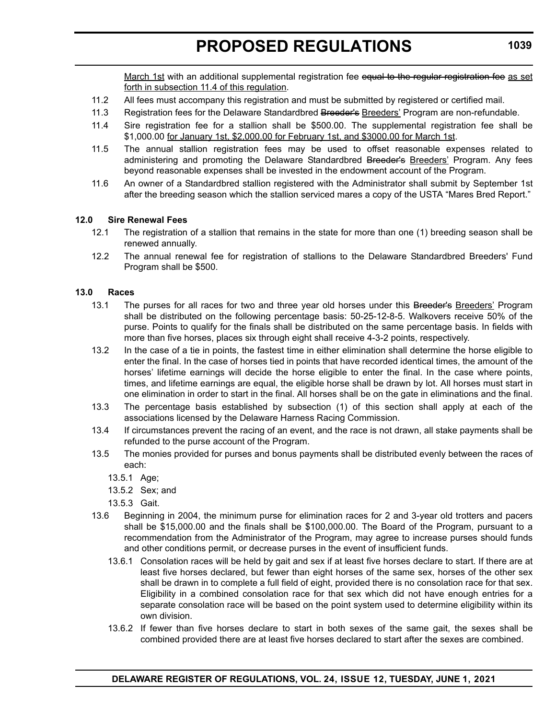March 1st with an additional supplemental registration fee equal to the regular registration fee as set forth in subsection 11.4 of this regulation.

- 11.2 All fees must accompany this registration and must be submitted by registered or certified mail.
- 11.3 Registration fees for the Delaware Standardbred Breeder's Breeders' Program are non-refundable.
- 11.4 Sire registration fee for a stallion shall be \$500.00. The supplemental registration fee shall be \$1,000.00 for January 1st, \$2,000.00 for February 1st, and \$3000.00 for March 1st.
- 11.5 The annual stallion registration fees may be used to offset reasonable expenses related to administering and promoting the Delaware Standardbred Breeder's Breeders' Program. Any fees beyond reasonable expenses shall be invested in the endowment account of the Program.
- 11.6 An owner of a Standardbred stallion registered with the Administrator shall submit by September 1st after the breeding season which the stallion serviced mares a copy of the USTA "Mares Bred Report."

# **12.0 Sire Renewal Fees**

- 12.1 The registration of a stallion that remains in the state for more than one (1) breeding season shall be renewed annually.
- 12.2 The annual renewal fee for registration of stallions to the Delaware Standardbred Breeders' Fund Program shall be \$500.

### **13.0 Races**

- 13.1 The purses for all races for two and three year old horses under this Breeder's Breeders' Program shall be distributed on the following percentage basis: 50-25-12-8-5. Walkovers receive 50% of the purse. Points to qualify for the finals shall be distributed on the same percentage basis. In fields with more than five horses, places six through eight shall receive 4-3-2 points, respectively.
- 13.2 In the case of a tie in points, the fastest time in either elimination shall determine the horse eligible to enter the final. In the case of horses tied in points that have recorded identical times, the amount of the horses' lifetime earnings will decide the horse eligible to enter the final. In the case where points, times, and lifetime earnings are equal, the eligible horse shall be drawn by lot. All horses must start in one elimination in order to start in the final. All horses shall be on the gate in eliminations and the final.
- 13.3 The percentage basis established by subsection (1) of this section shall apply at each of the associations licensed by the Delaware Harness Racing Commission.
- 13.4 If circumstances prevent the racing of an event, and the race is not drawn, all stake payments shall be refunded to the purse account of the Program.
- 13.5 The monies provided for purses and bonus payments shall be distributed evenly between the races of each:
	- 13.5.1 Age;
	- 13.5.2 Sex; and
	- 13.5.3 Gait.
- 13.6 Beginning in 2004, the minimum purse for elimination races for 2 and 3-year old trotters and pacers shall be \$15,000.00 and the finals shall be \$100,000.00. The Board of the Program, pursuant to a recommendation from the Administrator of the Program, may agree to increase purses should funds and other conditions permit, or decrease purses in the event of insufficient funds.
	- 13.6.1 Consolation races will be held by gait and sex if at least five horses declare to start. If there are at least five horses declared, but fewer than eight horses of the same sex, horses of the other sex shall be drawn in to complete a full field of eight, provided there is no consolation race for that sex. Eligibility in a combined consolation race for that sex which did not have enough entries for a separate consolation race will be based on the point system used to determine eligibility within its own division.
	- 13.6.2 If fewer than five horses declare to start in both sexes of the same gait, the sexes shall be combined provided there are at least five horses declared to start after the sexes are combined.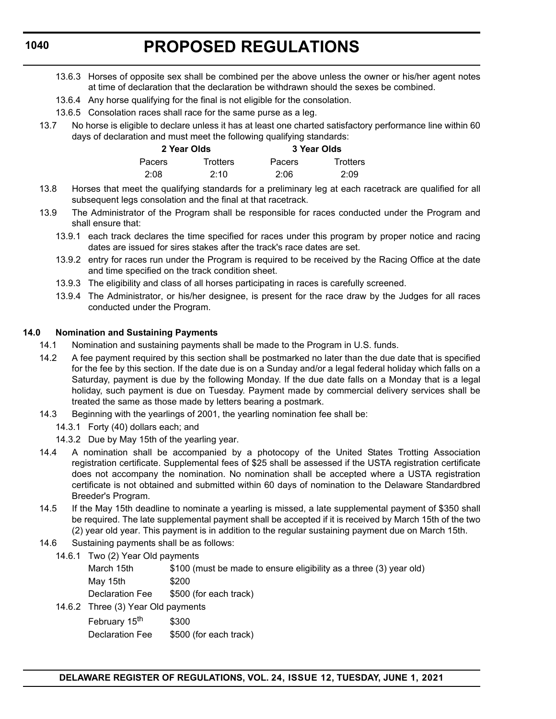- 13.6.3 Horses of opposite sex shall be combined per the above unless the owner or his/her agent notes at time of declaration that the declaration be withdrawn should the sexes be combined.
- 13.6.4 Any horse qualifying for the final is not eligible for the consolation.
- 13.6.5 Consolation races shall race for the same purse as a leg.
- 13.7 No horse is eligible to declare unless it has at least one charted satisfactory performance line within 60 days of declaration and must meet the following qualifying standards:

| 2 Year Olds |                 | 3 Year Olds   |                 |  |
|-------------|-----------------|---------------|-----------------|--|
| Pacers      | <b>Trotters</b> | <b>Pacers</b> | <b>Trotters</b> |  |
| 2:08        | 2:10            | 2:06          | 2:09            |  |

- 13.8 Horses that meet the qualifying standards for a preliminary leg at each racetrack are qualified for all subsequent legs consolation and the final at that racetrack.
- 13.9 The Administrator of the Program shall be responsible for races conducted under the Program and shall ensure that:
	- 13.9.1 each track declares the time specified for races under this program by proper notice and racing dates are issued for sires stakes after the track's race dates are set.
	- 13.9.2 entry for races run under the Program is required to be received by the Racing Office at the date and time specified on the track condition sheet.
	- 13.9.3 The eligibility and class of all horses participating in races is carefully screened.
	- 13.9.4 The Administrator, or his/her designee, is present for the race draw by the Judges for all races conducted under the Program.

# **14.0 Nomination and Sustaining Payments**

- 14.1 Nomination and sustaining payments shall be made to the Program in U.S. funds.
- 14.2 A fee payment required by this section shall be postmarked no later than the due date that is specified for the fee by this section. If the date due is on a Sunday and/or a legal federal holiday which falls on a Saturday, payment is due by the following Monday. If the due date falls on a Monday that is a legal holiday, such payment is due on Tuesday. Payment made by commercial delivery services shall be treated the same as those made by letters bearing a postmark.
- 14.3 Beginning with the yearlings of 2001, the yearling nomination fee shall be:
	- 14.3.1 Forty (40) dollars each; and
	- 14.3.2 Due by May 15th of the yearling year.
- 14.4 A nomination shall be accompanied by a photocopy of the United States Trotting Association registration certificate. Supplemental fees of \$25 shall be assessed if the USTA registration certificate does not accompany the nomination. No nomination shall be accepted where a USTA registration certificate is not obtained and submitted within 60 days of nomination to the Delaware Standardbred Breeder's Program.
- 14.5 If the May 15th deadline to nominate a yearling is missed, a late supplemental payment of \$350 shall be required. The late supplemental payment shall be accepted if it is received by March 15th of the two (2) year old year. This payment is in addition to the regular sustaining payment due on March 15th.
- 14.6 Sustaining payments shall be as follows:
	- 14.6.1 Two (2) Year Old payments

| March 15th                         | \$100 (must be made to ensure eligibility as a three (3) year old) |  |
|------------------------------------|--------------------------------------------------------------------|--|
| Mav 15th                           | \$200                                                              |  |
| Declaration Fee                    | \$500 (for each track)                                             |  |
| 14.6.2 Three (3) Year Old payments |                                                                    |  |

February  $15<sup>th</sup>$  \$300 Declaration Fee \$500 (for each track)

# **1040**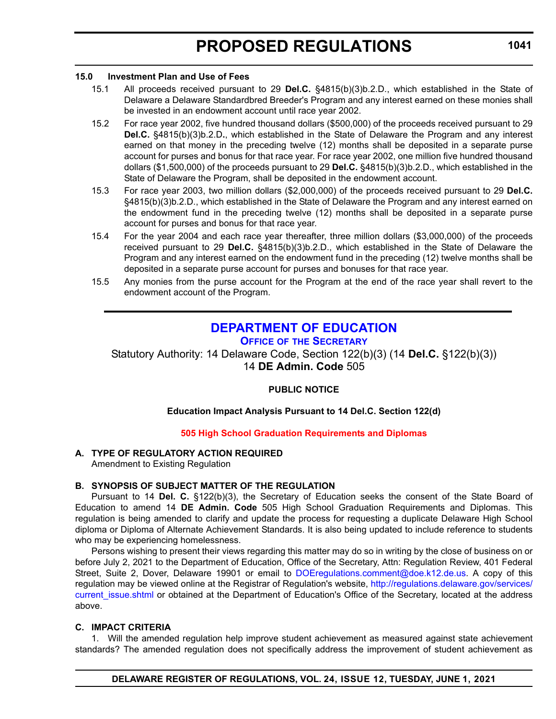### <span id="page-20-0"></span>**15.0 Investment Plan and Use of Fees**

- 15.1 All proceeds received pursuant to 29 **Del.C.** §4815(b)(3)b.2.D., which established in the State of Delaware a Delaware Standardbred Breeder's Program and any interest earned on these monies shall be invested in an endowment account until race year 2002.
- 15.2 For race year 2002, five hundred thousand dollars (\$500,000) of the proceeds received pursuant to 29 **Del.C.** §4815(b)(3)b.2.D**.**, which established in the State of Delaware the Program and any interest earned on that money in the preceding twelve (12) months shall be deposited in a separate purse account for purses and bonus for that race year. For race year 2002, one million five hundred thousand dollars (\$1,500,000) of the proceeds pursuant to 29 **Del.C.** §4815(b)(3)b.2.D., which established in the State of Delaware the Program, shall be deposited in the endowment account.
- 15.3 For race year 2003, two million dollars (\$2,000,000) of the proceeds received pursuant to 29 **Del.C.** §4815(b)(3)b.2.D., which established in the State of Delaware the Program and any interest earned on the endowment fund in the preceding twelve (12) months shall be deposited in a separate purse account for purses and bonus for that race year.
- 15.4 For the year 2004 and each race year thereafter, three million dollars (\$3,000,000) of the proceeds received pursuant to 29 **Del.C.** §4815(b)(3)b.2.D., which established in the State of Delaware the Program and any interest earned on the endowment fund in the preceding (12) twelve months shall be deposited in a separate purse account for purses and bonuses for that race year.
- 15.5 Any monies from the purse account for the Program at the end of the race year shall revert to the endowment account of the Program.

# **[DEPARTMENT OF EDUCATION](https://www.doe.k12.de.us/)**

**OFFICE OF [THE SECRETARY](https://www.doe.k12.de.us/Page/11)**

Statutory Authority: 14 Delaware Code, Section 122(b)(3) (14 **Del.C.** §122(b)(3)) 14 **DE Admin. Code** 505

# **PUBLIC NOTICE**

# **Education Impact Analysis Pursuant to 14 Del.C. Section 122(d)**

# **[505 High School Graduation Requirements and Diplomas](#page-3-0)**

# **A. TYPE OF REGULATORY ACTION REQUIRED**

Amendment to Existing Regulation

# **B. SYNOPSIS OF SUBJECT MATTER OF THE REGULATION**

Pursuant to 14 **Del. C.** §122(b)(3), the Secretary of Education seeks the consent of the State Board of Education to amend 14 **DE Admin. Code** 505 High School Graduation Requirements and Diplomas. This regulation is being amended to clarify and update the process for requesting a duplicate Delaware High School diploma or Diploma of Alternate Achievement Standards. It is also being updated to include reference to students who may be experiencing homelessness.

Persons wishing to present their views regarding this matter may do so in writing by the close of business on or before July 2, 2021 to the Department of Education, Office of the Secretary, Attn: Regulation Review, 401 Federal Street, Suite 2, Dover, Delaware 19901 or email to [DOEregulations.comment@doe.k12.de.us](mailto:DOEregulations.comment@doe.k12.de.us). A copy of this regulation may be viewed online at the Registrar of Regulation's website, [http://regulations.delaware.gov/services/](http://regulations.delaware.gov/services/current_issue.shtml) current issue.shtml or obtained at the Department of Education's Office of the Secretary, located at the address above.

# **C. IMPACT CRITERIA**

1. Will the amended regulation help improve student achievement as measured against state achievement standards? The amended regulation does not specifically address the improvement of student achievement as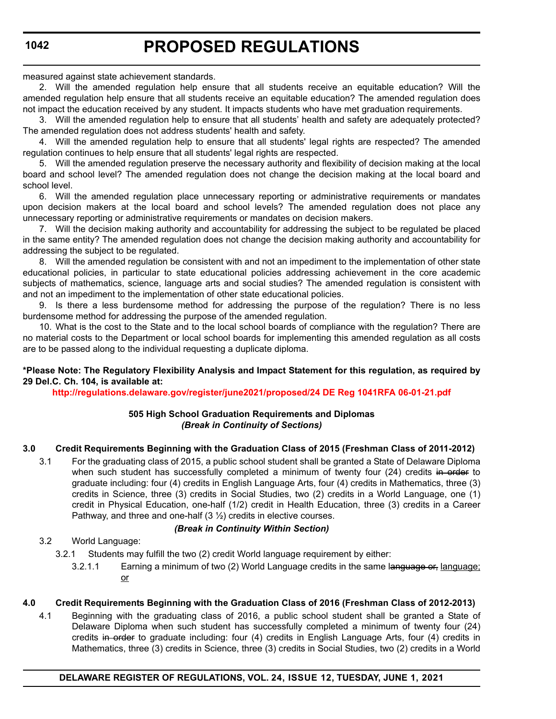measured against state achievement standards.

2. Will the amended regulation help ensure that all students receive an equitable education? Will the amended regulation help ensure that all students receive an equitable education? The amended regulation does not impact the education received by any student. It impacts students who have met graduation requirements.

3. Will the amended regulation help to ensure that all students' health and safety are adequately protected? The amended regulation does not address students' health and safety.

4. Will the amended regulation help to ensure that all students' legal rights are respected? The amended regulation continues to help ensure that all students' legal rights are respected.

5. Will the amended regulation preserve the necessary authority and flexibility of decision making at the local board and school level? The amended regulation does not change the decision making at the local board and school level.

6. Will the amended regulation place unnecessary reporting or administrative requirements or mandates upon decision makers at the local board and school levels? The amended regulation does not place any unnecessary reporting or administrative requirements or mandates on decision makers.

7. Will the decision making authority and accountability for addressing the subject to be regulated be placed in the same entity? The amended regulation does not change the decision making authority and accountability for addressing the subject to be regulated.

8. Will the amended regulation be consistent with and not an impediment to the implementation of other state educational policies, in particular to state educational policies addressing achievement in the core academic subjects of mathematics, science, language arts and social studies? The amended regulation is consistent with and not an impediment to the implementation of other state educational policies.

9. Is there a less burdensome method for addressing the purpose of the regulation? There is no less burdensome method for addressing the purpose of the amended regulation.

10. What is the cost to the State and to the local school boards of compliance with the regulation? There are no material costs to the Department or local school boards for implementing this amended regulation as all costs are to be passed along to the individual requesting a duplicate diploma.

# **\*Please Note: The Regulatory Flexibility Analysis and Impact Statement for this regulation, as required by 29 Del.C. Ch. 104, is available at:**

**<http://regulations.delaware.gov/register/june2021/proposed/24 DE Reg 1041RFA 06-01-21.pdf>**

# **505 High School Graduation Requirements and Diplomas** *(Break in Continuity of Sections)*

# **3.0 Credit Requirements Beginning with the Graduation Class of 2015 (Freshman Class of 2011-2012)**

3.1 For the graduating class of 2015, a public school student shall be granted a State of Delaware Diploma when such student has successfully completed a minimum of twenty four (24) credits in order to graduate including: four (4) credits in English Language Arts, four (4) credits in Mathematics, three (3) credits in Science, three (3) credits in Social Studies, two (2) credits in a World Language, one (1) credit in Physical Education, one-half (1/2) credit in Health Education, three (3) credits in a Career Pathway, and three and one-half (3 ½) credits in elective courses.

# *(Break in Continuity Within Section)*

3.2 World Language:

- 3.2.1 Students may fulfill the two (2) credit World language requirement by either:
	- 3.2.1.1 Earning a minimum of two  $(2)$  World Language credits in the same language of language; or

# **4.0 Credit Requirements Beginning with the Graduation Class of 2016 (Freshman Class of 2012-2013)**

4.1 Beginning with the graduating class of 2016, a public school student shall be granted a State of Delaware Diploma when such student has successfully completed a minimum of twenty four (24) credits in order to graduate including: four (4) credits in English Language Arts, four (4) credits in Mathematics, three (3) credits in Science, three (3) credits in Social Studies, two (2) credits in a World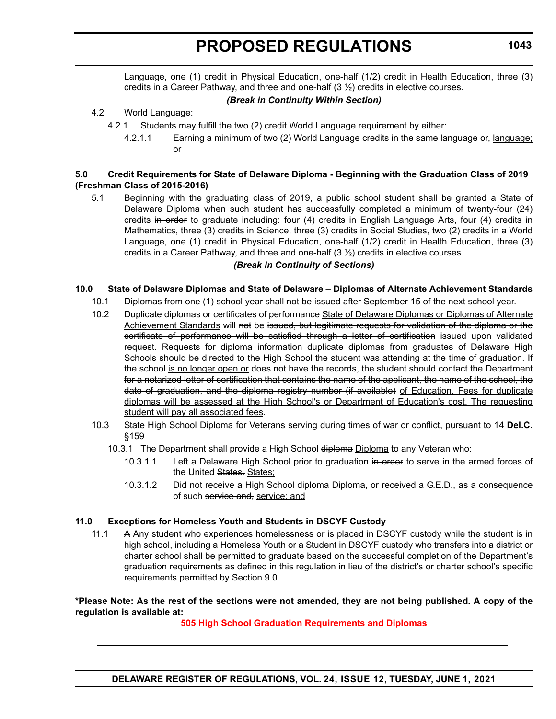Language, one (1) credit in Physical Education, one-half (1/2) credit in Health Education, three (3) credits in a Career Pathway, and three and one-half  $(3 \frac{1}{2})$  credits in elective courses.

# *(Break in Continuity Within Section)*

# 4.2 World Language:

- 4.2.1 Students may fulfill the two (2) credit World Language requirement by either:
	- 4.2.1.1 Earning a minimum of two (2) World Language credits in the same language or, language; or

# **5.0 Credit Requirements for State of Delaware Diploma - Beginning with the Graduation Class of 2019 (Freshman Class of 2015-2016)**

5.1 Beginning with the graduating class of 2019, a public school student shall be granted a State of Delaware Diploma when such student has successfully completed a minimum of twenty-four (24) credits in order to graduate including: four (4) credits in English Language Arts, four (4) credits in Mathematics, three (3) credits in Science, three (3) credits in Social Studies, two (2) credits in a World Language, one (1) credit in Physical Education, one-half (1/2) credit in Health Education, three (3) credits in a Career Pathway, and three and one-half  $(3 \frac{1}{2})$  credits in elective courses.

# *(Break in Continuity of Sections)*

# **10.0 State of Delaware Diplomas and State of Delaware – Diplomas of Alternate Achievement Standards**

- 10.1 Diplomas from one (1) school year shall not be issued after September 15 of the next school year.
- 10.2 Duplicate diplomas or certificates of performance State of Delaware Diplomas or Diplomas of Alternate Achievement Standards will not be issued, but legitimate requests for validation of the diploma or the certificate of performance will be satisfied through a letter of certification issued upon validated request. Requests for diploma information duplicate diplomas from graduates of Delaware High Schools should be directed to the High School the student was attending at the time of graduation. If the school is no longer open or does not have the records, the student should contact the Department for a notarized letter of certification that contains the name of the applicant, the name of the school, the date of graduation, and the diploma registry number (if available) of Education. Fees for duplicate diplomas will be assessed at the High School's or Department of Education's cost. The requesting student will pay all associated fees.
- 10.3 State High School Diploma for Veterans serving during times of war or conflict, pursuant to 14 **Del.C.** §159
	- 10.3.1 The Department shall provide a High School diploma Diploma to any Veteran who:
		- 10.3.1.1 Left a Delaware High School prior to graduation in order to serve in the armed forces of the United States. States:
		- 10.3.1.2 Did not receive a High School diploma Diploma, or received a G.E.D., as a consequence of such service and, service; and

# **11.0 Exceptions for Homeless Youth and Students in DSCYF Custody**

11.1 A Any student who experiences homelessness or is placed in DSCYF custody while the student is in high school, including a Homeless Youth or a Student in DSCYF custody who transfers into a district or charter school shall be permitted to graduate based on the successful completion of the Department's graduation requirements as defined in this regulation in lieu of the district's or charter school's specific requirements permitted by Section 9.0.

**\*Please Note: As the rest of the sections were not amended, they are not being published. A copy of the regulation is available at:**

# **[505 High School Graduation Requirements and Diplomas](http://regulations.delaware.gov/register/june2021/proposed/24 DE Reg 1041 06-01-21.htm)**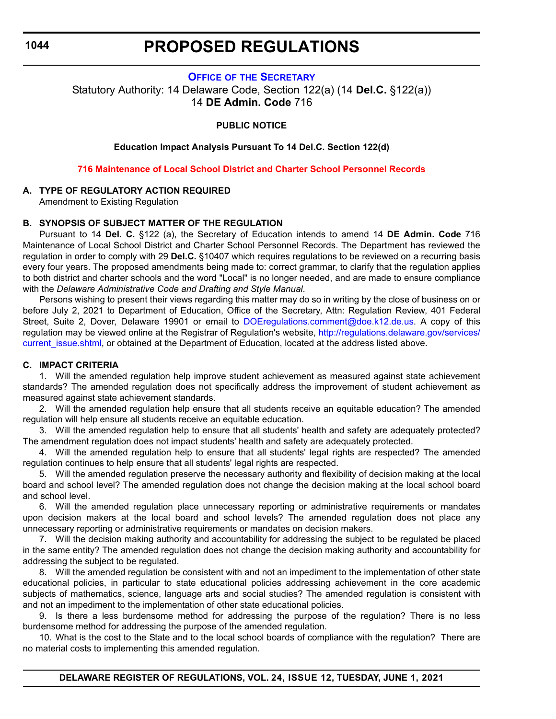# **PROPOSED REGULATIONS**

# **OFFICE OF [THE SECRETARY](https://www.doe.k12.de.us/Page/11)**

<span id="page-23-0"></span>Statutory Authority: 14 Delaware Code, Section 122(a) (14 **Del.C.** §122(a)) 14 **DE Admin. Code** 716

# **PUBLIC NOTICE**

**Education Impact Analysis Pursuant To 14 Del.C. Section 122(d)**

**[716 Maintenance of Local School District and Charter School Personnel Records](#page-3-0)**

# **A. TYPE OF REGULATORY ACTION REQUIRED**

Amendment to Existing Regulation

# **B. SYNOPSIS OF SUBJECT MATTER OF THE REGULATION**

Pursuant to 14 **Del. C.** §122 (a), the Secretary of Education intends to amend 14 **DE Admin. Code** 716 Maintenance of Local School District and Charter School Personnel Records. The Department has reviewed the regulation in order to comply with 29 **Del.C.** §10407 which requires regulations to be reviewed on a recurring basis every four years. The proposed amendments being made to: correct grammar, to clarify that the regulation applies to both district and charter schools and the word "Local" is no longer needed, and are made to ensure compliance with the *Delaware Administrative Code and Drafting and Style Manual*.

Persons wishing to present their views regarding this matter may do so in writing by the close of business on or before July 2, 2021 to Department of Education, Office of the Secretary, Attn: Regulation Review, 401 Federal Street, Suite 2, Dover, Delaware 19901 or email to [DOEregulations.comment@doe.k12.de.us.](mailto:DOEregulations.comment@doe.k12.de.us) A copy of this regulation may be viewed online at the Registrar of Regulation's website, [http://regulations.delaware.gov/services/](http://regulations.delaware.gov/services/current_issue.shtml) current issue.shtml, or obtained at the Department of Education, located at the address listed above.

# **C. IMPACT CRITERIA**

1. Will the amended regulation help improve student achievement as measured against state achievement standards? The amended regulation does not specifically address the improvement of student achievement as measured against state achievement standards.

2. Will the amended regulation help ensure that all students receive an equitable education? The amended regulation will help ensure all students receive an equitable education.

3. Will the amended regulation help to ensure that all students' health and safety are adequately protected? The amendment regulation does not impact students' health and safety are adequately protected.

4. Will the amended regulation help to ensure that all students' legal rights are respected? The amended regulation continues to help ensure that all students' legal rights are respected.

5. Will the amended regulation preserve the necessary authority and flexibility of decision making at the local board and school level? The amended regulation does not change the decision making at the local school board and school level.

6. Will the amended regulation place unnecessary reporting or administrative requirements or mandates upon decision makers at the local board and school levels? The amended regulation does not place any unnecessary reporting or administrative requirements or mandates on decision makers.

7. Will the decision making authority and accountability for addressing the subject to be regulated be placed in the same entity? The amended regulation does not change the decision making authority and accountability for addressing the subject to be regulated.

8. Will the amended regulation be consistent with and not an impediment to the implementation of other state educational policies, in particular to state educational policies addressing achievement in the core academic subjects of mathematics, science, language arts and social studies? The amended regulation is consistent with and not an impediment to the implementation of other state educational policies.

9. Is there a less burdensome method for addressing the purpose of the regulation? There is no less burdensome method for addressing the purpose of the amended regulation.

10. What is the cost to the State and to the local school boards of compliance with the regulation? There are no material costs to implementing this amended regulation.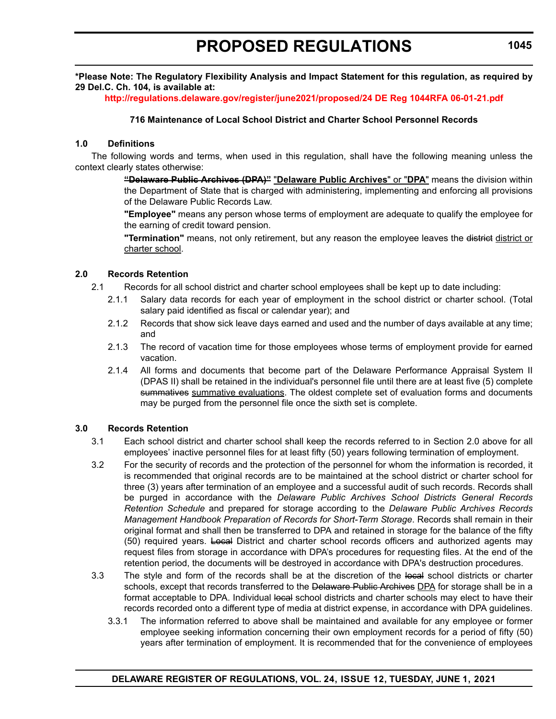**\*Please Note: The Regulatory Flexibility Analysis and Impact Statement for this regulation, as required by 29 Del.C. Ch. 104, is available at:**

**<http://regulations.delaware.gov/register/june2021/proposed/24 DE Reg 1044RFA 06-01-21.pdf>**

# **716 Maintenance of Local School District and Charter School Personnel Records**

### **1.0 Definitions**

The following words and terms, when used in this regulation, shall have the following meaning unless the context clearly states otherwise:

> **"Delaware Public Archives (DPA)"** "**Delaware Public Archives**" or "**DPA**" means the division within the Department of State that is charged with administering, implementing and enforcing all provisions of the Delaware Public Records Law.

> **"Employee"** means any person whose terms of employment are adequate to qualify the employee for the earning of credit toward pension.

> **"Termination"** means, not only retirement, but any reason the employee leaves the district district or charter school.

# **2.0 Records Retention**

- 2.1 Records for all school district and charter school employees shall be kept up to date including:
	- 2.1.1 Salary data records for each year of employment in the school district or charter school. (Total salary paid identified as fiscal or calendar year); and
	- 2.1.2 Records that show sick leave days earned and used and the number of days available at any time; and
	- 2.1.3 The record of vacation time for those employees whose terms of employment provide for earned vacation.
	- 2.1.4 All forms and documents that become part of the Delaware Performance Appraisal System II (DPAS II) shall be retained in the individual's personnel file until there are at least five (5) complete summatives summative evaluations. The oldest complete set of evaluation forms and documents may be purged from the personnel file once the sixth set is complete.

### **3.0 Records Retention**

- 3.1 Each school district and charter school shall keep the records referred to in Section 2.0 above for all employees' inactive personnel files for at least fifty (50) years following termination of employment.
- 3.2 For the security of records and the protection of the personnel for whom the information is recorded, it is recommended that original records are to be maintained at the school district or charter school for three (3) years after termination of an employee and a successful audit of such records. Records shall be purged in accordance with the *Delaware Public Archives School Districts General Records Retention Schedule* and prepared for storage according to the *Delaware Public Archives Records Management Handbook Preparation of Records for Short-Term Storage*. Records shall remain in their original format and shall then be transferred to DPA and retained in storage for the balance of the fifty (50) required years. Local District and charter school records officers and authorized agents may request files from storage in accordance with DPA's procedures for requesting files. At the end of the retention period, the documents will be destroyed in accordance with DPA's destruction procedures.
- 3.3 The style and form of the records shall be at the discretion of the local school districts or charter schools, except that records transferred to the Delaware Public Archives DPA for storage shall be in a format acceptable to DPA. Individual local school districts and charter schools may elect to have their records recorded onto a different type of media at district expense, in accordance with DPA guidelines.
	- 3.3.1 The information referred to above shall be maintained and available for any employee or former employee seeking information concerning their own employment records for a period of fifty (50) years after termination of employment. It is recommended that for the convenience of employees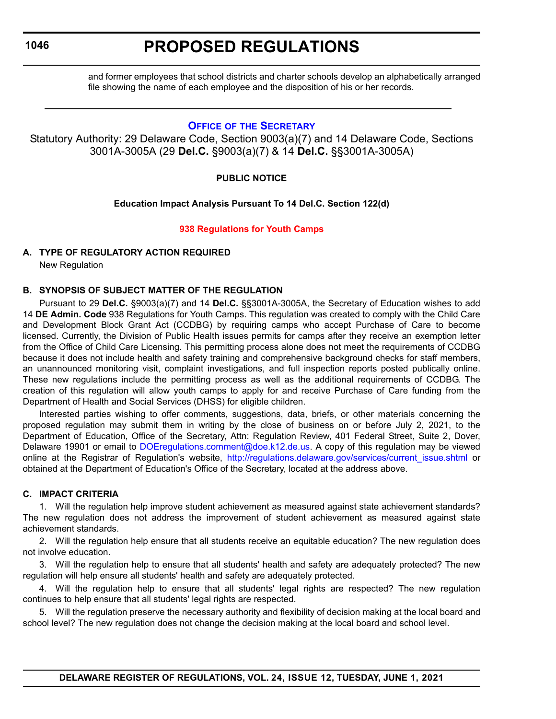# **PROPOSED REGULATIONS**

<span id="page-25-0"></span>and former employees that school districts and charter schools develop an alphabetically arranged file showing the name of each employee and the disposition of his or her records.

# **OFFICE OF [THE SECRETARY](https://www.doe.k12.de.us/Page/11)**

Statutory Authority: 29 Delaware Code, Section 9003(a)(7) and 14 Delaware Code, Sections 3001A-3005A (29 **Del.C.** §9003(a)(7) & 14 **Del.C.** §§3001A-3005A)

# **PUBLIC NOTICE**

# **Education Impact Analysis Pursuant To 14 Del.C. Section 122(d)**

# **[938 Regulations for Youth Camps](#page-3-0)**

# **A. TYPE OF REGULATORY ACTION REQUIRED**

New Regulation

# **B. SYNOPSIS OF SUBJECT MATTER OF THE REGULATION**

Pursuant to 29 **Del.C.** §9003(a)(7) and 14 **Del.C.** §§3001A-3005A, the Secretary of Education wishes to add 14 **DE Admin. Code** 938 Regulations for Youth Camps. This regulation was created to comply with the Child Care and Development Block Grant Act (CCDBG) by requiring camps who accept Purchase of Care to become licensed. Currently, the Division of Public Health issues permits for camps after they receive an exemption letter from the Office of Child Care Licensing. This permitting process alone does not meet the requirements of CCDBG because it does not include health and safety training and comprehensive background checks for staff members, an unannounced monitoring visit, complaint investigations, and full inspection reports posted publically online. These new regulations include the permitting process as well as the additional requirements of CCDBG. The creation of this regulation will allow youth camps to apply for and receive Purchase of Care funding from the Department of Health and Social Services (DHSS) for eligible children.

Interested parties wishing to offer comments, suggestions, data, briefs, or other materials concerning the proposed regulation may submit them in writing by the close of business on or before July 2, 2021, to the Department of Education, Office of the Secretary, Attn: Regulation Review, 401 Federal Street, Suite 2, Dover, Delaware 19901 or email to [DOEregulations.comment@doe.k12.de.us](mailto:DOEregulations.comment@doe.k12.de.us). A copy of this regulation may be viewed online at the Registrar of Regulation's website, [http://regulations.delaware.gov/services/current\\_issue.shtml](http://regulations.delaware.gov/services/current_issue.shtml) or obtained at the Department of Education's Office of the Secretary, located at the address above.

# **C. IMPACT CRITERIA**

1. Will the regulation help improve student achievement as measured against state achievement standards? The new regulation does not address the improvement of student achievement as measured against state achievement standards.

2. Will the regulation help ensure that all students receive an equitable education? The new regulation does not involve education.

3. Will the regulation help to ensure that all students' health and safety are adequately protected? The new regulation will help ensure all students' health and safety are adequately protected.

4. Will the regulation help to ensure that all students' legal rights are respected? The new regulation continues to help ensure that all students' legal rights are respected.

5. Will the regulation preserve the necessary authority and flexibility of decision making at the local board and school level? The new regulation does not change the decision making at the local board and school level.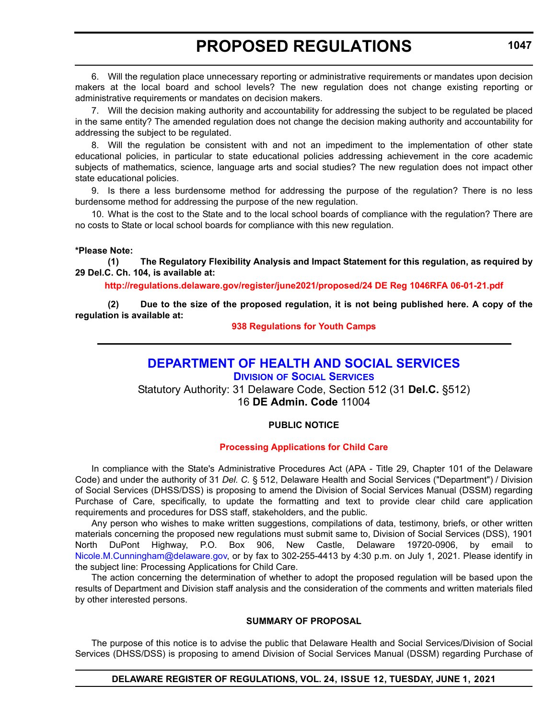<span id="page-26-0"></span>6. Will the regulation place unnecessary reporting or administrative requirements or mandates upon decision makers at the local board and school levels? The new regulation does not change existing reporting or administrative requirements or mandates on decision makers.

7. Will the decision making authority and accountability for addressing the subject to be regulated be placed in the same entity? The amended regulation does not change the decision making authority and accountability for addressing the subject to be regulated.

8. Will the regulation be consistent with and not an impediment to the implementation of other state educational policies, in particular to state educational policies addressing achievement in the core academic subjects of mathematics, science, language arts and social studies? The new regulation does not impact other state educational policies.

9. Is there a less burdensome method for addressing the purpose of the regulation? There is no less burdensome method for addressing the purpose of the new regulation.

10. What is the cost to the State and to the local school boards of compliance with the regulation? There are no costs to State or local school boards for compliance with this new regulation.

### **\*Please Note:**

**(1) The Regulatory Flexibility Analysis and Impact Statement for this regulation, as required by 29 Del.C. Ch. 104, is available at:**

**<http://regulations.delaware.gov/register/june2021/proposed/24 DE Reg 1046RFA 06-01-21.pdf>**

**(2) Due to the size of the proposed regulation, it is not being published here. A copy of the regulation is available at:**

### **[938 Regulations for Youth Camps](http://regulations.delaware.gov//register/june2021/proposed/24 DE Reg 1046 06-01-21.htm)**

# **[DEPARTMENT OF HEALTH AND SOCIAL SERVICES](https://www.dhss.delaware.gov/dhss/index.html)**

**DIVISION [OF SOCIAL SERVICES](https://www.dhss.delaware.gov/dhss/dss/)**

Statutory Authority: 31 Delaware Code, Section 512 (31 **Del.C.** §512) 16 **DE Admin. Code** 11004

# **PUBLIC NOTICE**

### **[Processing Applications for Child Care](#page-3-0)**

In compliance with the State's Administrative Procedures Act (APA - Title 29, Chapter 101 of the Delaware Code) and under the authority of 31 *Del. C.* § 512, Delaware Health and Social Services ("Department") / Division of Social Services (DHSS/DSS) is proposing to amend the Division of Social Services Manual (DSSM) regarding Purchase of Care, specifically, to update the formatting and text to provide clear child care application requirements and procedures for DSS staff, stakeholders, and the public.

Any person who wishes to make written suggestions, compilations of data, testimony, briefs, or other written materials concerning the proposed new regulations must submit same to, Division of Social Services (DSS), 1901 North DuPont Highway, P.O. Box 906, New Castle, Delaware 19720-0906, by email to [Nicole.M.Cunningham@delaware.gov,](mailto:Nicole.M.Cunningham@delaware.gov) or by fax to 302-255-4413 by 4:30 p.m. on July 1, 2021. Please identify in the subject line: Processing Applications for Child Care.

The action concerning the determination of whether to adopt the proposed regulation will be based upon the results of Department and Division staff analysis and the consideration of the comments and written materials filed by other interested persons.

### **SUMMARY OF PROPOSAL**

The purpose of this notice is to advise the public that Delaware Health and Social Services/Division of Social Services (DHSS/DSS) is proposing to amend Division of Social Services Manual (DSSM) regarding Purchase of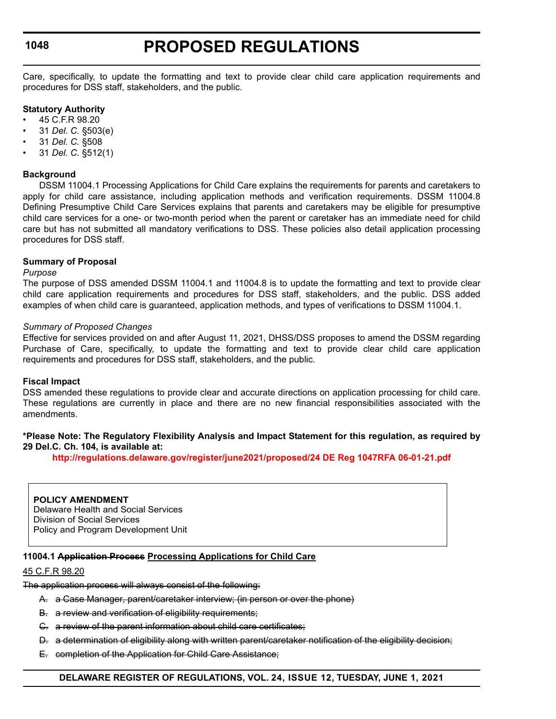# **PROPOSED REGULATIONS**

Care, specifically, to update the formatting and text to provide clear child care application requirements and procedures for DSS staff, stakeholders, and the public.

### **Statutory Authority**

- 45 C.F.R 98.20
- 31 *Del. C.* §503(e)
- 31 *Del. C.* §508
- 31 *Del. C.* §512(1)

### **Background**

DSSM 11004.1 Processing Applications for Child Care explains the requirements for parents and caretakers to apply for child care assistance, including application methods and verification requirements. DSSM 11004.8 Defining Presumptive Child Care Services explains that parents and caretakers may be eligible for presumptive child care services for a one- or two-month period when the parent or caretaker has an immediate need for child care but has not submitted all mandatory verifications to DSS. These policies also detail application processing procedures for DSS staff.

### **Summary of Proposal**

### *Purpose*

The purpose of DSS amended DSSM 11004.1 and 11004.8 is to update the formatting and text to provide clear child care application requirements and procedures for DSS staff, stakeholders, and the public. DSS added examples of when child care is guaranteed, application methods, and types of verifications to DSSM 11004.1.

### *Summary of Proposed Changes*

Effective for services provided on and after August 11, 2021, DHSS/DSS proposes to amend the DSSM regarding Purchase of Care, specifically, to update the formatting and text to provide clear child care application requirements and procedures for DSS staff, stakeholders, and the public.

### **Fiscal Impact**

DSS amended these regulations to provide clear and accurate directions on application processing for child care. These regulations are currently in place and there are no new financial responsibilities associated with the amendments.

### **\*Please Note: The Regulatory Flexibility Analysis and Impact Statement for this regulation, as required by 29 Del.C. Ch. 104, is available at:**

**<http://regulations.delaware.gov/register/june2021/proposed/24 DE Reg 1047RFA 06-01-21.pdf>**

**POLICY AMENDMENT** Delaware Health and Social Services Division of Social Services Policy and Program Development Unit

### **11004.1 Application Process Processing Applications for Child Care**

### 45 C.F.R 98.20

The application process will always consist of the following:

- A. a Case Manager, parent/caretaker interview; (in person or over the phone)
- B. a review and verification of eligibility requirements;
- C. a review of the parent information about child care certificates;
- D. a determination of eligibility along with written parent/caretaker notification of the eligibility decision;
- E. completion of the Application for Child Care Assistance;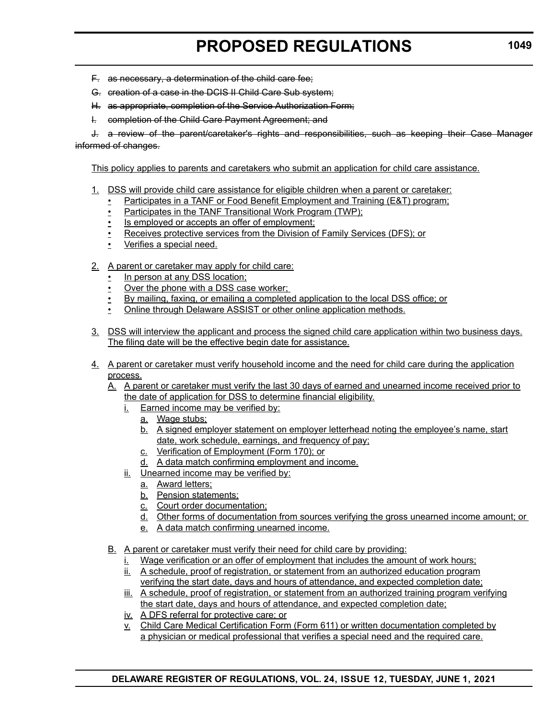- F. as necessary, a determination of the child care fee;
- G. creation of a case in the DCIS II Child Care Sub system;
- H. as appropriate, completion of the Service Authorization Form;
- I. completion of the Child Care Payment Agreement; and

J. a review of the parent/caretaker's rights and responsibilities, such as keeping their Case Manager informed of changes.

This policy applies to parents and caretakers who submit an application for child care assistance.

- 1. DSS will provide child care assistance for eligible children when a parent or caretaker:
	- Participates in a TANF or Food Benefit Employment and Training (E&T) program;
	- Participates in the TANF Transitional Work Program (TWP);
	- Is employed or accepts an offer of employment;
	- Receives protective services from the Division of Family Services (DFS); or
	- Verifies a special need.
- 2. A parent or caretaker may apply for child care:
	- In person at any DSS location;
	- Over the phone with a DSS case worker;
	- By mailing, faxing, or emailing a completed application to the local DSS office; or
	- Online through Delaware ASSIST or other online application methods.
- 3. DSS will interview the applicant and process the signed child care application within two business days. The filing date will be the effective begin date for assistance.
- 4. A parent or caretaker must verify household income and the need for child care during the application process.
	- A. A parent or caretaker must verify the last 30 days of earned and unearned income received prior to the date of application for DSS to determine financial eligibility.
		- i. Earned income may be verified by:
			- a. Wage stubs;
			- b. A signed employer statement on employer letterhead noting the employee's name, start date, work schedule, earnings, and frequency of pay;
			- c. Verification of Employment (Form 170); or
			- d. A data match confirming employment and income.
		- ii. Unearned income may be verified by:
			- a. Award letters;
			- b. Pension statements;
			- c. Court order documentation;
			- d. Other forms of documentation from sources verifying the gross unearned income amount; or
			- e. A data match confirming unearned income.
	- B. A parent or caretaker must verify their need for child care by providing:
		- i. Wage verification or an offer of employment that includes the amount of work hours;
		- ii. A schedule, proof of registration, or statement from an authorized education program verifying the start date, days and hours of attendance, and expected completion date;
		- iii. A schedule, proof of registration, or statement from an authorized training program verifying the start date, days and hours of attendance, and expected completion date;
		- iv. A DFS referral for protective care; or
		- v. Child Care Medical Certification Form (Form 611) or written documentation completed by a physician or medical professional that verifies a special need and the required care.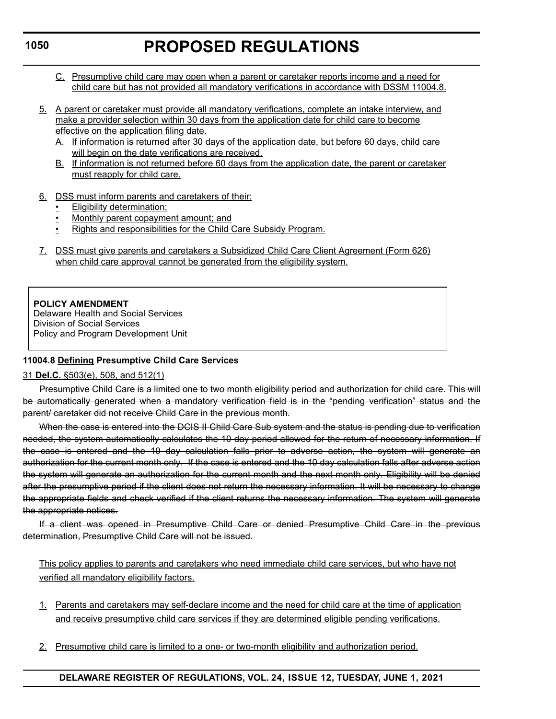- C. Presumptive child care may open when a parent or caretaker reports income and a need for child care but has not provided all mandatory verifications in accordance with DSSM 11004.8.
- 5. A parent or caretaker must provide all mandatory verifications, complete an intake interview, and make a provider selection within 30 days from the application date for child care to become effective on the application filing date.
	- A. If information is returned after 30 days of the application date, but before 60 days, child care will begin on the date verifications are received.
	- B. If information is not returned before 60 days from the application date, the parent or caretaker must reapply for child care.
- 6. DSS must inform parents and caretakers of their:
	- Eligibility determination;
	- Monthly parent copayment amount; and
	- Rights and responsibilities for the Child Care Subsidy Program.
- 7. DSS must give parents and caretakers a Subsidized Child Care Client Agreement (Form 626) when child care approval cannot be generated from the eligibility system.

**POLICY AMENDMENT**

Delaware Health and Social Services Division of Social Services Policy and Program Development Unit

# **11004.8 Defining Presumptive Child Care Services**

# 31 **Del.C.** §503(e), 508, and 512(1)

Presumptive Child Care is a limited one to two month eligibility period and authorization for child care. This will be automatically generated when a mandatory verification field is in the "pending verification" status and the parent/ caretaker did not receive Child Care in the previous month.

When the case is entered into the DCIS II Child Care Sub system and the status is pending due to verification needed, the system automatically calculates the 10 day period allowed for the return of necessary information. If the case is entered and the 10 day calculation falls prior to adverse action, the system will generate an authorization for the current month only. If the case is entered and the 10 day calculation falls after adverse action the system will generate an authorization for the current month and the next month only. Eligibility will be denied after the presumptive period if the client does not return the necessary information. It will be necessary to change the appropriate fields and check verified if the client returns the necessary information. The system will generate the appropriate notices.

If a client was opened in Presumptive Child Care or denied Presumptive Child Care in the previous determination, Presumptive Child Care will not be issued.

This policy applies to parents and caretakers who need immediate child care services, but who have not verified all mandatory eligibility factors.

- 1. Parents and caretakers may self-declare income and the need for child care at the time of application and receive presumptive child care services if they are determined eligible pending verifications.
- 2. Presumptive child care is limited to a one- or two-month eligibility and authorization period.

# **1050**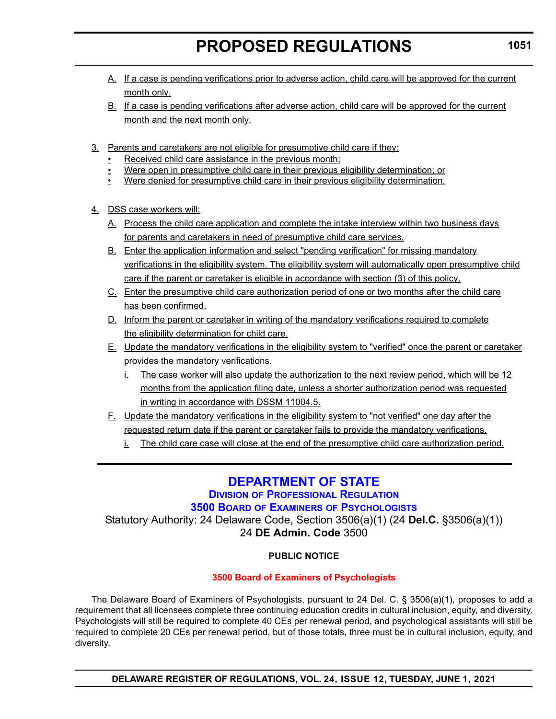- <span id="page-30-0"></span>A. If a case is pending verifications prior to adverse action, child care will be approved for the current month only.
- B. If a case is pending verifications after adverse action, child care will be approved for the current month and the next month only.
- 3. Parents and caretakers are not eligible for presumptive child care if they:
	- Received child care assistance in the previous month;
	- Were open in presumptive child care in their previous eligibility determination; or
	- Were denied for presumptive child care in their previous eligibility determination.
- 4. DSS case workers will:
	- A. Process the child care application and complete the intake interview within two business days for parents and caretakers in need of presumptive child care services.
	- B. Enter the application information and select "pending verification" for missing mandatory verifications in the eligibility system. The eligibility system will automatically open presumptive child care if the parent or caretaker is eligible in accordance with section (3) of this policy.
	- C. Enter the presumptive child care authorization period of one or two months after the child care has been confirmed.
	- D. Inform the parent or caretaker in writing of the mandatory verifications required to complete the eligibility determination for child care.
	- E. Update the mandatory verifications in the eligibility system to "verified" once the parent or caretaker provides the mandatory verifications.
		- i. The case worker will also update the authorization to the next review period, which will be 12 months from the application filing date, unless a shorter authorization period was requested in writing in accordance with DSSM 11004.5.
	- F. Update the mandatory verifications in the eligibility system to "not verified" one day after the requested return date if the parent or caretaker fails to provide the mandatory verifications.
		- i. The child care case will close at the end of the presumptive child care authorization period.

# **[DEPARTMENT OF STATE](https://sos.delaware.gov/)**

# **DIVISION [OF PROFESSIONAL REGULATION](https://dpr.delaware.gov/)**

# **3500 BOARD OF EXAMINERS [OF PSYCHOLOGISTS](https://dpr.delaware.gov/boards/psychology/)**

Statutory Authority: 24 Delaware Code, Section 3506(a)(1) (24 **Del.C.** §3506(a)(1)) 24 **DE Admin. Code** 3500

# **PUBLIC NOTICE**

# **[3500 Board of Examiners of Psychologists](#page-3-0)**

The Delaware Board of Examiners of Psychologists, pursuant to 24 Del. C. § 3506(a)(1), proposes to add a requirement that all licensees complete three continuing education credits in cultural inclusion, equity, and diversity. Psychologists will still be required to complete 40 CEs per renewal period, and psychological assistants will still be required to complete 20 CEs per renewal period, but of those totals, three must be in cultural inclusion, equity, and diversity.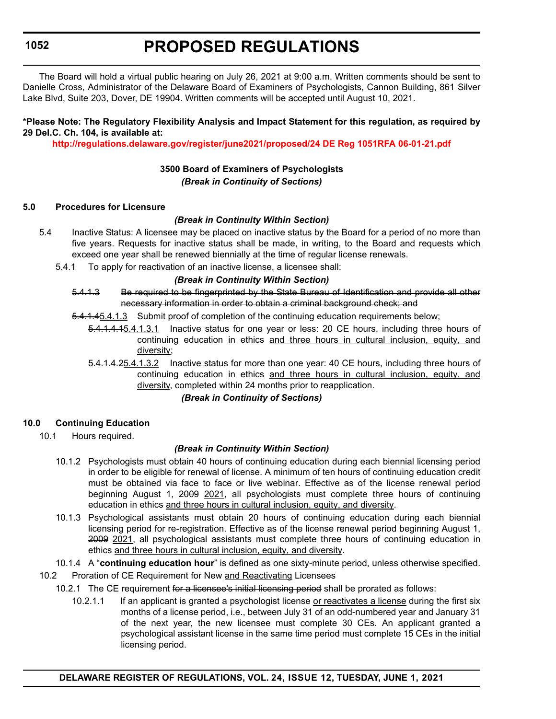The Board will hold a virtual public hearing on July 26, 2021 at 9:00 a.m. Written comments should be sent to Danielle Cross, Administrator of the Delaware Board of Examiners of Psychologists, Cannon Building, 861 Silver Lake Blvd, Suite 203, Dover, DE 19904. Written comments will be accepted until August 10, 2021.

# **\*Please Note: The Regulatory Flexibility Analysis and Impact Statement for this regulation, as required by 29 Del.C. Ch. 104, is available at:**

**<http://regulations.delaware.gov/register/june2021/proposed/24 DE Reg 1051RFA 06-01-21.pdf>**

# **3500 Board of Examiners of Psychologists** *(Break in Continuity of Sections)*

# **5.0 Procedures for Licensure**

# *(Break in Continuity Within Section)*

- 5.4 Inactive Status: A licensee may be placed on inactive status by the Board for a period of no more than five years. Requests for inactive status shall be made, in writing, to the Board and requests which exceed one year shall be renewed biennially at the time of regular license renewals.
	- 5.4.1 To apply for reactivation of an inactive license, a licensee shall:

### *(Break in Continuity Within Section)*

- 5.4.1.3 Be required to be fingerprinted by the State Bureau of Identification and provide all other necessary information in order to obtain a criminal background check; and
- 5.4.1.45.4.1.3 Submit proof of completion of the continuing education requirements below;
	- 5.4.1.4.15.4.1.3.1 Inactive status for one year or less: 20 CE hours, including three hours of continuing education in ethics and three hours in cultural inclusion, equity, and diversity;
	- 5.4.1.4.25.4.1.3.2 Inactive status for more than one year: 40 CE hours, including three hours of continuing education in ethics and three hours in cultural inclusion, equity, and diversity, completed within 24 months prior to reapplication.

# *(Break in Continuity of Sections)*

# **10.0 Continuing Education**

10.1 Hours required.

### *(Break in Continuity Within Section)*

- 10.1.2 Psychologists must obtain 40 hours of continuing education during each biennial licensing period in order to be eligible for renewal of license. A minimum of ten hours of continuing education credit must be obtained via face to face or live webinar. Effective as of the license renewal period beginning August 1, 2009 2021, all psychologists must complete three hours of continuing education in ethics and three hours in cultural inclusion, equity, and diversity.
- 10.1.3 Psychological assistants must obtain 20 hours of continuing education during each biennial licensing period for re-registration. Effective as of the license renewal period beginning August 1, 2009 2021, all psychological assistants must complete three hours of continuing education in ethics and three hours in cultural inclusion, equity, and diversity.

10.1.4 A "**continuing education hour**" is defined as one sixty-minute period, unless otherwise specified.

- 10.2 Proration of CE Requirement for New and Reactivating Licensees
	- 10.2.1 The CE requirement for a licensee's initial licensing period shall be prorated as follows:
		- 10.2.1.1 If an applicant is granted a psychologist license or reactivates a license during the first six months of a license period, i.e., between July 31 of an odd-numbered year and January 31 of the next year, the new licensee must complete 30 CEs. An applicant granted a psychological assistant license in the same time period must complete 15 CEs in the initial licensing period.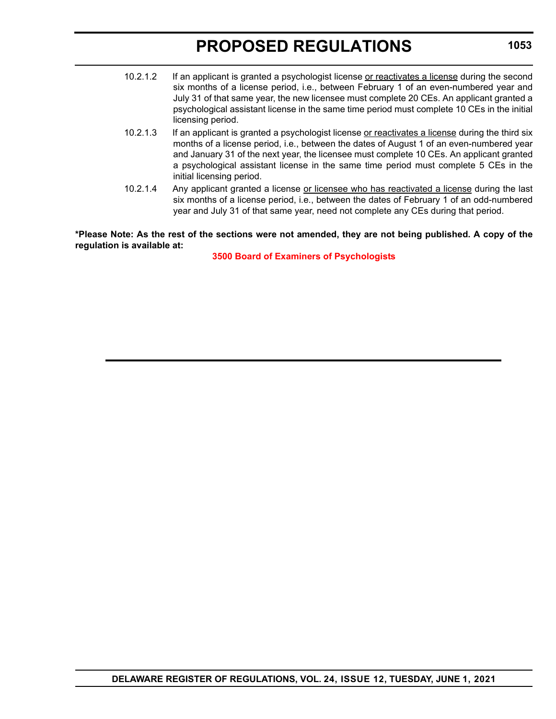- 10.2.1.2 If an applicant is granted a psychologist license or reactivates a license during the second six months of a license period, i.e., between February 1 of an even-numbered year and July 31 of that same year, the new licensee must complete 20 CEs. An applicant granted a psychological assistant license in the same time period must complete 10 CEs in the initial licensing period.
- 10.2.1.3 If an applicant is granted a psychologist license or reactivates a license during the third six months of a license period, i.e., between the dates of August 1 of an even-numbered year and January 31 of the next year, the licensee must complete 10 CEs. An applicant granted a psychological assistant license in the same time period must complete 5 CEs in the initial licensing period.
- 10.2.1.4 Any applicant granted a license or licensee who has reactivated a license during the last six months of a license period, i.e., between the dates of February 1 of an odd-numbered year and July 31 of that same year, need not complete any CEs during that period.

**\*Please Note: As the rest of the sections were not amended, they are not being published. A copy of the regulation is available at:**

**[3500 Board of Examiners of Psychologists](http://regulations.delaware.gov/register/june2021/proposed/24 DE Reg 1051 06-01-21.htm)**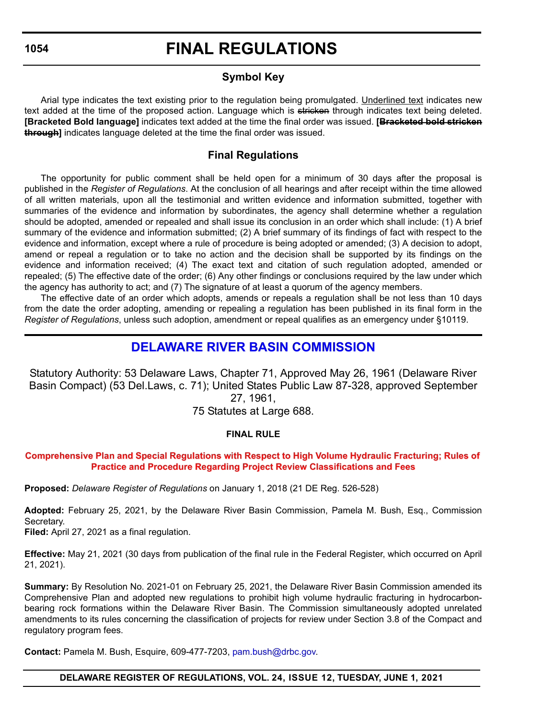# **FINAL REGULATIONS**

# **Symbol Key**

<span id="page-33-0"></span>Arial type indicates the text existing prior to the regulation being promulgated. Underlined text indicates new text added at the time of the proposed action. Language which is stricken through indicates text being deleted. **[Bracketed Bold language]** indicates text added at the time the final order was issued. **[Bracketed bold stricken through]** indicates language deleted at the time the final order was issued.

# **Final Regulations**

The opportunity for public comment shall be held open for a minimum of 30 days after the proposal is published in the *Register of Regulations*. At the conclusion of all hearings and after receipt within the time allowed of all written materials, upon all the testimonial and written evidence and information submitted, together with summaries of the evidence and information by subordinates, the agency shall determine whether a regulation should be adopted, amended or repealed and shall issue its conclusion in an order which shall include: (1) A brief summary of the evidence and information submitted; (2) A brief summary of its findings of fact with respect to the evidence and information, except where a rule of procedure is being adopted or amended; (3) A decision to adopt, amend or repeal a regulation or to take no action and the decision shall be supported by its findings on the evidence and information received; (4) The exact text and citation of such regulation adopted, amended or repealed; (5) The effective date of the order; (6) Any other findings or conclusions required by the law under which the agency has authority to act; and (7) The signature of at least a quorum of the agency members.

The effective date of an order which adopts, amends or repeals a regulation shall be not less than 10 days from the date the order adopting, amending or repealing a regulation has been published in its final form in the *Register of Regulations*, unless such adoption, amendment or repeal qualifies as an emergency under §10119.

# **[DELAWARE RIVER BASIN COMMISSION](https://www.nj.us/drbc/ )**

Statutory Authority: 53 Delaware Laws, Chapter 71, Approved May 26, 1961 (Delaware River Basin Compact) (53 Del.Laws, c. 71); United States Public Law 87-328, approved September 27, 1961,

75 Statutes at Large 688.

# **FINAL RULE**

# **[Comprehensive Plan and Special Regulations with Respect to High Volume Hydraulic Fracturing; Rules of](#page-3-0)  Practice and Procedure Regarding Project Review Classifications and Fees**

**Proposed:** *Delaware Register of Regulations* on January 1, 2018 (21 DE Reg. 526-528)

**Adopted:** February 25, 2021, by the Delaware River Basin Commission, Pamela M. Bush, Esq., Commission Secretary.

**Filed:** April 27, 2021 as a final regulation.

**Effective:** May 21, 2021 (30 days from publication of the final rule in the Federal Register, which occurred on April 21, 2021).

**Summary:** By Resolution No. 2021-01 on February 25, 2021, the Delaware River Basin Commission amended its Comprehensive Plan and adopted new regulations to prohibit high volume hydraulic fracturing in hydrocarbonbearing rock formations within the Delaware River Basin. The Commission simultaneously adopted unrelated amendments to its rules concerning the classification of projects for review under Section 3.8 of the Compact and regulatory program fees.

**Contact:** Pamela M. Bush, Esquire, 609-477-7203, [pam.bush@drbc.gov.](mailto:pam.bush@drbc.gov)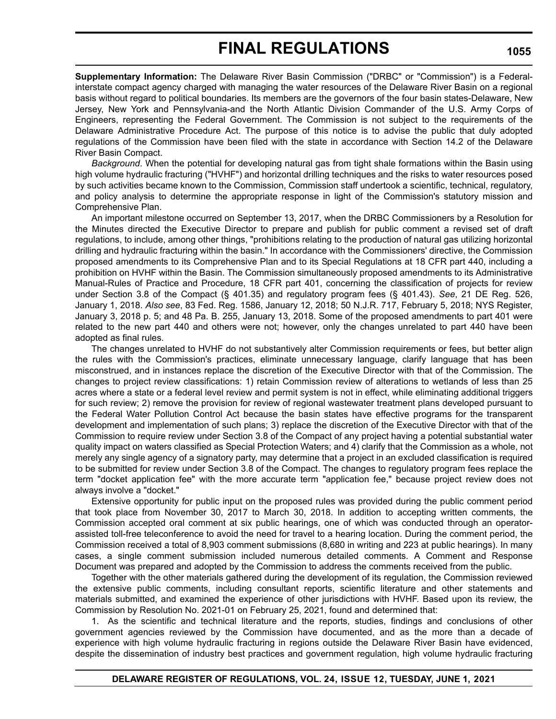# **FINAL REGULATIONS**

**Supplementary Information:** The Delaware River Basin Commission ("DRBC" or "Commission") is a Federalinterstate compact agency charged with managing the water resources of the Delaware River Basin on a regional basis without regard to political boundaries. Its members are the governors of the four basin states-Delaware, New Jersey, New York and Pennsylvania-and the North Atlantic Division Commander of the U.S. Army Corps of Engineers, representing the Federal Government. The Commission is not subject to the requirements of the Delaware Administrative Procedure Act. The purpose of this notice is to advise the public that duly adopted regulations of the Commission have been filed with the state in accordance with Section 14.2 of the Delaware River Basin Compact.

*Background*. When the potential for developing natural gas from tight shale formations within the Basin using high volume hydraulic fracturing ("HVHF") and horizontal drilling techniques and the risks to water resources posed by such activities became known to the Commission, Commission staff undertook a scientific, technical, regulatory, and policy analysis to determine the appropriate response in light of the Commission's statutory mission and Comprehensive Plan.

An important milestone occurred on September 13, 2017, when the DRBC Commissioners by a Resolution for the Minutes directed the Executive Director to prepare and publish for public comment a revised set of draft regulations, to include, among other things, "prohibitions relating to the production of natural gas utilizing horizontal drilling and hydraulic fracturing within the basin." In accordance with the Commissioners' directive, the Commission proposed amendments to its Comprehensive Plan and to its Special Regulations at 18 CFR part 440, including a prohibition on HVHF within the Basin. The Commission simultaneously proposed amendments to its Administrative Manual-Rules of Practice and Procedure, 18 CFR part 401, concerning the classification of projects for review under Section 3.8 of the Compact (§ 401.35) and regulatory program fees (§ 401.43). *See*, 21 DE Reg. 526, January 1, 2018. *Also see*, 83 Fed. Reg. 1586, January 12, 2018; 50 N.J.R. 717, February 5, 2018; NYS Register, January 3, 2018 p. 5; and 48 Pa. B. 255, January 13, 2018. Some of the proposed amendments to part 401 were related to the new part 440 and others were not; however, only the changes unrelated to part 440 have been adopted as final rules.

The changes unrelated to HVHF do not substantively alter Commission requirements or fees, but better align the rules with the Commission's practices, eliminate unnecessary language, clarify language that has been misconstrued, and in instances replace the discretion of the Executive Director with that of the Commission. The changes to project review classifications: 1) retain Commission review of alterations to wetlands of less than 25 acres where a state or a federal level review and permit system is not in effect, while eliminating additional triggers for such review; 2) remove the provision for review of regional wastewater treatment plans developed pursuant to the Federal Water Pollution Control Act because the basin states have effective programs for the transparent development and implementation of such plans; 3) replace the discretion of the Executive Director with that of the Commission to require review under Section 3.8 of the Compact of any project having a potential substantial water quality impact on waters classified as Special Protection Waters; and 4) clarify that the Commission as a whole, not merely any single agency of a signatory party, may determine that a project in an excluded classification is required to be submitted for review under Section 3.8 of the Compact. The changes to regulatory program fees replace the term "docket application fee" with the more accurate term "application fee," because project review does not always involve a "docket."

Extensive opportunity for public input on the proposed rules was provided during the public comment period that took place from November 30, 2017 to March 30, 2018. In addition to accepting written comments, the Commission accepted oral comment at six public hearings, one of which was conducted through an operatorassisted toll-free teleconference to avoid the need for travel to a hearing location. During the comment period, the Commission received a total of 8,903 comment submissions (8,680 in writing and 223 at public hearings). In many cases, a single comment submission included numerous detailed comments. A Comment and Response Document was prepared and adopted by the Commission to address the comments received from the public.

Together with the other materials gathered during the development of its regulation, the Commission reviewed the extensive public comments, including consultant reports, scientific literature and other statements and materials submitted, and examined the experience of other jurisdictions with HVHF. Based upon its review, the Commission by Resolution No. 2021-01 on February 25, 2021, found and determined that:

1. As the scientific and technical literature and the reports, studies, findings and conclusions of other government agencies reviewed by the Commission have documented, and as the more than a decade of experience with high volume hydraulic fracturing in regions outside the Delaware River Basin have evidenced, despite the dissemination of industry best practices and government regulation, high volume hydraulic fracturing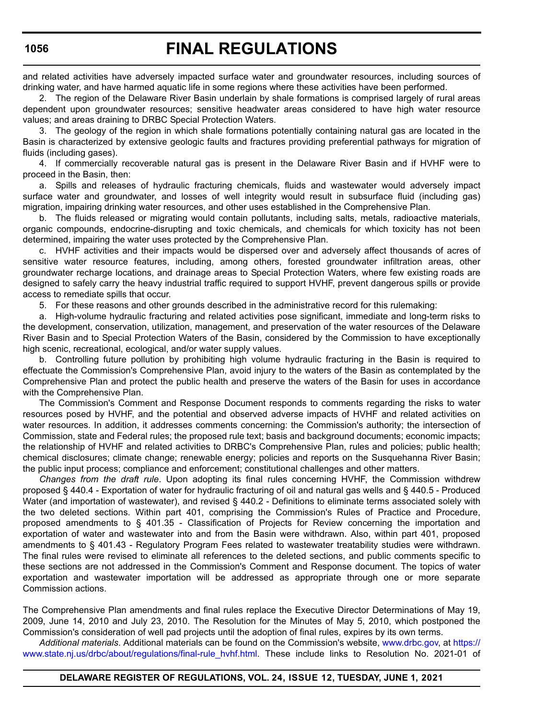and related activities have adversely impacted surface water and groundwater resources, including sources of drinking water, and have harmed aquatic life in some regions where these activities have been performed.

2. The region of the Delaware River Basin underlain by shale formations is comprised largely of rural areas dependent upon groundwater resources; sensitive headwater areas considered to have high water resource values; and areas draining to DRBC Special Protection Waters.

3. The geology of the region in which shale formations potentially containing natural gas are located in the Basin is characterized by extensive geologic faults and fractures providing preferential pathways for migration of fluids (including gases).

4. If commercially recoverable natural gas is present in the Delaware River Basin and if HVHF were to proceed in the Basin, then:

a. Spills and releases of hydraulic fracturing chemicals, fluids and wastewater would adversely impact surface water and groundwater, and losses of well integrity would result in subsurface fluid (including gas) migration, impairing drinking water resources, and other uses established in the Comprehensive Plan.

b. The fluids released or migrating would contain pollutants, including salts, metals, radioactive materials, organic compounds, endocrine-disrupting and toxic chemicals, and chemicals for which toxicity has not been determined, impairing the water uses protected by the Comprehensive Plan.

c. HVHF activities and their impacts would be dispersed over and adversely affect thousands of acres of sensitive water resource features, including, among others, forested groundwater infiltration areas, other groundwater recharge locations, and drainage areas to Special Protection Waters, where few existing roads are designed to safely carry the heavy industrial traffic required to support HVHF, prevent dangerous spills or provide access to remediate spills that occur.

5. For these reasons and other grounds described in the administrative record for this rulemaking:

a. High-volume hydraulic fracturing and related activities pose significant, immediate and long-term risks to the development, conservation, utilization, management, and preservation of the water resources of the Delaware River Basin and to Special Protection Waters of the Basin, considered by the Commission to have exceptionally high scenic, recreational, ecological, and/or water supply values.

b. Controlling future pollution by prohibiting high volume hydraulic fracturing in the Basin is required to effectuate the Commission's Comprehensive Plan, avoid injury to the waters of the Basin as contemplated by the Comprehensive Plan and protect the public health and preserve the waters of the Basin for uses in accordance with the Comprehensive Plan.

The Commission's Comment and Response Document responds to comments regarding the risks to water resources posed by HVHF, and the potential and observed adverse impacts of HVHF and related activities on water resources. In addition, it addresses comments concerning: the Commission's authority; the intersection of Commission, state and Federal rules; the proposed rule text; basis and background documents; economic impacts; the relationship of HVHF and related activities to DRBC's Comprehensive Plan, rules and policies; public health; chemical disclosures; climate change; renewable energy; policies and reports on the Susquehanna River Basin; the public input process; compliance and enforcement; constitutional challenges and other matters.

*Changes from the draft rule*. Upon adopting its final rules concerning HVHF, the Commission withdrew proposed § 440.4 - Exportation of water for hydraulic fracturing of oil and natural gas wells and § 440.5 - Produced Water (and importation of wastewater), and revised § 440.2 - Definitions to eliminate terms associated solely with the two deleted sections. Within part 401, comprising the Commission's Rules of Practice and Procedure, proposed amendments to § 401.35 - Classification of Projects for Review concerning the importation and exportation of water and wastewater into and from the Basin were withdrawn. Also, within part 401, proposed amendments to § 401.43 - Regulatory Program Fees related to wastewater treatability studies were withdrawn. The final rules were revised to eliminate all references to the deleted sections, and public comments specific to these sections are not addressed in the Commission's Comment and Response document. The topics of water exportation and wastewater importation will be addressed as appropriate through one or more separate Commission actions.

The Comprehensive Plan amendments and final rules replace the Executive Director Determinations of May 19, 2009, June 14, 2010 and July 23, 2010. The Resolution for the Minutes of May 5, 2010, which postponed the Commission's consideration of well pad projects until the adoption of final rules, expires by its own terms.

*Additional materials*. Additional materials can be found on the Commission's website, [www.drbc.gov,](https://www.drbc.gov) at [https://](https://www.state.nj.us/drbc/about/regulations/final-rule_hvhf.html) [www.state.nj.us/drbc/about/regulations/final-rule\\_hvhf.html](https://www.state.nj.us/drbc/about/regulations/final-rule_hvhf.html). These include links to Resolution No. 2021-01 of

### **1056**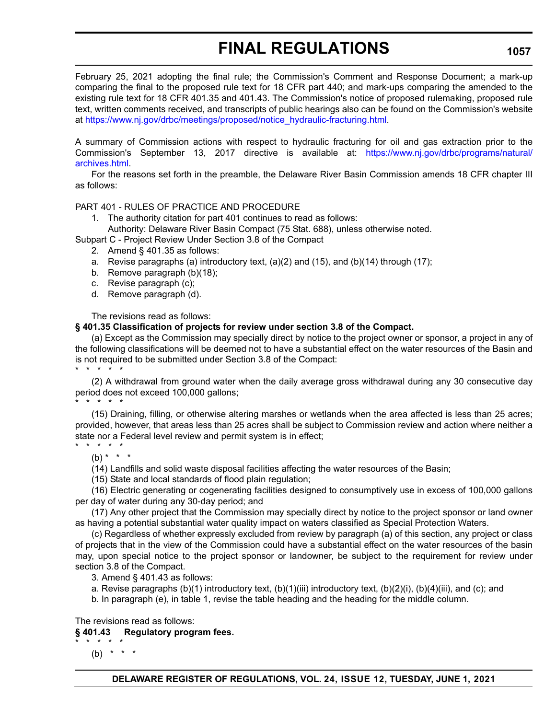# **FINAL REGULATIONS**

February 25, 2021 adopting the final rule; the Commission's Comment and Response Document; a mark-up comparing the final to the proposed rule text for 18 CFR part 440; and mark-ups comparing the amended to the existing rule text for 18 CFR 401.35 and 401.43. The Commission's notice of proposed rulemaking, proposed rule text, written comments received, and transcripts of public hearings also can be found on the Commission's website at [https://www.nj.gov/drbc/meetings/proposed/notice\\_hydraulic-fracturing.html.](https://www.nj.gov/drbc/meetings/proposed/notice_hydraulic-fracturing.html)

A summary of Commission actions with respect to hydraulic fracturing for oil and gas extraction prior to the Commission's September 13, 2017 directive is available at: [https://www.nj.gov/drbc/programs/natural/](https://www.nj.gov/drbc/programs/natural/archives.html) [archives.html.](https://www.nj.gov/drbc/programs/natural/archives.html)

For the reasons set forth in the preamble, the Delaware River Basin Commission amends 18 CFR chapter III as follows:

### PART 401 - RULES OF PRACTICE AND PROCEDURE

- 1. The authority citation for part 401 continues to read as follows:
- Authority: Delaware River Basin Compact (75 Stat. 688), unless otherwise noted.

Subpart C - Project Review Under Section 3.8 of the Compact

- 2. Amend § 401.35 as follows:
- a. Revise paragraphs (a) introductory text,  $(a)(2)$  and  $(15)$ , and  $(b)(14)$  through  $(17)$ ;
- b. Remove paragraph (b)(18);
- c. Revise paragraph (c);
- d. Remove paragraph (d).

The revisions read as follows:

### **§ 401.35 Classification of projects for review under section 3.8 of the Compact.**

(a) Except as the Commission may specially direct by notice to the project owner or sponsor, a project in any of the following classifications will be deemed not to have a substantial effect on the water resources of the Basin and is not required to be submitted under Section 3.8 of the Compact: \* \* \* \* \*

(2) A withdrawal from ground water when the daily average gross withdrawal during any 30 consecutive day period does not exceed 100,000 gallons; \* \* \* \* \*

# (15) Draining, filling, or otherwise altering marshes or wetlands when the area affected is less than 25 acres; provided, however, that areas less than 25 acres shall be subject to Commission review and action where neither a state nor a Federal level review and permit system is in effect;

# \* \* \* \* \*

 $(b) * * * *$ 

(14) Landfills and solid waste disposal facilities affecting the water resources of the Basin;

(15) State and local standards of flood plain regulation;

(16) Electric generating or cogenerating facilities designed to consumptively use in excess of 100,000 gallons per day of water during any 30-day period; and

(17) Any other project that the Commission may specially direct by notice to the project sponsor or land owner as having a potential substantial water quality impact on waters classified as Special Protection Waters.

(c) Regardless of whether expressly excluded from review by paragraph (a) of this section, any project or class of projects that in the view of the Commission could have a substantial effect on the water resources of the basin may, upon special notice to the project sponsor or landowner, be subject to the requirement for review under section 3.8 of the Compact.

3. Amend § 401.43 as follows:

a. Revise paragraphs (b)(1) introductory text, (b)(1)(iii) introductory text, (b)(2)(i), (b)(4)(iii), and (c); and

b. In paragraph (e), in table 1, revise the table heading and the heading for the middle column.

The revisions read as follows:

# **§ 401.43 Regulatory program fees.**

(b)  $* * * *$ 

\* \* \* \* \*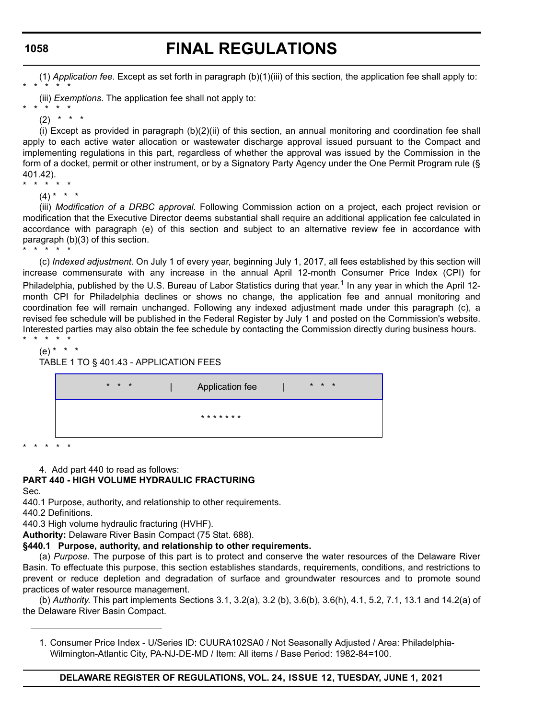# **FINAL REGULATIONS**

(1) *Application fee*. Except as set forth in paragraph (b)(1)(iii) of this section, the application fee shall apply to: \* \* \* \* \*

(iii) *Exemptions*. The application fee shall not apply to:

(i) Except as provided in paragraph (b)(2)(ii) of this section, an annual monitoring and coordination fee shall apply to each active water allocation or wastewater discharge approval issued pursuant to the Compact and implementing regulations in this part, regardless of whether the approval was issued by the Commission in the form of a docket, permit or other instrument, or by a Signatory Party Agency under the One Permit Program rule (§ 401.42). \* \* \* \* \*

 $(4) * * * *$ 

(iii) *Modification of a DRBC approval*. Following Commission action on a project, each project revision or modification that the Executive Director deems substantial shall require an additional application fee calculated in accordance with paragraph (e) of this section and subject to an alternative review fee in accordance with paragraph (b)(3) of this section.

\* \* \* \* \* (c) *Indexed adjustment*. On July 1 of every year, beginning July 1, 2017, all fees established by this section will increase commensurate with any increase in the annual April 12-month Consumer Price Index (CPI) for Philadelphia, published by the U.S. Bureau of Labor Statistics during that year.<sup>1</sup> In any year in which the April 12month CPI for Philadelphia declines or shows no change, the application fee and annual monitoring and coordination fee will remain unchanged. Following any indexed adjustment made under this paragraph (c), a revised fee schedule will be published in the Federal Register by July 1 and posted on the Commission's website. Interested parties may also obtain the fee schedule by contacting the Commission directly during business hours.

\* \* \* \* \* (e) \* \* \*

TABLE 1 TO § 401.43 - APPLICATION FEES

| $* * *$ | Application fee | $* * *$ |  |
|---------|-----------------|---------|--|
|         | * * * * * * *   |         |  |

\* \* \* \* \*

4. Add part 440 to read as follows:

# **PART 440 - HIGH VOLUME HYDRAULIC FRACTURING**

Sec.

440.1 Purpose, authority, and relationship to other requirements.

440.2 Definitions.

440.3 High volume hydraulic fracturing (HVHF).

**Authority:** Delaware River Basin Compact (75 Stat. 688).

# **§440.1 Purpose, authority, and relationship to other requirements.**

(a) *Purpose*. The purpose of this part is to protect and conserve the water resources of the Delaware River Basin. To effectuate this purpose, this section establishes standards, requirements, conditions, and restrictions to prevent or reduce depletion and degradation of surface and groundwater resources and to promote sound practices of water resource management.

(b) *Authority*. This part implements Sections 3.1, 3.2(a), 3.2 (b), 3.6(b), 3.6(h), 4.1, 5.2, 7.1, 13.1 and 14.2(a) of the Delaware River Basin Compact.

1. Consumer Price Index - U/Series ID: CUURA102SA0 / Not Seasonally Adjusted / Area: Philadelphia-Wilmington-Atlantic City, PA-NJ-DE-MD / Item: All items / Base Period: 1982-84=100.

<sup>\* \* \* \* \*</sup> (2) \* \* \*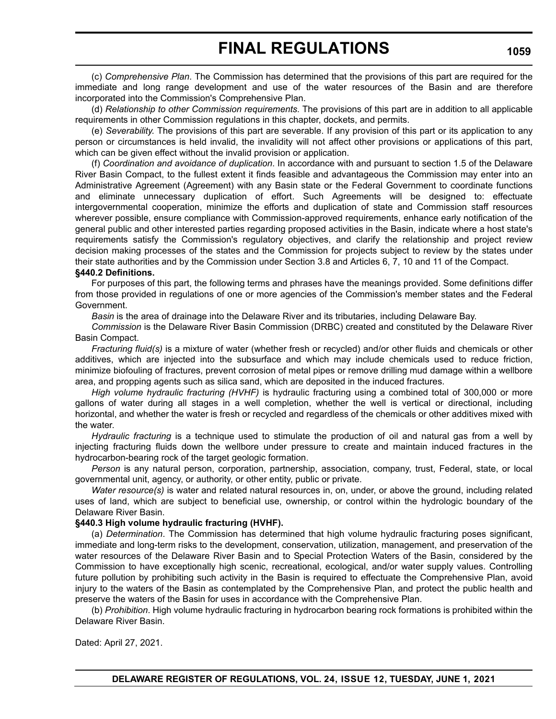(c) *Comprehensive Plan*. The Commission has determined that the provisions of this part are required for the immediate and long range development and use of the water resources of the Basin and are therefore incorporated into the Commission's Comprehensive Plan.

(d) *Relationship to other Commission requirements*. The provisions of this part are in addition to all applicable requirements in other Commission regulations in this chapter, dockets, and permits.

(e) *Severability*. The provisions of this part are severable. If any provision of this part or its application to any person or circumstances is held invalid, the invalidity will not affect other provisions or applications of this part, which can be given effect without the invalid provision or application.

(f) *Coordination and avoidance of duplication*. In accordance with and pursuant to section 1.5 of the Delaware River Basin Compact, to the fullest extent it finds feasible and advantageous the Commission may enter into an Administrative Agreement (Agreement) with any Basin state or the Federal Government to coordinate functions and eliminate unnecessary duplication of effort. Such Agreements will be designed to: effectuate intergovernmental cooperation, minimize the efforts and duplication of state and Commission staff resources wherever possible, ensure compliance with Commission-approved requirements, enhance early notification of the general public and other interested parties regarding proposed activities in the Basin, indicate where a host state's requirements satisfy the Commission's regulatory objectives, and clarify the relationship and project review decision making processes of the states and the Commission for projects subject to review by the states under their state authorities and by the Commission under Section 3.8 and Articles 6, 7, 10 and 11 of the Compact.

### **§440.2 Definitions.**

For purposes of this part, the following terms and phrases have the meanings provided. Some definitions differ from those provided in regulations of one or more agencies of the Commission's member states and the Federal Government.

*Basin* is the area of drainage into the Delaware River and its tributaries, including Delaware Bay.

*Commission* is the Delaware River Basin Commission (DRBC) created and constituted by the Delaware River Basin Compact.

*Fracturing fluid(s)* is a mixture of water (whether fresh or recycled) and/or other fluids and chemicals or other additives, which are injected into the subsurface and which may include chemicals used to reduce friction, minimize biofouling of fractures, prevent corrosion of metal pipes or remove drilling mud damage within a wellbore area, and propping agents such as silica sand, which are deposited in the induced fractures.

*High volume hydraulic fracturing (HVHF)* is hydraulic fracturing using a combined total of 300,000 or more gallons of water during all stages in a well completion, whether the well is vertical or directional, including horizontal, and whether the water is fresh or recycled and regardless of the chemicals or other additives mixed with the water.

*Hydraulic fracturing* is a technique used to stimulate the production of oil and natural gas from a well by injecting fracturing fluids down the wellbore under pressure to create and maintain induced fractures in the hydrocarbon-bearing rock of the target geologic formation.

*Person* is any natural person, corporation, partnership, association, company, trust, Federal, state, or local governmental unit, agency, or authority, or other entity, public or private.

*Water resource(s)* is water and related natural resources in, on, under, or above the ground, including related uses of land, which are subject to beneficial use, ownership, or control within the hydrologic boundary of the Delaware River Basin.

### **§440.3 High volume hydraulic fracturing (HVHF).**

(a) *Determination*. The Commission has determined that high volume hydraulic fracturing poses significant, immediate and long-term risks to the development, conservation, utilization, management, and preservation of the water resources of the Delaware River Basin and to Special Protection Waters of the Basin, considered by the Commission to have exceptionally high scenic, recreational, ecological, and/or water supply values. Controlling future pollution by prohibiting such activity in the Basin is required to effectuate the Comprehensive Plan, avoid injury to the waters of the Basin as contemplated by the Comprehensive Plan, and protect the public health and preserve the waters of the Basin for uses in accordance with the Comprehensive Plan.

(b) *Prohibition*. High volume hydraulic fracturing in hydrocarbon bearing rock formations is prohibited within the Delaware River Basin.

Dated: April 27, 2021.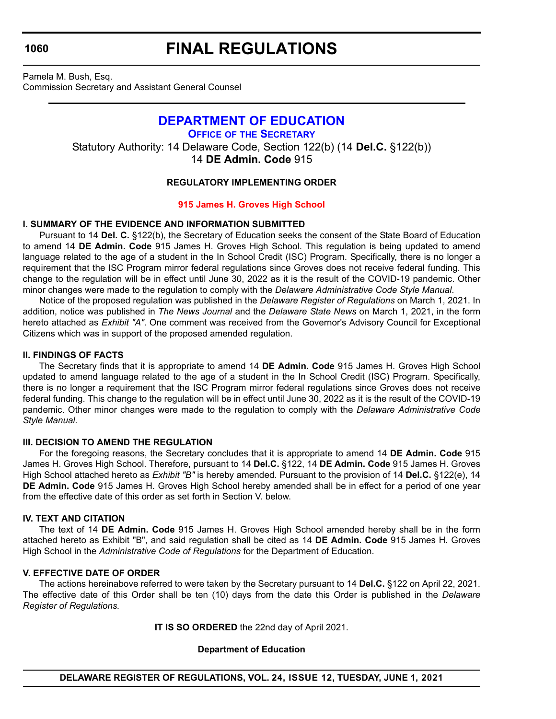# **FINAL REGULATIONS**

<span id="page-39-0"></span>Pamela M. Bush, Esq. Commission Secretary and Assistant General Counsel

# **[DEPARTMENT OF EDUCATION](https://www.doe.k12.de.us/)**

**OFFICE OF [THE SECRETARY](https://www.doe.k12.de.us/Page/11)** Statutory Authority: 14 Delaware Code, Section 122(b) (14 **Del.C.** §122(b)) 14 **DE Admin. Code** 915

# **REGULATORY IMPLEMENTING ORDER**

# **[915 James H. Groves High School](#page-3-0)**

# **I. SUMMARY OF THE EVIDENCE AND INFORMATION SUBMITTED**

Pursuant to 14 **Del. C.** §122(b), the Secretary of Education seeks the consent of the State Board of Education to amend 14 **DE Admin. Code** 915 James H. Groves High School. This regulation is being updated to amend language related to the age of a student in the In School Credit (ISC) Program. Specifically, there is no longer a requirement that the ISC Program mirror federal regulations since Groves does not receive federal funding. This change to the regulation will be in effect until June 30, 2022 as it is the result of the COVID-19 pandemic. Other minor changes were made to the regulation to comply with the *Delaware Administrative Code Style Manual*.

Notice of the proposed regulation was published in the *Delaware Register of Regulations* on March 1, 2021. In addition, notice was published in *The News Journal* and the *Delaware State News* on March 1, 2021, in the form hereto attached as *Exhibit "A"*. One comment was received from the Governor's Advisory Council for Exceptional Citizens which was in support of the proposed amended regulation.

# **II. FINDINGS OF FACTS**

The Secretary finds that it is appropriate to amend 14 **DE Admin. Code** 915 James H. Groves High School updated to amend language related to the age of a student in the In School Credit (ISC) Program. Specifically, there is no longer a requirement that the ISC Program mirror federal regulations since Groves does not receive federal funding. This change to the regulation will be in effect until June 30, 2022 as it is the result of the COVID-19 pandemic. Other minor changes were made to the regulation to comply with the *Delaware Administrative Code Style Manual*.

# **III. DECISION TO AMEND THE REGULATION**

For the foregoing reasons, the Secretary concludes that it is appropriate to amend 14 **DE Admin. Code** 915 James H. Groves High School. Therefore, pursuant to 14 **Del.C.** §122, 14 **DE Admin. Code** 915 James H. Groves High School attached hereto as *Exhibit "B"* is hereby amended. Pursuant to the provision of 14 **Del.C.** §122(e), 14 **DE Admin. Code** 915 James H. Groves High School hereby amended shall be in effect for a period of one year from the effective date of this order as set forth in Section V. below.

# **IV. TEXT AND CITATION**

The text of 14 **DE Admin. Code** 915 James H. Groves High School amended hereby shall be in the form attached hereto as Exhibit "B", and said regulation shall be cited as 14 **DE Admin. Code** 915 James H. Groves High School in the *Administrative Code of Regulations* for the Department of Education.

# **V. EFFECTIVE DATE OF ORDER**

The actions hereinabove referred to were taken by the Secretary pursuant to 14 **Del.C.** §122 on April 22, 2021. The effective date of this Order shall be ten (10) days from the date this Order is published in the *Delaware Register of Regulations.*

**IT IS SO ORDERED** the 22nd day of April 2021.

# **Department of Education**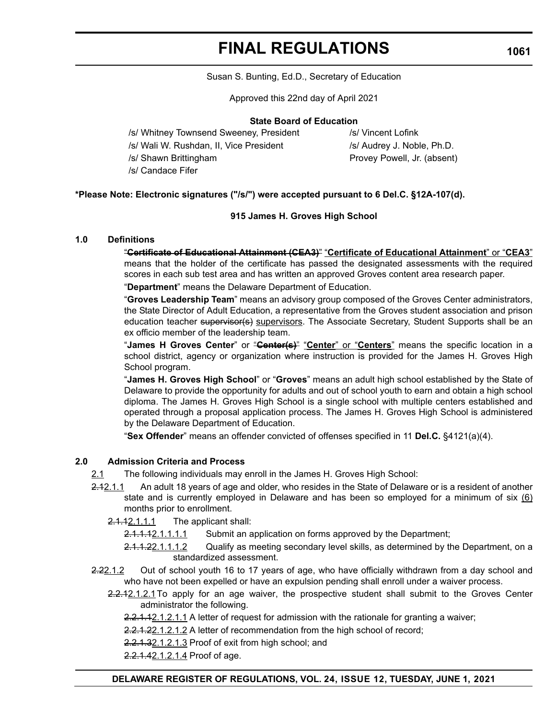# **FINAL REGULATIONS**

### Susan S. Bunting, Ed.D., Secretary of Education

Approved this 22nd day of April 2021

## **State Board of Education**

/s/ Whitney Townsend Sweeney, President /s/ Vincent Lofink /s/ Wali W. Rushdan, II, Vice President /s/ Audrey J. Noble, Ph.D. /s/ Shawn Brittingham Provey Powell, Jr. (absent)

/s/ Candace Fifer

# **\*Please Note: Electronic signatures ("/s/") were accepted pursuant to 6 Del.C. §12A-107(d).**

### **915 James H. Groves High School**

### **1.0 Definitions**

"**Certificate of Educational Attainment (CEA3)**" "**Certificate of Educational Attainment**" or "**CEA3**" means that the holder of the certificate has passed the designated assessments with the required scores in each sub test area and has written an approved Groves content area research paper. "**Department**" means the Delaware Department of Education.

"**Groves Leadership Team**" means an advisory group composed of the Groves Center administrators, the State Director of Adult Education, a representative from the Groves student association and prison education teacher supervisor(s) supervisors. The Associate Secretary, Student Supports shall be an ex officio member of the leadership team.

"**James H Groves Center**" or "**Center(s)**" "**Center**" or "**Centers**" means the specific location in a school district, agency or organization where instruction is provided for the James H. Groves High School program.

"**James H. Groves High School**" or "**Groves**" means an adult high school established by the State of Delaware to provide the opportunity for adults and out of school youth to earn and obtain a high school diploma. The James H. Groves High School is a single school with multiple centers established and operated through a proposal application process. The James H. Groves High School is administered by the Delaware Department of Education.

"**Sex Offender**" means an offender convicted of offenses specified in 11 **Del.C.** §4121(a)(4).

## **2.0 Admission Criteria and Process**

- 2.1 The following individuals may enroll in the James H. Groves High School:
- 2.12.1.1 An adult 18 years of age and older, who resides in the State of Delaware or is a resident of another state and is currently employed in Delaware and has been so employed for a minimum of six  $(6)$ months prior to enrollment.

 $2.1.12.1.11$  The applicant shall:

- 2.1.1.12.1.1.1.1 Submit an application on forms approved by the Department;
- 2.1.1.22.1.1.1.2 Qualify as meeting secondary level skills, as determined by the Department, on a standardized assessment.
- 2.22.1.2 Out of school youth 16 to 17 years of age, who have officially withdrawn from a day school and who have not been expelled or have an expulsion pending shall enroll under a waiver process.
	- 2.2.1.2.1.2.1To apply for an age waiver, the prospective student shall submit to the Groves Center administrator the following.
		- 2.2.1.12.1.2.1.1 A letter of request for admission with the rationale for granting a waiver;

2.2.1.22.1.2.1.2 A letter of recommendation from the high school of record;

- 2.2.1.32.1.2.1.3 Proof of exit from high school; and
- 2.2.1.42.1.2.1.4 Proof of age.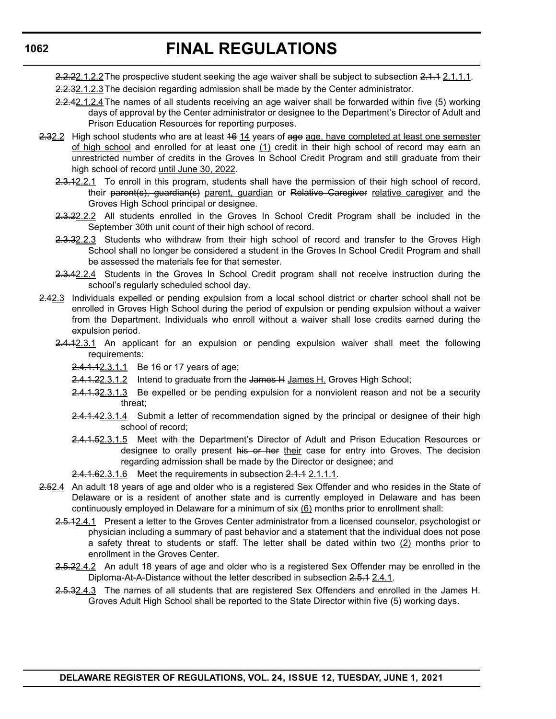# **FINAL REGULATIONS**

2.2.22.1.2.2 The prospective student seeking the age waiver shall be subject to subsection 2.1.1 2.1.1.1.

- 2.2.32.1.2.3 The decision regarding admission shall be made by the Center administrator.
- 2.2.42.1.2.4The names of all students receiving an age waiver shall be forwarded within five (5) working days of approval by the Center administrator or designee to the Department's Director of Adult and Prison Education Resources for reporting purposes.
- 2.32.2 High school students who are at least 46 14 years of age age, have completed at least one semester of high school and enrolled for at least one (1) credit in their high school of record may earn an unrestricted number of credits in the Groves In School Credit Program and still graduate from their high school of record until June 30, 2022.
	- 2.3.12.2.1 To enroll in this program, students shall have the permission of their high school of record, their parent(s), guardian(s) parent, guardian or Relative Caregiver relative caregiver and the Groves High School principal or designee.
	- 2.3.22.2.2 All students enrolled in the Groves In School Credit Program shall be included in the September 30th unit count of their high school of record.
	- 2.3.32.2.3 Students who withdraw from their high school of record and transfer to the Groves High School shall no longer be considered a student in the Groves In School Credit Program and shall be assessed the materials fee for that semester.
	- 2.3.42.2.4 Students in the Groves In School Credit program shall not receive instruction during the school's regularly scheduled school day.
- 2.42.3 Individuals expelled or pending expulsion from a local school district or charter school shall not be enrolled in Groves High School during the period of expulsion or pending expulsion without a waiver from the Department. Individuals who enroll without a waiver shall lose credits earned during the expulsion period.
	- 2.4.12.3.1 An applicant for an expulsion or pending expulsion waiver shall meet the following requirements:
		- 2.4.1.12.3.1.1 Be 16 or 17 years of age;
		- 2.4.1.22.3.1.2 Intend to graduate from the James H James H. Groves High School;
		- 2.4.1.32.3.1.3 Be expelled or be pending expulsion for a nonviolent reason and not be a security threat;
		- 2.4.1.42.3.1.4 Submit a letter of recommendation signed by the principal or designee of their high school of record;
		- 2.4.1.52.3.1.5 Meet with the Department's Director of Adult and Prison Education Resources or designee to orally present his or her their case for entry into Groves. The decision regarding admission shall be made by the Director or designee; and
		- 2.4.1.62.3.1.6 Meet the requirements in subsection 2.1.1 2.1.1.1.
- 2.52.4 An adult 18 years of age and older who is a registered Sex Offender and who resides in the State of Delaware or is a resident of another state and is currently employed in Delaware and has been continuously employed in Delaware for a minimum of  $six (6)$  months prior to enrollment shall:
	- 2.5.12.4.1 Present a letter to the Groves Center administrator from a licensed counselor, psychologist or physician including a summary of past behavior and a statement that the individual does not pose a safety threat to students or staff. The letter shall be dated within two  $(2)$  months prior to enrollment in the Groves Center.
	- 2.5.22.4.2 An adult 18 years of age and older who is a registered Sex Offender may be enrolled in the Diploma-At-A-Distance without the letter described in subsection 2.5.1 2.4.1.
	- 2.5.32.4.3 The names of all students that are registered Sex Offenders and enrolled in the James H. Groves Adult High School shall be reported to the State Director within five (5) working days.

# **1062**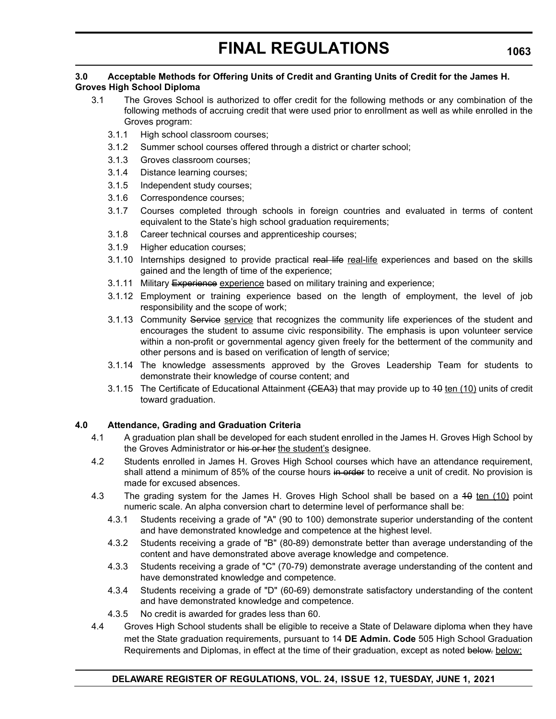#### **3.0 Acceptable Methods for Offering Units of Credit and Granting Units of Credit for the James H. Groves High School Diploma**

- 3.1 The Groves School is authorized to offer credit for the following methods or any combination of the following methods of accruing credit that were used prior to enrollment as well as while enrolled in the Groves program:
	- 3.1.1 High school classroom courses;
	- 3.1.2 Summer school courses offered through a district or charter school;
	- 3.1.3 Groves classroom courses;
	- 3.1.4 Distance learning courses;
	- 3.1.5 Independent study courses;
	- 3.1.6 Correspondence courses;
	- 3.1.7 Courses completed through schools in foreign countries and evaluated in terms of content equivalent to the State's high school graduation requirements;
	- 3.1.8 Career technical courses and apprenticeship courses;
	- 3.1.9 Higher education courses;
	- 3.1.10 Internships designed to provide practical real life real-life experiences and based on the skills gained and the length of time of the experience;
	- 3.1.11 Military Experience experience based on military training and experience;
	- 3.1.12 Employment or training experience based on the length of employment, the level of job responsibility and the scope of work;
	- 3.1.13 Community Service service that recognizes the community life experiences of the student and encourages the student to assume civic responsibility. The emphasis is upon volunteer service within a non-profit or governmental agency given freely for the betterment of the community and other persons and is based on verification of length of service;
	- 3.1.14 The knowledge assessments approved by the Groves Leadership Team for students to demonstrate their knowledge of course content; and
	- 3.1.15 The Certificate of Educational Attainment (CEA3) that may provide up to 40 ten (10) units of credit toward graduation.

# **4.0 Attendance, Grading and Graduation Criteria**

- 4.1 A graduation plan shall be developed for each student enrolled in the James H. Groves High School by the Groves Administrator or his or her the student's designee.
- 4.2 Students enrolled in James H. Groves High School courses which have an attendance requirement, shall attend a minimum of 85% of the course hours in order to receive a unit of credit. No provision is made for excused absences.
- 4.3 The grading system for the James H. Groves High School shall be based on a 40 ten (10) point numeric scale. An alpha conversion chart to determine level of performance shall be:
	- 4.3.1 Students receiving a grade of "A" (90 to 100) demonstrate superior understanding of the content and have demonstrated knowledge and competence at the highest level.
	- 4.3.2 Students receiving a grade of "B" (80-89) demonstrate better than average understanding of the content and have demonstrated above average knowledge and competence.
	- 4.3.3 Students receiving a grade of "C" (70-79) demonstrate average understanding of the content and have demonstrated knowledge and competence.
	- 4.3.4 Students receiving a grade of "D" (60-69) demonstrate satisfactory understanding of the content and have demonstrated knowledge and competence.
	- 4.3.5 No credit is awarded for grades less than 60.
- 4.4 Groves High School students shall be eligible to receive a State of Delaware diploma when they have met the State graduation requirements, pursuant to 14 **DE Admin. Code** 505 High School Graduation Requirements and Diplomas, in effect at the time of their graduation, except as noted below. below: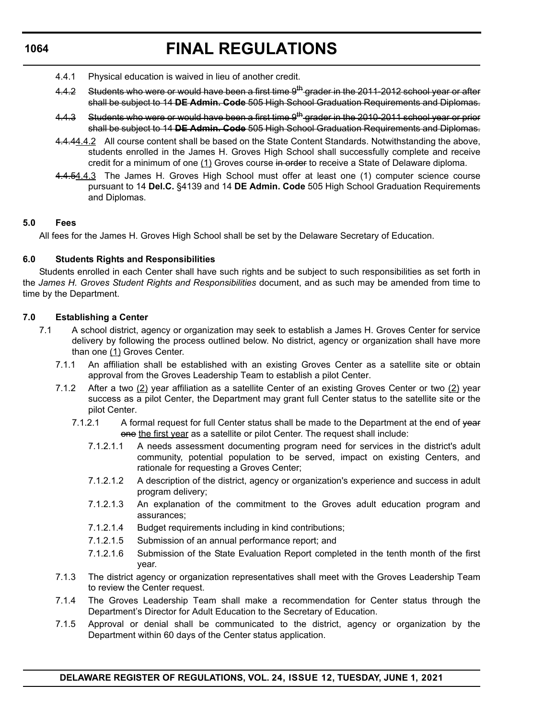# **FINAL REGULATIONS**

- 4.4.1 Physical education is waived in lieu of another credit.
- 4.4.2 Students who were or would have been a first time 9<sup>th</sup> grader in the 2011-2012 school year or after shall be subject to 14 **DE Admin. Code** 505 High School Graduation Requirements and Diplomas.
- 4.4.3 Students who were or would have been a first time 9<sup>th</sup> grader in the 2010-2011 school year or prior shall be subject to 14 **DE Admin. Code** 505 High School Graduation Requirements and Diplomas.
- 4.4.44.4.2 All course content shall be based on the State Content Standards. Notwithstanding the above, students enrolled in the James H. Groves High School shall successfully complete and receive credit for a minimum of one (1) Groves course in order to receive a State of Delaware diploma.
- 4.4.54.4.3 The James H. Groves High School must offer at least one (1) computer science course pursuant to 14 **Del.C.** §4139 and 14 **DE Admin. Code** 505 High School Graduation Requirements and Diplomas.

# **5.0 Fees**

All fees for the James H. Groves High School shall be set by the Delaware Secretary of Education.

# **6.0 Students Rights and Responsibilities**

Students enrolled in each Center shall have such rights and be subject to such responsibilities as set forth in the *James H. Groves Student Rights and Responsibilities* document, and as such may be amended from time to time by the Department.

# **7.0 Establishing a Center**

- 7.1 A school district, agency or organization may seek to establish a James H. Groves Center for service delivery by following the process outlined below. No district, agency or organization shall have more than one (1) Groves Center.
	- 7.1.1 An affiliation shall be established with an existing Groves Center as a satellite site or obtain approval from the Groves Leadership Team to establish a pilot Center.
	- 7.1.2 After a two (2) year affiliation as a satellite Center of an existing Groves Center or two (2) year success as a pilot Center, the Department may grant full Center status to the satellite site or the pilot Center.
		- 7.1.2.1 A formal request for full Center status shall be made to the Department at the end of year one the first year as a satellite or pilot Center. The request shall include:
			- 7.1.2.1.1 A needs assessment documenting program need for services in the district's adult community, potential population to be served, impact on existing Centers, and rationale for requesting a Groves Center;
			- 7.1.2.1.2 A description of the district, agency or organization's experience and success in adult program delivery;
			- 7.1.2.1.3 An explanation of the commitment to the Groves adult education program and assurances;
			- 7.1.2.1.4 Budget requirements including in kind contributions;
			- 7.1.2.1.5 Submission of an annual performance report; and
			- 7.1.2.1.6 Submission of the State Evaluation Report completed in the tenth month of the first year.
	- 7.1.3 The district agency or organization representatives shall meet with the Groves Leadership Team to review the Center request.
	- 7.1.4 The Groves Leadership Team shall make a recommendation for Center status through the Department's Director for Adult Education to the Secretary of Education.
	- 7.1.5 Approval or denial shall be communicated to the district, agency or organization by the Department within 60 days of the Center status application.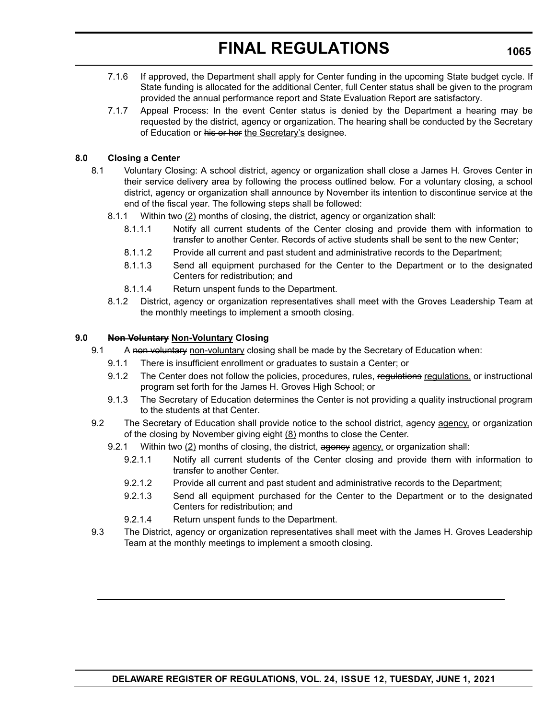# **FINAL REGULATIONS**

- 7.1.6 If approved, the Department shall apply for Center funding in the upcoming State budget cycle. If State funding is allocated for the additional Center, full Center status shall be given to the program provided the annual performance report and State Evaluation Report are satisfactory.
- 7.1.7 Appeal Process: In the event Center status is denied by the Department a hearing may be requested by the district, agency or organization. The hearing shall be conducted by the Secretary of Education or his or her the Secretary's designee.

# **8.0 Closing a Center**

- 8.1 Voluntary Closing: A school district, agency or organization shall close a James H. Groves Center in their service delivery area by following the process outlined below. For a voluntary closing, a school district, agency or organization shall announce by November its intention to discontinue service at the end of the fiscal year. The following steps shall be followed:
	- 8.1.1 Within two (2) months of closing, the district, agency or organization shall:
		- 8.1.1.1 Notify all current students of the Center closing and provide them with information to transfer to another Center. Records of active students shall be sent to the new Center;
		- 8.1.1.2 Provide all current and past student and administrative records to the Department;
		- 8.1.1.3 Send all equipment purchased for the Center to the Department or to the designated Centers for redistribution; and
		- 8.1.1.4 Return unspent funds to the Department.
	- 8.1.2 District, agency or organization representatives shall meet with the Groves Leadership Team at the monthly meetings to implement a smooth closing.

### **9.0 Non Voluntary Non-Voluntary Closing**

- 9.1 A non voluntary non-voluntary closing shall be made by the Secretary of Education when:
	- 9.1.1 There is insufficient enrollment or graduates to sustain a Center; or
	- 9.1.2 The Center does not follow the policies, procedures, rules, regulations regulations, or instructional program set forth for the James H. Groves High School; or
	- 9.1.3 The Secretary of Education determines the Center is not providing a quality instructional program to the students at that Center.
- 9.2 The Secretary of Education shall provide notice to the school district, agency agency, or organization of the closing by November giving eight  $(8)$  months to close the Center.
	- 9.2.1 Within two  $(2)$  months of closing, the district, agency agency, or organization shall:
		- 9.2.1.1 Notify all current students of the Center closing and provide them with information to transfer to another Center.
		- 9.2.1.2 Provide all current and past student and administrative records to the Department;
		- 9.2.1.3 Send all equipment purchased for the Center to the Department or to the designated Centers for redistribution; and
		- 9.2.1.4 Return unspent funds to the Department.
- 9.3 The District, agency or organization representatives shall meet with the James H. Groves Leadership Team at the monthly meetings to implement a smooth closing.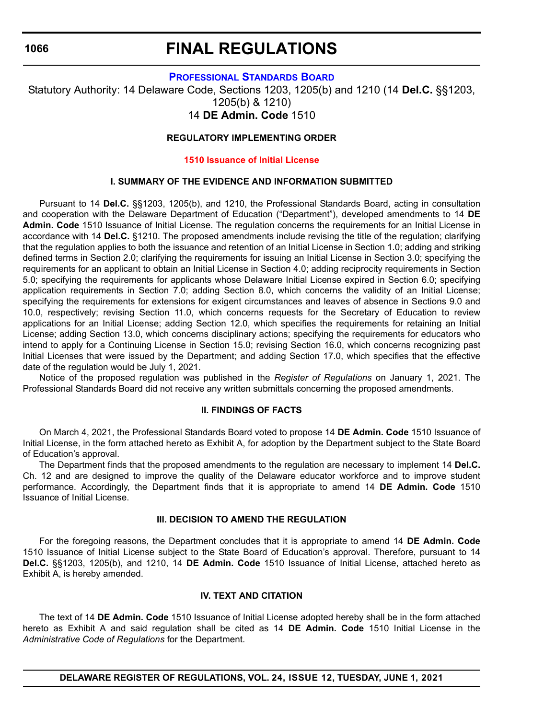# **FINAL REGULATIONS**

### **[PROFESSIONAL STANDARDS BOARD](https://www.doe.k12.de.us/domain/172 )**

<span id="page-45-0"></span>Statutory Authority: 14 Delaware Code, Sections 1203, 1205(b) and 1210 (14 **Del.C.** §§1203, 1205(b) & 1210)

# 14 **DE Admin. Code** 1510

## **REGULATORY IMPLEMENTING ORDER**

### **[1510 Issuance of Initial License](#page-3-0)**

# **I. SUMMARY OF THE EVIDENCE AND INFORMATION SUBMITTED**

Pursuant to 14 **Del.C.** §§1203, 1205(b), and 1210, the Professional Standards Board, acting in consultation and cooperation with the Delaware Department of Education ("Department"), developed amendments to 14 **DE Admin. Code** 1510 Issuance of Initial License. The regulation concerns the requirements for an Initial License in accordance with 14 **Del.C.** §1210. The proposed amendments include revising the title of the regulation; clarifying that the regulation applies to both the issuance and retention of an Initial License in Section 1.0; adding and striking defined terms in Section 2.0; clarifying the requirements for issuing an Initial License in Section 3.0; specifying the requirements for an applicant to obtain an Initial License in Section 4.0; adding reciprocity requirements in Section 5.0; specifying the requirements for applicants whose Delaware Initial License expired in Section 6.0; specifying application requirements in Section 7.0; adding Section 8.0, which concerns the validity of an Initial License; specifying the requirements for extensions for exigent circumstances and leaves of absence in Sections 9.0 and 10.0, respectively; revising Section 11.0, which concerns requests for the Secretary of Education to review applications for an Initial License; adding Section 12.0, which specifies the requirements for retaining an Initial License; adding Section 13.0, which concerns disciplinary actions; specifying the requirements for educators who intend to apply for a Continuing License in Section 15.0; revising Section 16.0, which concerns recognizing past Initial Licenses that were issued by the Department; and adding Section 17.0, which specifies that the effective date of the regulation would be July 1, 2021.

Notice of the proposed regulation was published in the *Register of Regulations* on January 1, 2021. The Professional Standards Board did not receive any written submittals concerning the proposed amendments.

### **II. FINDINGS OF FACTS**

On March 4, 2021, the Professional Standards Board voted to propose 14 **DE Admin. Code** 1510 Issuance of Initial License, in the form attached hereto as Exhibit A, for adoption by the Department subject to the State Board of Education's approval.

The Department finds that the proposed amendments to the regulation are necessary to implement 14 **Del.C.** Ch. 12 and are designed to improve the quality of the Delaware educator workforce and to improve student performance. Accordingly, the Department finds that it is appropriate to amend 14 **DE Admin. Code** 1510 Issuance of Initial License.

# **III. DECISION TO AMEND THE REGULATION**

For the foregoing reasons, the Department concludes that it is appropriate to amend 14 **DE Admin. Code** 1510 Issuance of Initial License subject to the State Board of Education's approval. Therefore, pursuant to 14 **Del.C.** §§1203, 1205(b), and 1210, 14 **DE Admin. Code** 1510 Issuance of Initial License, attached hereto as Exhibit A, is hereby amended.

## **IV. TEXT AND CITATION**

The text of 14 **DE Admin. Code** 1510 Issuance of Initial License adopted hereby shall be in the form attached hereto as Exhibit A and said regulation shall be cited as 14 **DE Admin. Code** 1510 Initial License in the *Administrative Code of Regulations* for the Department.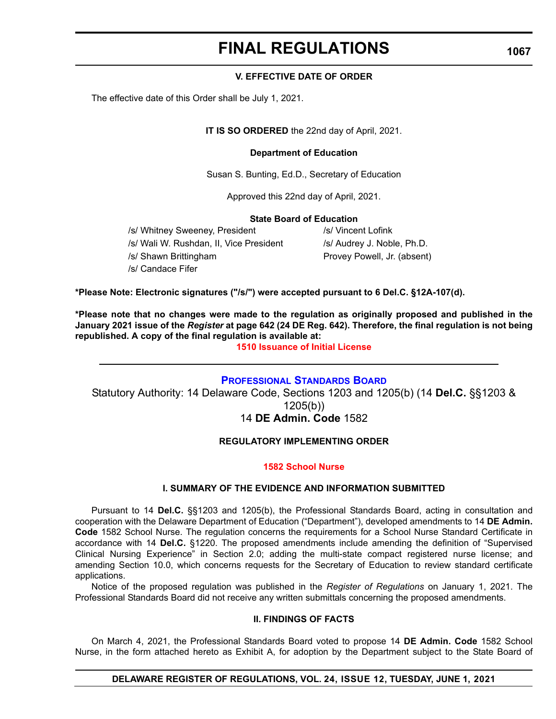# **FINAL REGULATIONS**

### **V. EFFECTIVE DATE OF ORDER**

<span id="page-46-0"></span>The effective date of this Order shall be July 1, 2021.

**IT IS SO ORDERED** the 22nd day of April, 2021.

### **Department of Education**

Susan S. Bunting, Ed.D., Secretary of Education

Approved this 22nd day of April, 2021.

### **State Board of Education**

/s/ Whitney Sweeney, President /s/ Vincent Lofink /s/ Wali W. Rushdan, II, Vice President /s/ Audrey J. Noble, Ph.D.

/s/ Candace Fifer

/s/ Shawn Brittingham extending provey Powell, Jr. (absent)

**\*Please Note: Electronic signatures ("/s/") were accepted pursuant to 6 Del.C. §12A-107(d).**

**\*Please note that no changes were made to the regulation as originally proposed and published in the January 2021 issue of the** *Register* **at page 642 (24 DE Reg. 642). Therefore, the final regulation is not being republished. A copy of the final regulation is available at:**

**[1510 Issuance of Initial License](http://regulations.delaware.gov/register/june2021/final/24 DE Reg 1066 06-01-21.htm)**

# **[PROFESSIONAL STANDARDS BOARD](https://www.doe.k12.de.us/domain/172 )**

Statutory Authority: 14 Delaware Code, Sections 1203 and 1205(b) (14 **Del.C.** §§1203 & 1205(b))

# 14 **DE Admin. Code** 1582

# **REGULATORY IMPLEMENTING ORDER**

### **[1582 School Nurse](#page-3-0)**

### **I. SUMMARY OF THE EVIDENCE AND INFORMATION SUBMITTED**

Pursuant to 14 **Del.C.** §§1203 and 1205(b), the Professional Standards Board, acting in consultation and cooperation with the Delaware Department of Education ("Department"), developed amendments to 14 **DE Admin. Code** 1582 School Nurse. The regulation concerns the requirements for a School Nurse Standard Certificate in accordance with 14 **Del.C.** §1220. The proposed amendments include amending the definition of "Supervised Clinical Nursing Experience" in Section 2.0; adding the multi-state compact registered nurse license; and amending Section 10.0, which concerns requests for the Secretary of Education to review standard certificate applications.

Notice of the proposed regulation was published in the *Register of Regulations* on January 1, 2021. The Professional Standards Board did not receive any written submittals concerning the proposed amendments.

# **II. FINDINGS OF FACTS**

On March 4, 2021, the Professional Standards Board voted to propose 14 **DE Admin. Code** 1582 School Nurse, in the form attached hereto as Exhibit A, for adoption by the Department subject to the State Board of

# **DELAWARE REGISTER OF REGULATIONS, VOL. 24, ISSUE 12, TUESDAY, JUNE 1, 2021**

**1067**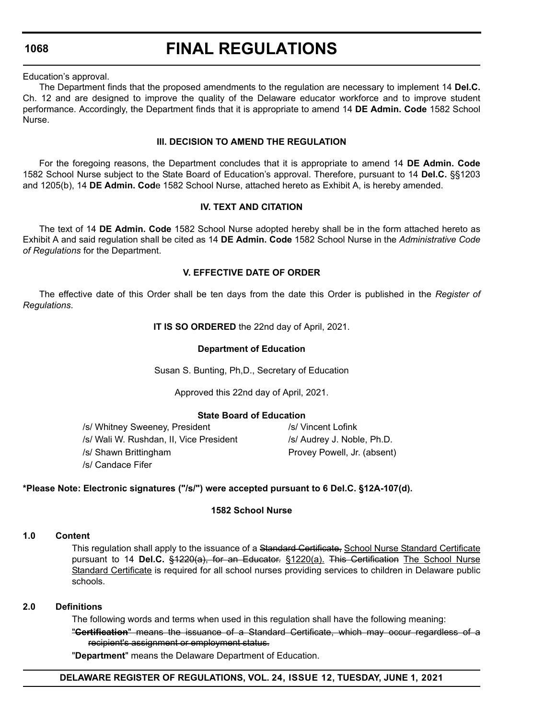# **FINAL REGULATIONS**

Education's approval.

The Department finds that the proposed amendments to the regulation are necessary to implement 14 **Del.C.**  Ch. 12 and are designed to improve the quality of the Delaware educator workforce and to improve student performance. Accordingly, the Department finds that it is appropriate to amend 14 **DE Admin. Code** 1582 School Nurse.

## **III. DECISION TO AMEND THE REGULATION**

For the foregoing reasons, the Department concludes that it is appropriate to amend 14 **DE Admin. Code** 1582 School Nurse subject to the State Board of Education's approval. Therefore, pursuant to 14 **Del.C.** §§1203 and 1205(b), 14 **DE Admin. Cod**e 1582 School Nurse, attached hereto as Exhibit A, is hereby amended.

# **IV. TEXT AND CITATION**

The text of 14 **DE Admin. Code** 1582 School Nurse adopted hereby shall be in the form attached hereto as Exhibit A and said regulation shall be cited as 14 **DE Admin. Code** 1582 School Nurse in the *Administrative Code of Regulations* for the Department.

# **V. EFFECTIVE DATE OF ORDER**

The effective date of this Order shall be ten days from the date this Order is published in the *Register of Regulations*.

**IT IS SO ORDERED** the 22nd day of April, 2021.

### **Department of Education**

Susan S. Bunting, Ph,D., Secretary of Education

Approved this 22nd day of April, 2021.

### **State Board of Education**

/s/ Whitney Sweeney, President /s/ Vincent Lofink /s/ Wali W. Rushdan, II, Vice President /s/ Audrey J. Noble, Ph.D. /s/ Shawn Brittingham **Provey Powell**, Jr. (absent) /s/ Candace Fifer

# **\*Please Note: Electronic signatures ("/s/") were accepted pursuant to 6 Del.C. §12A-107(d).**

### **1582 School Nurse**

### **1.0 Content**

This regulation shall apply to the issuance of a Standard Certificate, School Nurse Standard Certificate pursuant to 14 **Del.C.** §1220(a), for an Educator. §1220(a). This Certification The School Nurse Standard Certificate is required for all school nurses providing services to children in Delaware public schools.

### **2.0 Definitions**

The following words and terms when used in this regulation shall have the following meaning:

"**Certification**" means the issuance of a Standard Certificate, which may occur regardless of a recipient's assignment or employment status.

"**Department**" means the Delaware Department of Education.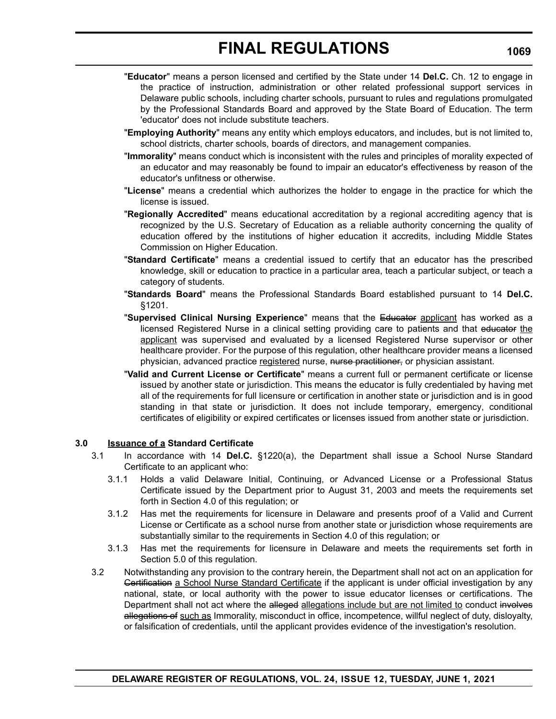# **FINAL REGULATIONS**

- "**Educator**" means a person licensed and certified by the State under 14 **Del.C.** Ch. 12 to engage in the practice of instruction, administration or other related professional support services in Delaware public schools, including charter schools, pursuant to rules and regulations promulgated by the Professional Standards Board and approved by the State Board of Education. The term 'educator' does not include substitute teachers.
- "**Employing Authority**" means any entity which employs educators, and includes, but is not limited to, school districts, charter schools, boards of directors, and management companies.
- "**Immorality**" means conduct which is inconsistent with the rules and principles of morality expected of an educator and may reasonably be found to impair an educator's effectiveness by reason of the educator's unfitness or otherwise.
- "**License**" means a credential which authorizes the holder to engage in the practice for which the license is issued.
- "**Regionally Accredited**" means educational accreditation by a regional accrediting agency that is recognized by the U.S. Secretary of Education as a reliable authority concerning the quality of education offered by the institutions of higher education it accredits, including Middle States Commission on Higher Education.
- "**Standard Certificate**" means a credential issued to certify that an educator has the prescribed knowledge, skill or education to practice in a particular area, teach a particular subject, or teach a category of students.
- "**Standards Board**" means the Professional Standards Board established pursuant to 14 **Del.C.** §1201.
- "**Supervised Clinical Nursing Experience**" means that the Educator applicant has worked as a licensed Registered Nurse in a clinical setting providing care to patients and that educator the applicant was supervised and evaluated by a licensed Registered Nurse supervisor or other healthcare provider. For the purpose of this regulation, other healthcare provider means a licensed physician, advanced practice registered nurse, nurse practitioner, or physician assistant.
- "**Valid and Current License or Certificate**" means a current full or permanent certificate or license issued by another state or jurisdiction. This means the educator is fully credentialed by having met all of the requirements for full licensure or certification in another state or jurisdiction and is in good standing in that state or jurisdiction. It does not include temporary, emergency, conditional certificates of eligibility or expired certificates or licenses issued from another state or jurisdiction.

### **3.0 Issuance of a Standard Certificate**

- 3.1 In accordance with 14 **Del.C.** §1220(a), the Department shall issue a School Nurse Standard Certificate to an applicant who:
	- 3.1.1 Holds a valid Delaware Initial, Continuing, or Advanced License or a Professional Status Certificate issued by the Department prior to August 31, 2003 and meets the requirements set forth in Section 4.0 of this regulation; or
	- 3.1.2 Has met the requirements for licensure in Delaware and presents proof of a Valid and Current License or Certificate as a school nurse from another state or jurisdiction whose requirements are substantially similar to the requirements in Section 4.0 of this regulation; or
	- 3.1.3 Has met the requirements for licensure in Delaware and meets the requirements set forth in Section 5.0 of this regulation.
- 3.2 Notwithstanding any provision to the contrary herein, the Department shall not act on an application for Gertification a School Nurse Standard Certificate if the applicant is under official investigation by any national, state, or local authority with the power to issue educator licenses or certifications. The Department shall not act where the alleged allegations include but are not limited to conduct involves allegations of such as Immorality, misconduct in office, incompetence, willful neglect of duty, disloyalty, or falsification of credentials, until the applicant provides evidence of the investigation's resolution.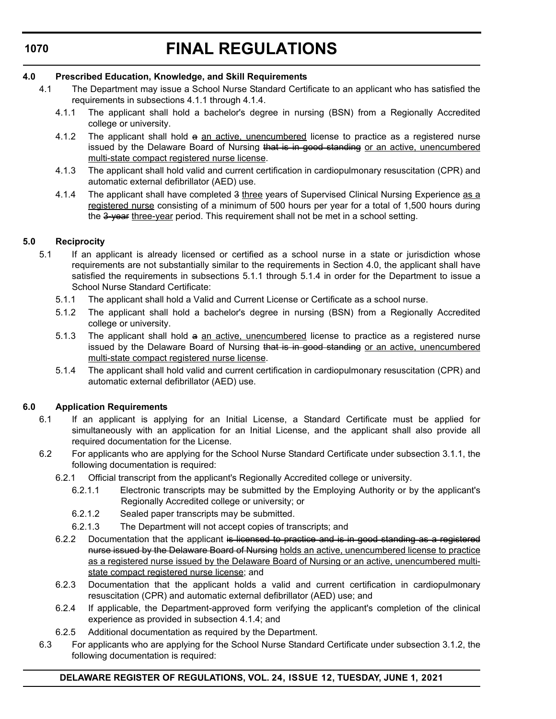# **FINAL REGULATIONS**

# **4.0 Prescribed Education, Knowledge, and Skill Requirements**

- 4.1 The Department may issue a School Nurse Standard Certificate to an applicant who has satisfied the requirements in subsections 4.1.1 through 4.1.4.
	- 4.1.1 The applicant shall hold a bachelor's degree in nursing (BSN) from a Regionally Accredited college or university.
	- 4.1.2 The applicant shall hold a an active, unencumbered license to practice as a registered nurse issued by the Delaware Board of Nursing that is in good standing or an active, unencumbered multi-state compact registered nurse license.
	- 4.1.3 The applicant shall hold valid and current certification in cardiopulmonary resuscitation (CPR) and automatic external defibrillator (AED) use.
	- 4.1.4 The applicant shall have completed 3 three years of Supervised Clinical Nursing Experience as a registered nurse consisting of a minimum of 500 hours per year for a total of 1,500 hours during the 3-year three-year period. This requirement shall not be met in a school setting.

# **5.0 Reciprocity**

- 5.1 If an applicant is already licensed or certified as a school nurse in a state or jurisdiction whose requirements are not substantially similar to the requirements in Section 4.0, the applicant shall have satisfied the requirements in subsections 5.1.1 through 5.1.4 in order for the Department to issue a School Nurse Standard Certificate:
	- 5.1.1 The applicant shall hold a Valid and Current License or Certificate as a school nurse.
	- 5.1.2 The applicant shall hold a bachelor's degree in nursing (BSN) from a Regionally Accredited college or university.
	- 5.1.3 The applicant shall hold a an active, unencumbered license to practice as a registered nurse issued by the Delaware Board of Nursing that is in good standing or an active, unencumbered multi-state compact registered nurse license.
	- 5.1.4 The applicant shall hold valid and current certification in cardiopulmonary resuscitation (CPR) and automatic external defibrillator (AED) use.

# **6.0 Application Requirements**

- 6.1 If an applicant is applying for an Initial License, a Standard Certificate must be applied for simultaneously with an application for an Initial License, and the applicant shall also provide all required documentation for the License.
- 6.2 For applicants who are applying for the School Nurse Standard Certificate under subsection 3.1.1, the following documentation is required:
	- 6.2.1 Official transcript from the applicant's Regionally Accredited college or university.
		- 6.2.1.1 Electronic transcripts may be submitted by the Employing Authority or by the applicant's Regionally Accredited college or university; or
		- 6.2.1.2 Sealed paper transcripts may be submitted.
		- 6.2.1.3 The Department will not accept copies of transcripts; and
	- 6.2.2 Documentation that the applicant is licensed to practice and is in good standing as a registered nurse issued by the Delaware Board of Nursing holds an active, unencumbered license to practice as a registered nurse issued by the Delaware Board of Nursing or an active, unencumbered multistate compact registered nurse license; and
	- 6.2.3 Documentation that the applicant holds a valid and current certification in cardiopulmonary resuscitation (CPR) and automatic external defibrillator (AED) use; and
	- 6.2.4 If applicable, the Department-approved form verifying the applicant's completion of the clinical experience as provided in subsection 4.1.4; and
	- 6.2.5 Additional documentation as required by the Department.
- 6.3 For applicants who are applying for the School Nurse Standard Certificate under subsection 3.1.2, the following documentation is required: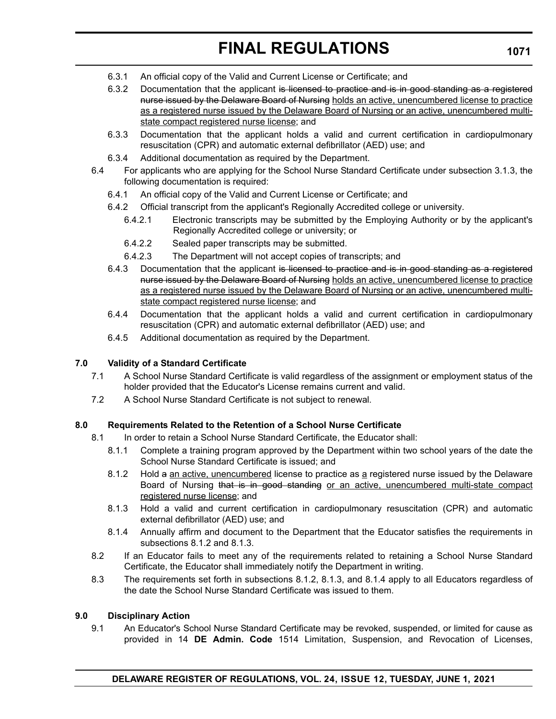# **FINAL REGULATIONS**

- 6.3.1 An official copy of the Valid and Current License or Certificate; and
- 6.3.2 Documentation that the applicant is licensed to practice and is in good standing as a registered nurse issued by the Delaware Board of Nursing holds an active, unencumbered license to practice as a registered nurse issued by the Delaware Board of Nursing or an active, unencumbered multistate compact registered nurse license; and
- 6.3.3 Documentation that the applicant holds a valid and current certification in cardiopulmonary resuscitation (CPR) and automatic external defibrillator (AED) use; and
- 6.3.4 Additional documentation as required by the Department.
- 6.4 For applicants who are applying for the School Nurse Standard Certificate under subsection 3.1.3, the following documentation is required:
	- 6.4.1 An official copy of the Valid and Current License or Certificate; and
	- 6.4.2 Official transcript from the applicant's Regionally Accredited college or university.
		- 6.4.2.1 Electronic transcripts may be submitted by the Employing Authority or by the applicant's Regionally Accredited college or university; or
		- 6.4.2.2 Sealed paper transcripts may be submitted.
		- 6.4.2.3 The Department will not accept copies of transcripts; and
	- 6.4.3 Documentation that the applicant is licensed to practice and is in good standing as a registered nurse issued by the Delaware Board of Nursing holds an active, unencumbered license to practice as a registered nurse issued by the Delaware Board of Nursing or an active, unencumbered multistate compact registered nurse license; and
	- 6.4.4 Documentation that the applicant holds a valid and current certification in cardiopulmonary resuscitation (CPR) and automatic external defibrillator (AED) use; and
	- 6.4.5 Additional documentation as required by the Department.

# **7.0 Validity of a Standard Certificate**

- 7.1 A School Nurse Standard Certificate is valid regardless of the assignment or employment status of the holder provided that the Educator's License remains current and valid.
- 7.2 A School Nurse Standard Certificate is not subject to renewal.

# **8.0 Requirements Related to the Retention of a School Nurse Certificate**

- 8.1 In order to retain a School Nurse Standard Certificate, the Educator shall:
	- 8.1.1 Complete a training program approved by the Department within two school years of the date the School Nurse Standard Certificate is issued; and
	- 8.1.2 Hold a an active, unencumbered license to practice as a registered nurse issued by the Delaware Board of Nursing that is in good standing or an active, unencumbered multi-state compact registered nurse license; and
	- 8.1.3 Hold a valid and current certification in cardiopulmonary resuscitation (CPR) and automatic external defibrillator (AED) use; and
	- 8.1.4 Annually affirm and document to the Department that the Educator satisfies the requirements in subsections 8.1.2 and 8.1.3.
- 8.2 If an Educator fails to meet any of the requirements related to retaining a School Nurse Standard Certificate, the Educator shall immediately notify the Department in writing.
- 8.3 The requirements set forth in subsections 8.1.2, 8.1.3, and 8.1.4 apply to all Educators regardless of the date the School Nurse Standard Certificate was issued to them.

### **9.0 Disciplinary Action**

9.1 An Educator's School Nurse Standard Certificate may be revoked, suspended, or limited for cause as provided in 14 **DE Admin. Code** 1514 Limitation, Suspension, and Revocation of Licenses,

**1071**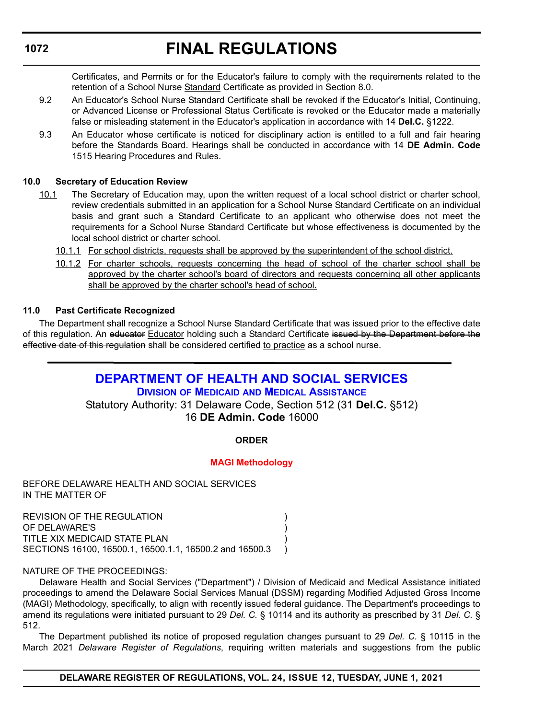# **FINAL REGULATIONS**

<span id="page-51-0"></span>Certificates, and Permits or for the Educator's failure to comply with the requirements related to the retention of a School Nurse Standard Certificate as provided in Section 8.0.

- 9.2 An Educator's School Nurse Standard Certificate shall be revoked if the Educator's Initial, Continuing, or Advanced License or Professional Status Certificate is revoked or the Educator made a materially false or misleading statement in the Educator's application in accordance with 14 **Del.C.** §1222.
- 9.3 An Educator whose certificate is noticed for disciplinary action is entitled to a full and fair hearing before the Standards Board. Hearings shall be conducted in accordance with 14 **DE Admin. Code** 1515 Hearing Procedures and Rules.

# **10.0 Secretary of Education Review**

- 10.1 The Secretary of Education may, upon the written request of a local school district or charter school, review credentials submitted in an application for a School Nurse Standard Certificate on an individual basis and grant such a Standard Certificate to an applicant who otherwise does not meet the requirements for a School Nurse Standard Certificate but whose effectiveness is documented by the local school district or charter school.
	- 10.1.1 For school districts, requests shall be approved by the superintendent of the school district.
	- 10.1.2 For charter schools, requests concerning the head of school of the charter school shall be approved by the charter school's board of directors and requests concerning all other applicants shall be approved by the charter school's head of school.

# **11.0 Past Certificate Recognized**

The Department shall recognize a School Nurse Standard Certificate that was issued prior to the effective date of this regulation. An educator Educator holding such a Standard Certificate issued by the Department before the effective date of this regulation shall be considered certified to practice as a school nurse.

# **[DEPARTMENT OF HEALTH AND SOCIAL SERVICES](https://www.dhss.delaware.gov/dhss/index.html) DIVISION OF MEDICAID [AND MEDICAL ASSISTANCE](https://www.dhss.delaware.gov/dhss/dmma/)**

Statutory Authority: 31 Delaware Code, Section 512 (31 **Del.C.** §512) 16 **DE Admin. Code** 16000

# **ORDER**

# **[MAGI Methodology](#page-3-0)**

BEFORE DELAWARE HEALTH AND SOCIAL SERVICES IN THE MATTER OF

REVISION OF THE REGULATION (2002) OF DELAWARE'S ) TITLE XIX MEDICAID STATE PLAN ) SECTIONS 16100, 16500.1, 16500.1.1, 16500.2 and 16500.3 )

NATURE OF THE PROCEEDINGS:

Delaware Health and Social Services ("Department") / Division of Medicaid and Medical Assistance initiated proceedings to amend the Delaware Social Services Manual (DSSM) regarding Modified Adjusted Gross Income (MAGI) Methodology, specifically, to align with recently issued federal guidance. The Department's proceedings to amend its regulations were initiated pursuant to 29 *Del. C.* § 10114 and its authority as prescribed by 31 *Del. C.* § 512.

The Department published its notice of proposed regulation changes pursuant to 29 *Del. C.* § 10115 in the March 2021 *Delaware Register of Regulations*, requiring written materials and suggestions from the public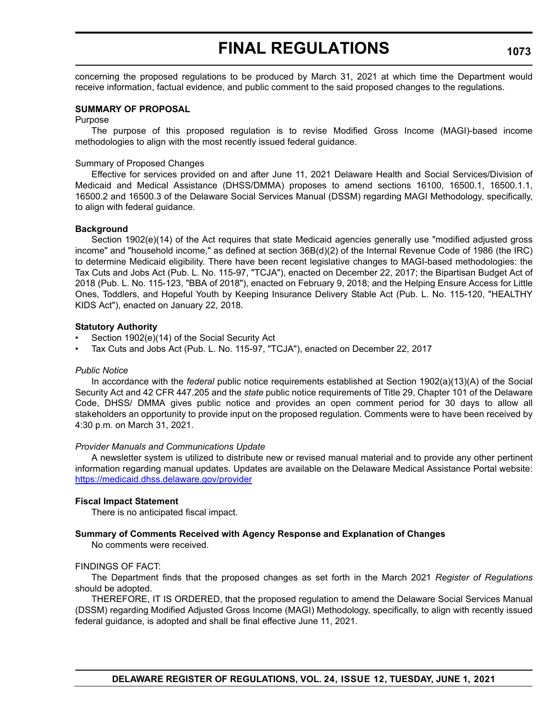# **FINAL REGULATIONS**

concerning the proposed regulations to be produced by March 31, 2021 at which time the Department would receive information, factual evidence, and public comment to the said proposed changes to the regulations.

# **SUMMARY OF PROPOSAL**

Purpose

The purpose of this proposed regulation is to revise Modified Gross Income (MAGI)-based income methodologies to align with the most recently issued federal guidance.

#### Summary of Proposed Changes

Effective for services provided on and after June 11, 2021 Delaware Health and Social Services/Division of Medicaid and Medical Assistance (DHSS/DMMA) proposes to amend sections 16100, 16500.1, 16500.1.1, 16500.2 and 16500.3 of the Delaware Social Services Manual (DSSM) regarding MAGI Methodology, specifically, to align with federal guidance.

#### **Background**

Section 1902(e)(14) of the Act requires that state Medicaid agencies generally use "modified adjusted gross income" and "household income," as defined at section 36B(d)(2) of the Internal Revenue Code of 1986 (the IRC) to determine Medicaid eligibility. There have been recent legislative changes to MAGI-based methodologies: the Tax Cuts and Jobs Act (Pub. L. No. 115-97, "TCJA"), enacted on December 22, 2017; the Bipartisan Budget Act of 2018 (Pub. L. No. 115-123, "BBA of 2018"), enacted on February 9, 2018; and the Helping Ensure Access for Little Ones, Toddlers, and Hopeful Youth by Keeping Insurance Delivery Stable Act (Pub. L. No. 115-120, "HEALTHY KIDS Act"), enacted on January 22, 2018.

#### **Statutory Authority**

- Section 1902(e)(14) of the Social Security Act
- Tax Cuts and Jobs Act (Pub. L. No. 115-97, "TCJA"), enacted on December 22, 2017

#### *Public Notice*

In accordance with the *federal* public notice requirements established at Section 1902(a)(13)(A) of the Social Security Act and 42 CFR 447.205 and the *state* public notice requirements of Title 29, Chapter 101 of the Delaware Code, DHSS/ DMMA gives public notice and provides an open comment period for 30 days to allow all stakeholders an opportunity to provide input on the proposed regulation. Comments were to have been received by 4:30 p.m. on March 31, 2021.

#### *Provider Manuals and Communications Update*

A newsletter system is utilized to distribute new or revised manual material and to provide any other pertinent information regarding manual updates. Updates are available on the Delaware Medical Assistance Portal website: <https://medicaid.dhss.delaware.gov/provider>

#### **Fiscal Impact Statement**

There is no anticipated fiscal impact.

### **Summary of Comments Received with Agency Response and Explanation of Changes**

No comments were received.

#### FINDINGS OF FACT:

The Department finds that the proposed changes as set forth in the March 2021 *Register of Regulations*  should be adopted.

THEREFORE, IT IS ORDERED, that the proposed regulation to amend the Delaware Social Services Manual (DSSM) regarding Modified Adjusted Gross Income (MAGI) Methodology, specifically, to align with recently issued federal guidance, is adopted and shall be final effective June 11, 2021.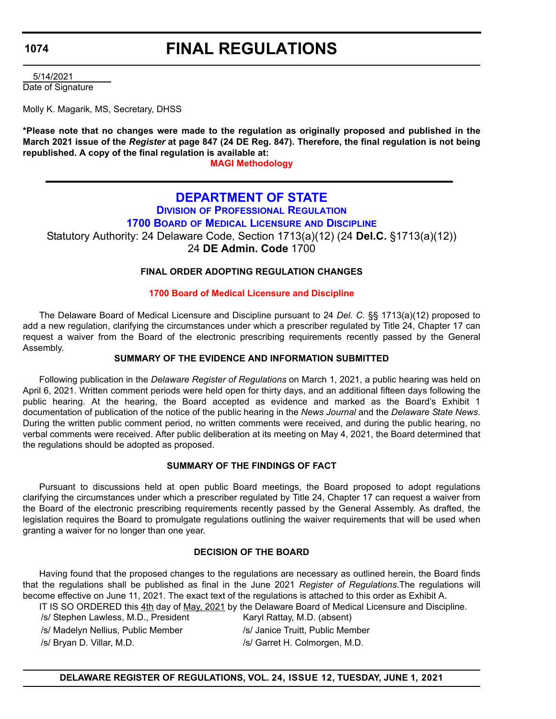# **FINAL REGULATIONS**

<span id="page-53-0"></span> 5/14/2021 Date of Signature

Molly K. Magarik, MS, Secretary, DHSS

**\*Please note that no changes were made to the regulation as originally proposed and published in the March 2021 issue of the** *Register* **at page 847 (24 DE Reg. 847). Therefore, the final regulation is not being republished. A copy of the final regulation is available at:**

**[MAGI Methodology](http://regulations.delaware.gov/register/june2021/final/24 DE Reg 1072 06-01-21.htm)**

# **[DEPARTMENT OF STATE](https://sos.delaware.gov/) DIVISION [OF PROFESSIONAL REGULATION](https://dpr.delaware.gov/) 1700 BOARD OF MEDICAL LICENSURE AND DISCIPLINE** Statutory Authority: 24 Delaware Code, Section 1713(a)(12) (24 **Del.C.** §1713(a)(12))

24 **DE Admin. Code** 1700

# **FINAL ORDER ADOPTING REGULATION CHANGES**

### **[1700 Board of Medical Licensure and Discipline](#page-4-0)**

The Delaware Board of Medical Licensure and Discipline pursuant to 24 *Del. C.* §§ 1713(a)(12) proposed to add a new regulation, clarifying the circumstances under which a prescriber regulated by Title 24, Chapter 17 can request a waiver from the Board of the electronic prescribing requirements recently passed by the General Assembly.

## **SUMMARY OF THE EVIDENCE AND INFORMATION SUBMITTED**

Following publication in the *Delaware Register of Regulations* on March 1, 2021, a public hearing was held on April 6, 2021. Written comment periods were held open for thirty days, and an additional fifteen days following the public hearing. At the hearing, the Board accepted as evidence and marked as the Board's Exhibit 1 documentation of publication of the notice of the public hearing in the *News Journal* and the *Delaware State News*. During the written public comment period, no written comments were received, and during the public hearing, no verbal comments were received. After public deliberation at its meeting on May 4, 2021, the Board determined that the regulations should be adopted as proposed.

### **SUMMARY OF THE FINDINGS OF FACT**

Pursuant to discussions held at open public Board meetings, the Board proposed to adopt regulations clarifying the circumstances under which a prescriber regulated by Title 24, Chapter 17 can request a waiver from the Board of the electronic prescribing requirements recently passed by the General Assembly. As drafted, the legislation requires the Board to promulgate regulations outlining the waiver requirements that will be used when granting a waiver for no longer than one year.

### **DECISION OF THE BOARD**

Having found that the proposed changes to the regulations are necessary as outlined herein, the Board finds that the regulations shall be published as final in the June 2021 *Register of Regulations*.The regulations will become effective on June 11, 2021. The exact text of the regulations is attached to this order as Exhibit A.

IT IS SO ORDERED this 4th day of May, 2021 by the Delaware Board of Medical Licensure and Discipline.

/s/ Stephen Lawless, M.D., President Karyl Rattay, M.D. (absent)

/s/ Bryan D. Villar, M.D. /s/ Garret H. Colmorgen, M.D.

/s/ Madelyn Nellius, Public Member /s/ Janice Truitt, Public Member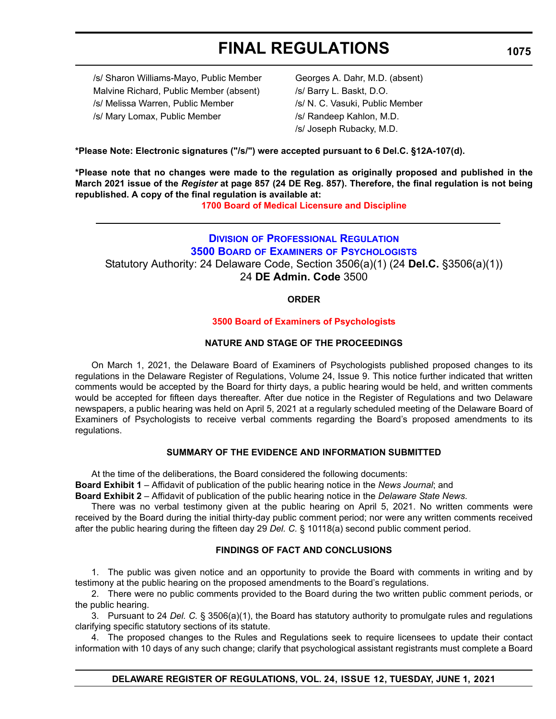# **FINAL REGULATIONS**

<span id="page-54-0"></span>/s/ Sharon Williams-Mayo, Public Member Georges A. Dahr, M.D. (absent) Malvine Richard, Public Member (absent) /s/ Barry L. Baskt, D.O. /s/ Melissa Warren, Public Member /s/ N. C. Vasuki, Public Member /s/ Mary Lomax, Public Member /s/ Randeep Kahlon, M.D.

/s/ Joseph Rubacky, M.D.

**\*Please Note: Electronic signatures ("/s/") were accepted pursuant to 6 Del.C. §12A-107(d).**

**\*Please note that no changes were made to the regulation as originally proposed and published in the March 2021 issue of the** *Register* **at page 857 (24 DE Reg. 857). Therefore, the final regulation is not being republished. A copy of the final regulation is available at:**

**[1700 Board of Medical Licensure and Discipline](http://regulations.delaware.gov/register/june2021/final/24 DE Reg 1074 06-01-21.htm)**

# **DIVISION [OF PROFESSIONAL REGULATION](https://dpr.delaware.gov/) 3500 BOARD OF EXAMINERS [OF PSYCHOLOGISTS](https://dpr.delaware.gov/boards/psychology/)** Statutory Authority: 24 Delaware Code, Section 3506(a)(1) (24 **Del.C.** §3506(a)(1)) 24 **DE Admin. Code** 3500

# **ORDER**

### **[3500 Board of Examiners of Psychologists](#page-4-0)**

### **NATURE AND STAGE OF THE PROCEEDINGS**

On March 1, 2021, the Delaware Board of Examiners of Psychologists published proposed changes to its regulations in the Delaware Register of Regulations, Volume 24, Issue 9. This notice further indicated that written comments would be accepted by the Board for thirty days, a public hearing would be held, and written comments would be accepted for fifteen days thereafter. After due notice in the Register of Regulations and two Delaware newspapers, a public hearing was held on April 5, 2021 at a regularly scheduled meeting of the Delaware Board of Examiners of Psychologists to receive verbal comments regarding the Board's proposed amendments to its regulations.

# **SUMMARY OF THE EVIDENCE AND INFORMATION SUBMITTED**

At the time of the deliberations, the Board considered the following documents:

**Board Exhibit 1** – Affidavit of publication of the public hearing notice in the *News Journal*; and

**Board Exhibit 2** – Affidavit of publication of the public hearing notice in the *Delaware State News*.

There was no verbal testimony given at the public hearing on April 5, 2021. No written comments were received by the Board during the initial thirty-day public comment period; nor were any written comments received after the public hearing during the fifteen day 29 *Del. C.* § 10118(a) second public comment period.

### **FINDINGS OF FACT AND CONCLUSIONS**

1. The public was given notice and an opportunity to provide the Board with comments in writing and by testimony at the public hearing on the proposed amendments to the Board's regulations.

2. There were no public comments provided to the Board during the two written public comment periods, or the public hearing.

3. Pursuant to 24 *Del. C.* § 3506(a)(1), the Board has statutory authority to promulgate rules and regulations clarifying specific statutory sections of its statute.

4. The proposed changes to the Rules and Regulations seek to require licensees to update their contact information with 10 days of any such change; clarify that psychological assistant registrants must complete a Board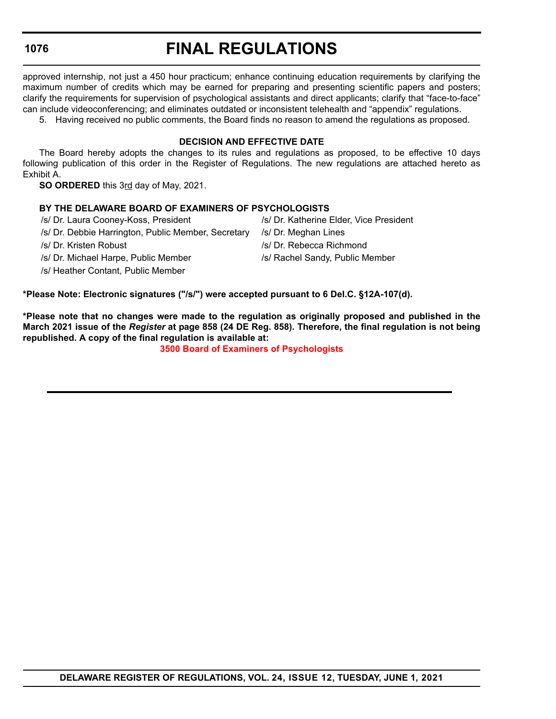# **FINAL REGULATIONS**

approved internship, not just a 450 hour practicum; enhance continuing education requirements by clarifying the maximum number of credits which may be earned for preparing and presenting scientific papers and posters; clarify the requirements for supervision of psychological assistants and direct applicants; clarify that "face-to-face" can include videoconferencing; and eliminates outdated or inconsistent telehealth and "appendix" regulations.

5. Having received no public comments, the Board finds no reason to amend the regulations as proposed.

### **DECISION AND EFFECTIVE DATE**

The Board hereby adopts the changes to its rules and regulations as proposed, to be effective 10 days following publication of this order in the Register of Regulations. The new regulations are attached hereto as Exhibit A.

**SO ORDERED** this 3rd day of May, 2021.

### **BY THE DELAWARE BOARD OF EXAMINERS OF PSYCHOLOGISTS**

/s/ Dr. Laura Cooney-Koss, President /s/ Dr. Katherine Elder, Vice President

- /s/ Dr. Debbie Harrington, Public Member, Secretary /s/ Dr. Meghan Lines
- 
- /s/ Dr. Michael Harpe, Public Member /s/ Rachel Sandy, Public Member
- /s/ Heather Contant, Public Member
- 
- 
- /s/ Dr. Kristen Robust /s/ Dr. Rebecca Richmond
	-

**\*Please Note: Electronic signatures ("/s/") were accepted pursuant to 6 Del.C. §12A-107(d).**

**\*Please note that no changes were made to the regulation as originally proposed and published in the March 2021 issue of the** *Register* **at page 858 (24 DE Reg. 858). Therefore, the final regulation is not being republished. A copy of the final regulation is available at:**

**[3500 Board of Examiners of Psychologists](http://regulations.delaware.gov/register/june2021/final/24 DE Reg 1075 06-01-21.htm)**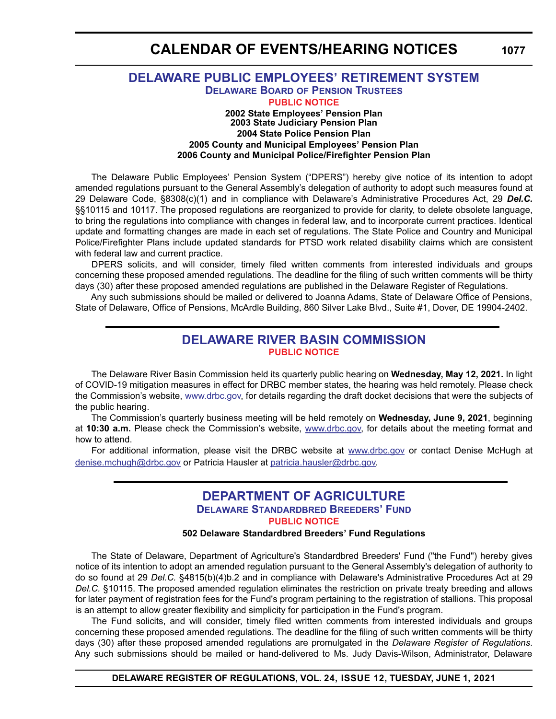# **CALENDAR OF EVENTS/HEARING NOTICES**

# <span id="page-56-0"></span>**[DELAWARE PUBLIC EMPLOYEES' RETIREMENT SYSTEM](https://open.omb.delaware.gov/) [DELAWARE BOARD OF PENSION TRUSTEES](https://open.omb.delaware.gov/information/boardTrusties/BoardTrusteesMinutes.shtml) [PUBLIC NOTICE](#page-4-0) 2002 State Employees' Pension Plan 2003 State Judiciary Pension Plan 2004 State Police Pension Plan 2005 County and Municipal Employees' Pension Plan 2006 County and Municipal Police/Firefighter Pension Plan**

The Delaware Public Employees' Pension System ("DPERS") hereby give notice of its intention to adopt amended regulations pursuant to the General Assembly's delegation of authority to adopt such measures found at 29 Delaware Code, §8308(c)(1) and in compliance with Delaware's Administrative Procedures Act, 29 *Del.C.* §§10115 and 10117. The proposed regulations are reorganized to provide for clarity, to delete obsolete language, to bring the regulations into compliance with changes in federal law, and to incorporate current practices. Identical update and formatting changes are made in each set of regulations. The State Police and Country and Municipal Police/Firefighter Plans include updated standards for PTSD work related disability claims which are consistent with federal law and current practice.

DPERS solicits, and will consider, timely filed written comments from interested individuals and groups concerning these proposed amended regulations. The deadline for the filing of such written comments will be thirty days (30) after these proposed amended regulations are published in the Delaware Register of Regulations.

Any such submissions should be mailed or delivered to Joanna Adams, State of Delaware Office of Pensions, State of Delaware, Office of Pensions, McArdle Building, 860 Silver Lake Blvd., Suite #1, Dover, DE 19904-2402.

# **[DELAWARE RIVER BASIN COMMISSION](https://www.drbc.gov) [PUBLIC NOTICE](#page-4-0)**

The Delaware River Basin Commission held its quarterly public hearing on **Wednesday, May 12, 2021.** In light of COVID-19 mitigation measures in effect for DRBC member states, the hearing was held remotely. Please check the Commission's website, [www.drbc.gov,](https://www.drbc.gov) for details regarding the draft docket decisions that were the subjects of the public hearing.

The Commission's quarterly business meeting will be held remotely on **Wednesday, June 9, 2021**, beginning at **10:30 a.m.** Please check the Commission's website, [www.drbc.gov,](https://www.drbc.gov) for details about the meeting format and how to attend.

For additional information, please visit the DRBC website at [www.drbc.gov](https://www.drbc.gov) or contact Denise McHugh at [denise.mchugh@drbc.gov](mailto:denise.mchugh@drbc.gov) or Patricia Hausler at [patricia.hausler@drbc.gov.](mailto:patricia.hausler@drbc.gov)

# **[DEPARTMENT OF AGRICULTURE](https://agriculture.delaware.gov/) [DELAWARE STANDARDBRED BREEDERS' FUND](https://agriculture.delaware.gov/delaware-standardbred-breeders-fund/ ) [PUBLIC NOTICE](#page-4-0)**

### **502 Delaware Standardbred Breeders' Fund Regulations**

The State of Delaware, Department of Agriculture's Standardbred Breeders' Fund ("the Fund") hereby gives notice of its intention to adopt an amended regulation pursuant to the General Assembly's delegation of authority to do so found at 29 *Del.C.* §4815(b)(4)b.2 and in compliance with Delaware's Administrative Procedures Act at 29 *Del.C.* §10115. The proposed amended regulation eliminates the restriction on private treaty breeding and allows for later payment of registration fees for the Fund's program pertaining to the registration of stallions. This proposal is an attempt to allow greater flexibility and simplicity for participation in the Fund's program.

The Fund solicits, and will consider, timely filed written comments from interested individuals and groups concerning these proposed amended regulations. The deadline for the filing of such written comments will be thirty days (30) after these proposed amended regulations are promulgated in the *Delaware Register of Regulations*. Any such submissions should be mailed or hand-delivered to Ms. Judy Davis-Wilson, Administrator, Delaware